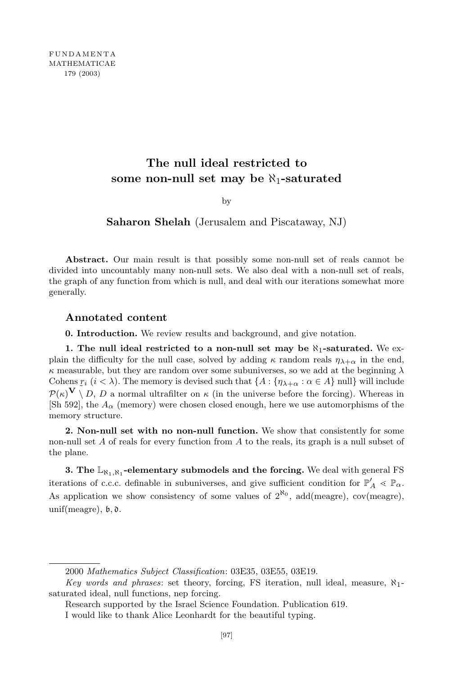FUNDAMENTA MATHEMATICAE 179 (2003)

# **The null ideal restricted to some non-null set may be** *ℵ*1**-saturated**

by

**Saharon Shelah** (Jerusalem and Piscataway, NJ)

Abstract. Our main result is that possibly some non-null set of reals cannot be divided into uncountably many non-null sets. We also deal with a non-null set of reals, the graph of any function from which is null, and deal with our iterations somewhat more generally.

# **Annotated content**

**0. Introduction.** We review results and background, and give notation.

**1. The null ideal restricted to a non-null set may be** *ℵ*1**-saturated.** We explain the difficulty for the null case, solved by adding  $\kappa$  random reals  $\eta_{\lambda+\alpha}$  in the end, *κ* measurable, but they are random over some subuniverses, so we add at the beginning *λ* Cohens  $r_i$  ( $i < \lambda$ ). The memory is devised such that  $\{A : \{\eta_{\lambda+\alpha} : \alpha \in A\} \text{ null}\}$  will include  $P(\kappa)$   $\mathbf{V} \setminus D$ , *D* a normal ultrafilter on  $\kappa$  (in the universe before the forcing). Whereas in [Sh 592], the  $A_\alpha$  (memory) were chosen closed enough, here we use automorphisms of the memory structure.

**2. Non-null set with no non-null function.** We show that consistently for some non-null set *A* of reals for every function from *A* to the reals, its graph is a null subset of the plane.

**3. The** L*ℵ*1*,ℵ*<sup>1</sup> **-elementary submodels and the forcing.** We deal with general FS iterations of c.c.c. definable in subuniverses, and give sufficient condition for  $\mathbb{P}'_A \ll \mathbb{P}_\alpha$ . As application we show consistency of some values of  $2^{\kappa_0}$ , add(meagre), cov(meagre), unif(meagre),  $\mathfrak{b}, \mathfrak{d}.$ 

<sup>2000</sup> *Mathematics Subject Classification*: 03E35, 03E55, 03E19.

*Key words and phrases*: set theory, forcing, FS iteration, null ideal, measure, *ℵ*1 saturated ideal, null functions, nep forcing.

Research supported by the Israel Science Foundation. Publication 619.

I would like to thank Alice Leonhardt for the beautiful typing.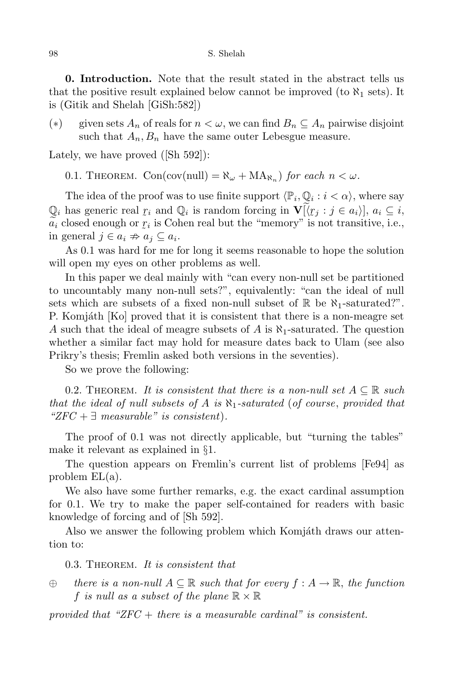#### 98 S. Shelah

**0. Introduction.** Note that the result stated in the abstract tells us that the positive result explained below cannot be improved (to  $\aleph_1$  sets). It is (Gitik and Shelah [GiSh:582])

(*∗*) given sets *A<sup>n</sup>* of reals for *n < ω*, we can find *B<sup>n</sup> ⊆ A<sup>n</sup>* pairwise disjoint such that  $A_n$ ,  $B_n$  have the same outer Lebesgue measure.

Lately, we have proved ([Sh 592]):

0.1. THEOREM.  $Con(cov[null]) = \aleph_{\omega} + MA_{\aleph_n}$  *for each*  $n < \omega$ *.* 

The idea of the proof was to use finite support  $\langle \mathbb{P}_i, \mathbb{Q}_i : i < \alpha \rangle$ , where say  $Q_i$  has generic real  $r_i$  and  $Q_i$  is random forcing in  $\mathbf{V}[\langle r_j : j \in a_i \rangle], a_i \subseteq i$ ,  $\mu_{\alpha}$  $\tilde{a}_i$  closed enough or  $r_i$  is Cohen real but the "memory" is not transitive, i.e., in general *j* ∈ *a*<sub>*i*</sub>  $\stackrel{\sim}{\Rightarrow} a_j$  ⊆ *a*<sub>*i*</sub>.

As 0.1 was hard for me for long it seems reasonable to hope the solution will open my eyes on other problems as well.

In this paper we deal mainly with "can every non-null set be partitioned to uncountably many non-null sets?", equivalently: "can the ideal of null sets which are subsets of a fixed non-null subset of  $\mathbb R$  be  $\aleph_1$ -saturated?". P. Komjáth [Ko] proved that it is consistent that there is a non-meagre set *A* such that the ideal of meagre subsets of *A* is *ℵ*1-saturated. The question whether a similar fact may hold for measure dates back to Ulam (see also Prikry's thesis; Fremlin asked both versions in the seventies).

So we prove the following:

0.2. THEOREM. It is consistent that there is a non-null set  $A \subseteq \mathbb{R}$  such *that the ideal of null subsets of A is ℵ*1*-saturated* (*of course*, *provided that "ZFC* + *∃ measurable" is consistent*)*.*

The proof of 0.1 was not directly applicable, but "turning the tables" make it relevant as explained in *§*1.

The question appears on Fremlin's current list of problems [Fe94] as problem EL(a).

We also have some further remarks, e.g. the exact cardinal assumption for 0.1. We try to make the paper self-contained for readers with basic knowledge of forcing and of [Sh 592].

Also we answer the following problem which Komjáth draws our attention to:

0.3. Theorem. *It is consistent that*

*⊕ there is a non-null A ⊆* R *such that for every f* : *A →* R, *the function f is null* as a *subset* of the plane  $\mathbb{R} \times \mathbb{R}$ 

*provided that "ZFC* + *there is a measurable cardinal" is consistent.*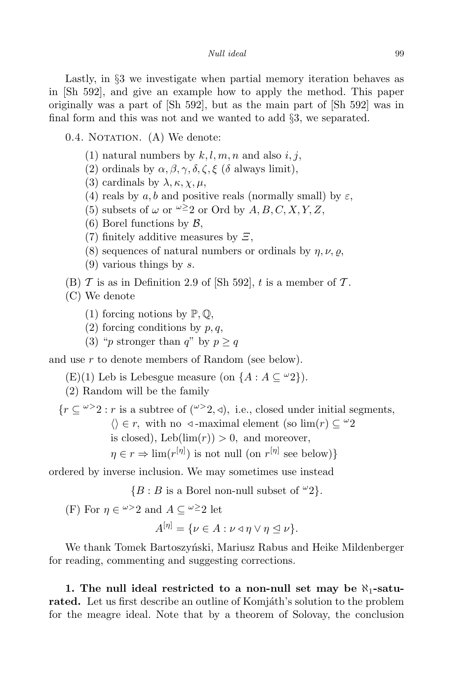Lastly, in *§*3 we investigate when partial memory iteration behaves as in [Sh 592], and give an example how to apply the method. This paper originally was a part of [Sh 592], but as the main part of [Sh 592] was in final form and this was not and we wanted to add *§*3, we separated.

 $0.4.$  NOTATION.  $(A)$  We denote:

- (1) natural numbers by  $k, l, m, n$  and also  $i, j$ ,
- (2) ordinals by  $\alpha$ ,  $\beta$ ,  $\gamma$ ,  $\delta$ ,  $\zeta$ ,  $\xi$  ( $\delta$  always limit),
- (3) cardinals by  $\lambda$ ,  $\kappa$ ,  $\chi$ ,  $\mu$ ,
- (4) reals by  $a, b$  and positive reals (normally small) by  $\varepsilon$ ,
- (5) subsets of  $\omega$  or  $\omega \geq 2$  or Ord by A, B, C, X, Y, Z,
- (6) Borel functions by *B*,
- (7) finitely additive measures by *Ξ*,
- (8) sequences of natural numbers or ordinals by  $\eta$ ,  $\nu$ ,  $\rho$ ,
- (9) various things by *s*.
- (B)  $\mathcal T$  is as in Definition 2.9 of [Sh 592],  $t$  is a member of  $\mathcal T$ .

(C) We denote

- (1) forcing notions by  $\mathbb{P}, \mathbb{Q},$
- (2) forcing conditions by *p, q*,
- (3) "*p* stronger than *q*" by  $p > q$

and use *r* to denote members of Random (see below).

(E)(1) Leb is Lebesgue measure (on  ${A : A \subseteq \omega_2}$ ).

(2) Random will be the family

 ${r \subseteq \omega > 2 : r \text{ is a subtree of } (\omega > 2, 4), \text{ i.e., closed under initial segments,}}$  $\langle \rangle$  ∈ *r*, with no *√* -maximal element (so lim(*r*) ⊆ <sup>*ω*</sup>2 is closed), Leb( $\lim(r)$ ) > 0, and moreover,  $\eta \in r \Rightarrow \lim(r^{[\eta]})$  is not null (on  $r^{[\eta]}$  see below)}

ordered by inverse inclusion. We may sometimes use instead

 ${B : B$  is a Borel non-null subset of  $\omega_2$ .

(F) For  $\eta \in \omega > 2$  and  $A \subseteq \omega \geq 2$  let

 $A^{[\eta]} = \{ \nu \in A : \nu \triangleleft \eta \vee \eta \trianglelefteq \nu \}.$ 

We thank Tomek Bartoszyński, Mariusz Rabus and Heike Mildenberger for reading, commenting and suggesting corrections.

**1. The null ideal restricted to a non-null set may be** *ℵ*1**-saturated.** Let us first describe an outline of Komjáth's solution to the problem for the meagre ideal. Note that by a theorem of Solovay, the conclusion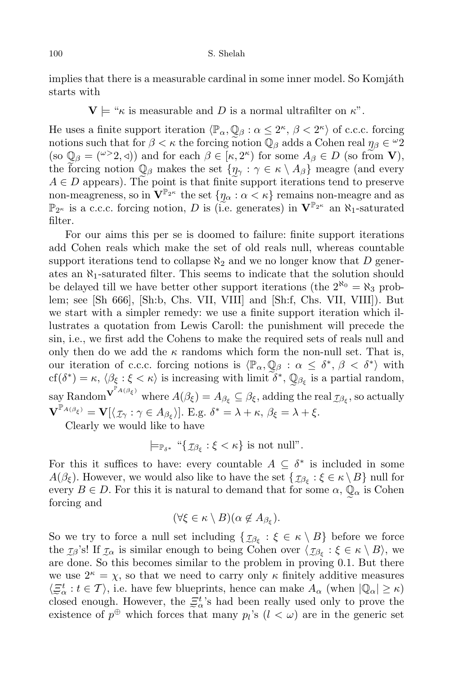implies that there is a measurable cardinal in some inner model. So Komjáth starts with

 $\mathbf{V} \models$  " $\kappa$  is measurable and *D* is a normal ultrafilter on  $\kappa$ ".

He uses a finite support iteration  $\langle \mathbb{P}_{\alpha}, \mathbb{Q}_{\beta} : \alpha \leq 2^{\kappa}, \beta < 2^{\kappa} \rangle$  of c.c.c. forcing notions such that for  $\beta < \kappa$  the forcing notion  $\mathbb{Q}_{\beta}$  adds a Cohen real  $\eta_{\beta} \in \mathbb{Z}^2$  $(\text{so } \mathbb{Q}_\beta = (\mathbb{Z}^{\times}2, 0))$  and for each  $\beta \in [\kappa, 2^{\kappa})$  for some  $A_\beta \in D$  (so from **V**), the forcing notion  $\mathbb{Q}_{\beta}$  makes the set  $\{\eta_{\gamma} : \gamma \in \kappa \setminus A_{\beta}\}\)$  meagre (and every  $A \in D$  appears). The point is that finite support iterations tend to preserve non-meagreness, so in  $\mathbf{V}^{\mathbb{P}_{2^{\kappa}}}$  the set  $\{\eta_{\alpha} : \alpha < \kappa\}$  remains non-meagre and as e P2*<sup>κ</sup>* is a c.c.c. forcing notion, *D* is (i.e. generates) in **V**<sup>P</sup>2*<sup>κ</sup>* an *ℵ*1-saturated filter.

For our aims this per se is doomed to failure: finite support iterations add Cohen reals which make the set of old reals null, whereas countable support iterations tend to collapse  $\aleph_2$  and we no longer know that D generates an *ℵ*1-saturated filter. This seems to indicate that the solution should be delayed till we have better other support iterations (the  $2^{\aleph_0} = \aleph_3$  problem; see [Sh 666], [Sh:b, Chs. VII, VIII] and [Sh:f, Chs. VII, VIII]). But we start with a simpler remedy: we use a finite support iteration which illustrates a quotation from Lewis Caroll: the punishment will precede the sin, i.e., we first add the Cohens to make the required sets of reals null and only then do we add the  $\kappa$  randoms which form the non-null set. That is, our iteration of c.c.c. forcing notions is  $\langle \mathbb{P}_{\alpha}, \mathbb{Q}_{\beta} : \alpha \leq \delta^*, \beta < \delta^* \rangle$  with  $cf(\delta^*) = \kappa$ ,  $\langle \beta_{\xi} : \xi < \kappa \rangle$  is increasing with limit  $\delta^*$ ,  $\mathbb{Q}_{\beta_{\xi}}$  is a partial random,  $\sup_{\mathbf{x}} \text{RandomV}^{\mathbf{P}_{A(\beta_{\xi})}} \text{ where } A(\beta_{\xi}) = A_{\beta_{\xi}} \subseteq \beta_{\xi}, \text{adding the real } \mathcal{I}_{\beta_{\xi}}, \text{ so actually}$  $\mathbf{V}^{\mathbb{P}_{A(\beta_{\xi})}} = \mathbf{V}[\langle \mathcal{I}_{\gamma} : \gamma \in A_{\beta_{\xi}} \rangle].$  E.g.  $\delta^* = \lambda + \kappa, \beta_{\xi} = \lambda + \xi.$ 

Clearly we would like to have

$$
\models_{\mathbb{P}_{\delta^*}} \text{``$\{\mathcal{I}_{\beta_{\xi}} : \xi < \kappa$}\ is not null".}
$$

For this it suffices to have: every countable  $A \subseteq \delta^*$  is included in some *A*( $\beta_{\xi}$ ). However, we would also like to have the set  $\{\mathcal{I}_{\beta_{\xi}} : \xi \in \kappa \setminus B\}$  null for every  $B \in D$ . For this it is natural to demand that for some  $\alpha$ ,  $\mathbb{Q}_{\alpha}$  is Cohen forcing and

$$
(\forall \xi \in \kappa \setminus B)(\alpha \notin A_{\beta_{\xi}}).
$$

So we try to force a null set including  $\{ \mathcal{I}_{\beta_{\xi}} : \xi \in \kappa \setminus B \}$  before we force the  $\tau_{\beta}$ 's! If  $\tau_{\alpha}$  is similar enough to being Cohen over  $\langle \tau_{\beta_{\xi}} : \xi \in \kappa \setminus B \rangle$ , we are done. So this becomes similar to the problem in proving 0.1. But there we use  $2^{\kappa} = \chi$ , so that we need to carry only  $\kappa$  finitely additive measures  $\langle \Xi^t_\alpha : t \in \mathcal{T} \rangle$ , i.e. have few blueprints, hence can make  $A_\alpha$  (when  $|\mathbb{Q}_\alpha| \geq \kappa$ ) closed enough. However, the  $\mathcal{Z}^{t}_{\alpha}$ 's had been really used only to prove the existence of  $p^{\oplus}$  which forces that many  $p_l$ 's  $(l < \omega)$  are in the generic set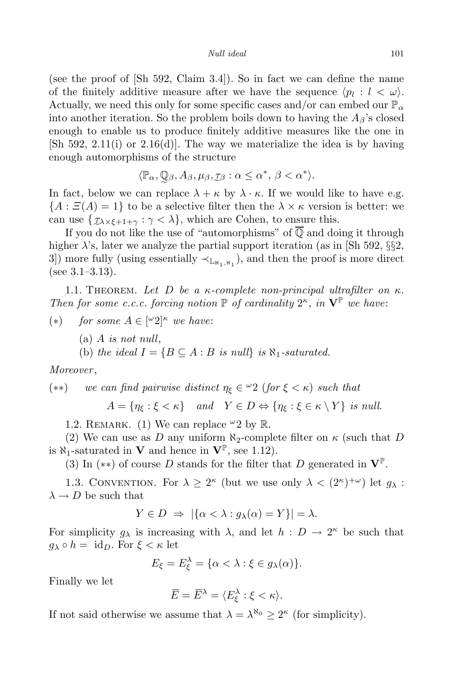*Null ideal* 101

(see the proof of [Sh 592, Claim 3.4]). So in fact we can define the name of the finitely additive measure after we have the sequence  $\langle p_l : l < \omega \rangle$ . Actually, we need this only for some specific cases and/or can embed our  $\mathbb{P}_{\alpha}$ into another iteration. So the problem boils down to having the  $A_\beta$ 's closed enough to enable us to produce finitely additive measures like the one in  $[\text{Sh } 592, 2.11(i) \text{ or } 2.16(d)]$ . The way we materialize the idea is by having enough automorphisms of the structure

$$
\langle \mathbb{P}_{\alpha}, \mathbb{Q}_{\beta}, A_{\beta}, \mu_{\beta}, \tau_{\beta} : \alpha \leq \alpha^*, \beta < \alpha^* \rangle.
$$

In fact, below we can replace  $\lambda + \kappa$  by  $\lambda \cdot \kappa$ . If we would like to have e.g.  ${A : \mathcal{Z}(A) = 1}$  to be a selective filter then the  $\lambda \times \kappa$  version is better: we can use  $\{\mathcal{I}_{\lambda \times \xi + 1 + \gamma} : \gamma < \lambda\}$ , which are Cohen, to ensure this.

e If you do not like the use of "automorphisms" of Q and doing it through higher  $\lambda$ 's, later we analyze the partial support iteration (as in [Sh 592,  $\S$ §2, 3) more fully (using essentially  $\prec_{\mathbb{L}_{\aleph_1,\aleph_1}}$ ), and then the proof is more direct (see 3.1–3.13).

1.1. THEOREM. Let D be a  $\kappa$ -complete non-principal ultrafilter on  $\kappa$ . *Then for some c.c.c. forcing notion*  $\mathbb{P}$  *of cardinality*  $2^{\kappa}$ , *in*  $\mathbf{V}^{\mathbb{P}}$  *we have*:

- (*∗*) *for some A ∈* [ *<sup>ω</sup>*2]*<sup>κ</sup> we have*:
	- (a) *A is not null*,

(b) *the ideal*  $I = \{B \subseteq A : B \text{ is null}\}$  *is*  $\aleph_1$ -saturated.

*Moreover* ,

(\*\*) we can find pairwise distinct 
$$
\eta_{\xi} \in {}^{\omega}2
$$
 (for  $\xi < \kappa$ ) such that

 $A = \{ \eta_{\xi} : \xi < \kappa \}$  and  $Y \in D \Leftrightarrow \{ \eta_{\xi} : \xi \in \kappa \setminus Y \}$  is null.

1.2. REMARK. (1) We can replace  $\omega_2$  by R.

(2) We can use as *D* any uniform  $\aleph_2$ -complete filter on  $\kappa$  (such that *D* is  $\aleph_1$ -saturated in **V** and hence in  $\mathbf{V}^{\mathbb{P}}$ , see 1.12).

(3) In (*∗∗*) of course *D* stands for the filter that *D* generated in **V**<sup>P</sup> .

1.3. CONVENTION. For  $\lambda \geq 2^{\kappa}$  (but we use only  $\lambda < (2^{\kappa})^{+\omega}$ ) let  $g_{\lambda}$ :  $\lambda \rightarrow D$  be such that

$$
Y \in D \implies |\{\alpha < \lambda : g_\lambda(\alpha) = Y\}| = \lambda.
$$

For simplicity  $g_{\lambda}$  is increasing with  $\lambda$ , and let  $h: D \to 2^{\kappa}$  be such that  $g_{\lambda} \circ h = \text{id}_D$ . For  $\xi < \kappa$  let

$$
E_{\xi} = E_{\xi}^{\lambda} = \{ \alpha < \lambda : \xi \in g_{\lambda}(\alpha) \}.
$$

Finally we let

$$
\overline{E} = \overline{E}^{\lambda} = \langle E_{\xi}^{\lambda} : \xi < \kappa \rangle.
$$

If not said otherwise we assume that  $\lambda = \lambda^{\aleph_0} \geq 2^{\kappa}$  (for simplicity).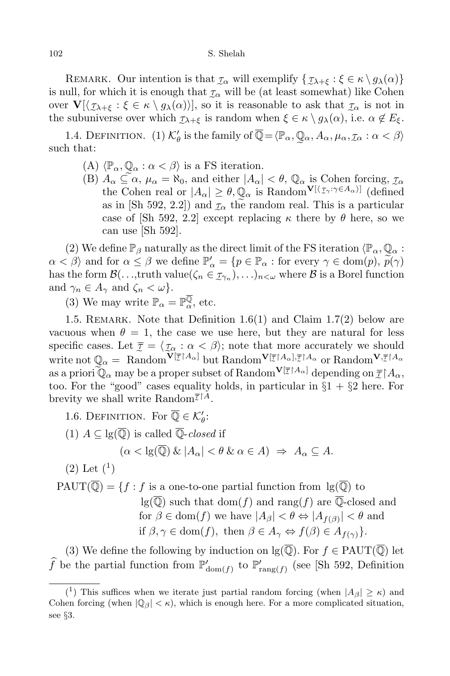REMARK. Our intention is that  $\mathcal{I}_{\alpha}$  will exemplify  $\{\mathcal{I}_{\lambda+\xi} : \xi \in \kappa \setminus g_{\lambda}(\alpha)\}$ is null, for which it is enough that  $\tau_\alpha$  will be (at least somewhat) like Cohen over  $\mathbf{V}[\langle \mathcal{I}_{\lambda+\xi} : \xi \in \kappa \setminus g_{\lambda}(\alpha) \rangle]$ , so it is reasonable to ask that  $\mathcal{I}_{\alpha}$  is not in the subuniverse over which  $\tau_{\lambda+\xi}$  is random when  $\xi \in \kappa \setminus g_{\lambda}(\alpha)$ , i.e.  $\alpha \notin E_{\xi}$ .

1.4. DEFINITION. (1)  $K'_{\theta}$  is the family of  $\overline{\mathbb{Q}} = \langle \mathbb{P}_{\alpha}, \mathbb{Q}_{\alpha}, A_{\alpha}, \mu_{\alpha}, \mathcal{I}_{\alpha} : \alpha < \beta \rangle$ such that:

- $(A)$   $\langle \mathbb{P}_{\alpha}, \mathbb{Q}_{\alpha} : \alpha < \beta \rangle$  is a FS iteration.
- (B)  $A_{\alpha} \subseteq \alpha$ ,  $\mu_{\alpha} = \aleph_0$ , and either  $|A_{\alpha}| < \theta$ ,  $\mathbb{Q}_{\alpha}$  is Cohen forcing,  $\tau_{\alpha}$ the Cohen real or  $|A_{\alpha}| \geq \theta$ ,  $\mathbb{Q}_{\alpha}$  is Random<sup>V[ $\{ \tau_{\gamma} : \gamma \in A_{\alpha} \}$ ] (defined</sup> as in [Sh 592, 2.2]) and  $\tau_{\alpha}$  the random real. This is a particular case of [Sh 592, 2.2] except replacing  $\kappa$  there by  $\theta$  here, so we can use [Sh 592].

(2) We define  $\mathbb{P}_{\beta}$  naturally as the direct limit of the FS iteration  $\langle \mathbb{P}_{\alpha}, \mathbb{Q}_{\alpha} \rangle$ :  $\alpha < \beta$  and for  $\alpha \leq \beta$  we define  $\mathbb{P}'_{\alpha} = \{p \in \mathbb{P}_{\alpha} : \text{for every } \gamma \in \text{dom}(p), p(\gamma) \}$ has the form  $\mathcal{B}(\ldots, \text{truth value}(\zeta_n \in \mathcal{I}_{\gamma_n}), \ldots)_{n < \omega}$  where  $\mathcal{B}$  is a Borel function and  $\gamma_n \in A_\gamma$  and  $\zeta_n < \omega$ .

(3) We may write  $\mathbb{P}_{\alpha} = \mathbb{P}_{\alpha}^{\mathbb{Q}}$ , etc.

1.5. REMARK. Note that Definition  $1.6(1)$  and Claim  $1.7(2)$  below are vacuous when  $\theta = 1$ , the case we use here, but they are natural for less specific cases. Let  $\overline{\tau} = \langle \overline{\tau_{\alpha}} : \alpha < \beta \rangle$ ; note that more accurately we should write not  $\mathbb{Q}_\alpha = \text{ Random}^{\mathbf{V}[\bar{\mathcal{I}}|A_\alpha]}$  but  $\text{Random}^{\mathbf{V}[\bar{\mathcal{I}}|A_\alpha], \bar{\mathcal{I}}|A_\alpha}$  or  $\text{Random}^{\mathbf{V}, \bar{\mathcal{I}}|A_\alpha}$ as a priori  $\mathbb{Q}_\alpha$  may be a proper subset of Random<sup>V[ $\mathcal{T}^{\uparrow}A_\alpha$ ] depending on  $\mathcal{T}^{\uparrow}A_\alpha$ ,</sup> too. For the "good" cases equality holds, in particular in  $\S1 + \S2$  here. For brevity we shall write Random<sup> $\overline{\tau}^{\uparrow A}$ .</sup>

1.6. DEFINITION. For  $\mathbb{Q} \in \mathcal{K}'_{\theta}$ :

(1)  $A \subseteq \lg(\overline{\mathbb{Q}})$  is called  $\overline{\mathbb{Q}}$ -*closed* if

$$
(\alpha < \lg(\mathbb{Q}) \& |A_{\alpha}| < \theta \& \alpha \in A) \Rightarrow A_{\alpha} \subseteq A.
$$

 $(2)$  Let  $(1)$ 

 $PAUT(\overline{Q}) = \{f : f \text{ is a one-to-one partial function from } \lg(\overline{Q}) \text{ to }$  $\lg(\overline{\mathbb{Q}})$  such that dom(*f*) and rang(*f*) are  $\overline{\mathbb{Q}}$ -closed and  $f$  for  $\beta \in \text{dom}(f)$  we have  $|A_{\beta}| < \theta \Leftrightarrow |A_{f(\beta)}| < \theta$  and if  $\beta, \gamma \in \text{dom}(f)$ , then  $\beta \in A_{\gamma} \Leftrightarrow f(\beta) \in A_{f(\gamma)}$ *}*.

(3) We define the following by induction on  $\lg(\overline{\mathbb{Q}})$ . For  $f \in \text{PAUT}(\overline{\mathbb{Q}})$  let f be the partial function from  $\mathbb{P}'_{dom(f)}$  to  $\mathbb{P}'_{range(f)}$  (see [Sh 592, Definition

<sup>(&</sup>lt;sup>1</sup>) This suffices when we iterate just partial random forcing (when  $|A_{\beta}| \geq \kappa$ ) and Cohen forcing (when  $|Q_\beta| < \kappa$ ), which is enough here. For a more complicated situation, see *§*3.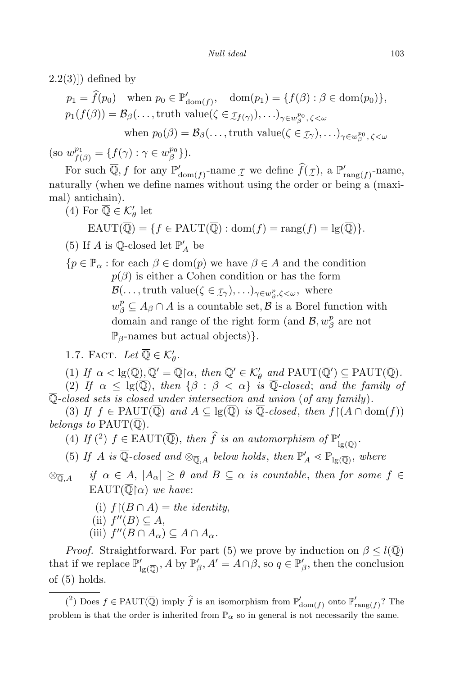$(2.2(3))$  defined by

$$
p_1 = \hat{f}(p_0) \quad \text{when } p_0 \in \mathbb{P}'_{\text{dom}(f)}, \quad \text{dom}(p_1) = \{f(\beta) : \beta \in \text{dom}(p_0)\},
$$
  
\n
$$
p_1(f(\beta)) = \mathcal{B}_{\beta}(\dots, \text{truth value}(\zeta \in \mathcal{I}_{f(\gamma)}), \dots)_{\gamma \in w_{\beta}^{p_0}, \zeta < \omega}
$$
  
\nwhen  $p_0(\beta) = \mathcal{B}_{\beta}(\dots, \text{truth value}(\zeta \in \mathcal{I}_{\gamma}), \dots)_{\gamma \in w_{\beta}^{p_0}, \zeta < \omega}$ 

 $(\text{so } w_{f(\beta)}^{p_1} = \{f(\gamma) : \gamma \in w_{\beta}^{p_0}\})$ *β }*).

For such  $\mathbb{Q}, f$  for any  $\mathbb{P}'_{\text{dom}(f)}$ -name  $\mathcal I$  we define  $f(\mathcal I)$ , a  $\mathbb{P}'_{\text{rang}(f)}$ -name, naturally (when we define names without using the order or being a (maximal) antichain).

(4) For 
$$
\mathbb{Q} \in \mathcal{K}'_{\theta}
$$
 let  
 
$$
EAUT(\overline{\mathbb{Q}}) = \{ f \in PAUT(\overline{\mathbb{Q}}) : \text{dom}(f) = \text{rang}(f) = \text{lg}(\overline{\mathbb{Q}}) \}.
$$

(5) If *A* is Q-closed let  $\mathbb{P}'_A$  be

*{p* ∈  $\mathbb{P}_{\alpha}$  : for each  $\beta$  ∈ dom(*p*) we have  $\beta$  ∈ *A* and the condition  $p(\beta)$  is either a Cohen condition or has the form *B*(*. . ,*,truth value( $\zeta \in I$ <sup>*γ*</sup>), ... *)*<sub>γ∈*w*<sup>*p*</sup><sub>*β*</sub>, $\zeta$ *<ω*, where</sub>  $w_{\beta}^{p} \subseteq A_{\beta} \cap A$  is a countable set,  $\beta$  is a Borel function with domain and range of the right form (and  $\mathcal{B}, w_\beta^p$  $\frac{p}{\beta}$  are not P*β*-names but actual objects)*}.*

1.7. FACT. Let  $\mathbb{Q} \in \mathcal{K}'_{\theta}$ .

 $(1)$  *If*  $\alpha < \lg(\mathbb{Q})$ ,  $\mathbb{Q}' = \mathbb{Q} \upharpoonright \alpha$ , then  $\mathbb{Q}' \in \mathcal{K}'_{\theta}$  and  $\text{PAUT}(\mathbb{Q}') \subseteq \text{PAUT}(\mathbb{Q})$ .

(2) *If*  $\alpha \leq \lg(\overline{Q})$ , *then*  $\{\beta : \beta < \alpha\}$  *is*  $\overline{Q}$ -closed; *and the family of* Q*-closed sets is closed under intersection and union* (*of any family*)*.*

(3) *If*  $f \in \text{PAUT}(\overline{\mathbb{Q}})$  *and*  $A \subseteq \text{lg}(\overline{\mathbb{Q}})$  *is*  $\overline{\mathbb{Q}}$ -closed, then  $f \restriction (A \cap \text{dom}(f))$ *belongs* to  $\text{PAUT}(\overline{\mathbb{Q}})$ .

(4) *If* (<sup>2</sup>)  $f \in \text{EAUT}(\overline{\mathbb{Q}})$ , *then*  $\hat{f}$  *is an automorphism of*  $\mathbb{P}'_{\text{lg}(\overline{\mathbb{Q}})}$ .

(5) *If A* is Q-closed and  $\otimes_{\overline{\mathbb{Q}}, A}$  below holds, then  $\mathbb{P}'_A \leq \mathbb{P}_{\lg(\overline{\mathbb{Q}})}$ , where

 $\otimes_{\overline{0}, A}$  if  $\alpha \in A$ ,  $|A_{\alpha}| \ge \theta$  and  $B \subseteq \alpha$  is countable, then for some  $f \in$ EAUT( $\overline{\mathbb{Q}}$ |a) *we have*:

- (i)  $f \upharpoonright (B \cap A) =$  *the identity*,
- $(iii)$   $f''(B) \subseteq A$ ,
- $(iii)$   $f''(B \cap A_{\alpha}) \subseteq A \cap A_{\alpha}$ .

*Proof.* Straightforward. For part (5) we prove by induction on  $\beta \leq l(\overline{Q})$ that if we replace  $\mathbb{P}'_{1g(\overline{Q})}$ , *A* by  $\mathbb{P}'_{\beta}$ ,  $A' = A \cap \beta$ , so  $q \in \mathbb{P}'_{\beta}$ , then the conclusion of (5) holds.

 $(2)$  Does  $f \in \text{PAUT}(\overline{\mathbb{Q}})$  imply  $\widehat{f}$  is an isomorphism from  $\mathbb{P}'_{\text{dom}(f)}$  onto  $\mathbb{P}'_{\text{rang}(f)}$ ? The problem is that the order is inherited from  $\mathbb{P}_{\alpha}$  so in general is not necessarily the same.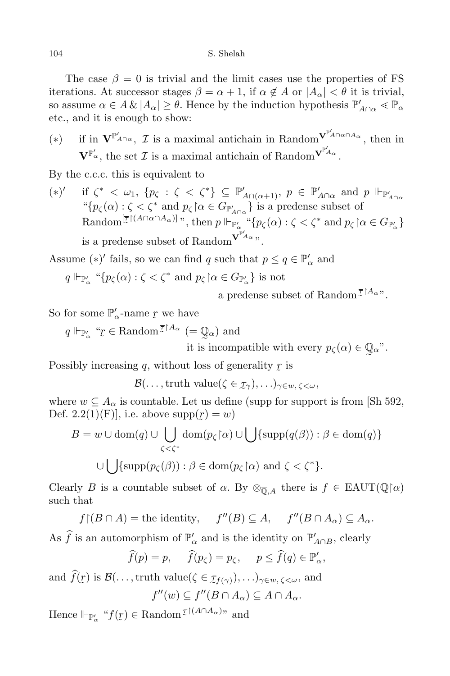The case  $\beta = 0$  is trivial and the limit cases use the properties of FS iterations. At successor stages  $\beta = \alpha + 1$ , if  $\alpha \notin A$  or  $|A_{\alpha}| < \theta$  it is trivial, so assume  $\alpha \in A \& |A_{\alpha}| \geq \theta$ . Hence by the induction hypothesis  $\mathbb{P}'_{A \cap \alpha} \lessdot \mathbb{P}_{\alpha}$ etc., and it is enough to show:

(\*) if in  $\mathbf{V}^{\mathbb{P}'_{A \cap \alpha}}, \mathcal{I}$  is a maximal antichain in Random $\sum_{n=1}^{\infty}$  then in  $\mathbf{V}^{\mathbb{P}'_{\alpha}}$ , the set *I* is a maximal antichain of Random<sup> $\mathbf{V}^{\mathbb{P}'_{A_{\alpha}}}.$ </sup>

By the c.c.c. this is equivalent to

(*∗*) *0* if  $\zeta^* < \omega_1$ ,  $\{p_\zeta : \zeta < \zeta^*\} \subseteq \mathbb{P}'_{A \cap (\alpha+1)}$ ,  $p \in \mathbb{P}'_{A \cap \alpha}$  and  $p \Vdash_{\mathbb{P}'_{A \cap \alpha}} \mathcal{L}$ <br>" $\{p_\zeta(\alpha) : \zeta < \zeta^* \text{ and } p_\zeta \}$  and  $p_\zeta \cap \alpha \in G_{\mathbb{P}'_{A \cap \alpha}}$  is a predense subset of Random $[\overline{\mathcal{I}}]^{(A \cap \alpha \cap A_{\alpha})]}$ ", then  $p \Vdash_{\mathbb{P}'_{\alpha}} \text{``$\{p_{\zeta}(\alpha) : \zeta < \zeta^*$ and $p_{\zeta} \mid \alpha \in G_{\mathbb{P}'_{\alpha}}$}\}$ is a predense subset of Random<sup> $V^{\mathbb{P}'_{A_\alpha}}$ </sup>".

Assume  $(*)'$  fails, so we can find *q* such that  $p \le q \in \mathbb{P}'_{\alpha}$  and

 $q \Vdash_{\mathbb{P}'_{\alpha}} \text{``}\{p_{\zeta}(\alpha) : \zeta < \zeta^* \text{ and } p_{\zeta} \upharpoonright \alpha \in G_{\mathbb{P}'_{\alpha}}\} \text{ is not}$ 

a predense subset of Random<sup> $\overline{\mathcal{I}}^{\restriction A_\alpha}$ ".</sup>

So for some  $\mathbb{P}'_{\alpha}$ -name  $r$  we have

*q*  $\Vdash_{\mathbb{P}'_α}$  "

 $\tilde{a}$  $f_T \in \text{Random}^{\overline{\mathcal{I}} \restriction A_\alpha} \ (= \mathbb{Q}_\alpha) \text{ and}$ 

it is incompatible with every  $p_{\zeta}(\alpha) \in \mathbb{Q}_{\alpha}$ ".

Possibly increasing *q*, without loss of generality *r* is  $\tilde{\phantom{0}}$ 

*B*(*. . ,*, *truth* value( $\zeta \in I$ <sup>*γ*</sup>),  $\ldots$ )<sub>γ∈*w*</sub>,  $\zeta$ *<* $\omega$ *,* 

where  $w \subseteq A_{\alpha}$  is countable. Let us define (supp for support is from [Sh 592, Def.  $2.2(1)(F)$ , i.e. above supp( ˜  $r) = w$ 

$$
B = w \cup \text{dom}(q) \cup \bigcup_{\zeta < \zeta^*} \text{dom}(p_\zeta \upharpoonright \alpha) \cup \bigcup_{\zeta < \zeta^*} \{\text{supp}(q(\beta)) : \beta \in \text{dom}(q)\}
$$

$$
\cup \bigcup_{\zeta \in \text{supp}(p_\zeta(\beta))} \beta \in \text{dom}(p_\zeta \upharpoonright \alpha) \text{ and } \zeta < \zeta^* \}.
$$

Clearly *B* is a countable subset of  $\alpha$ . By  $\otimes_{\overline{0}, A}$  there is  $f \in \text{EAUT}(\overline{\mathbb{Q}}|\alpha)$ such that

 $f \mid (B \cap A) =$  the identity,  $f''(B) \subseteq A$ ,  $f''(B \cap A_{\alpha}) \subseteq A_{\alpha}$ .

As *f* is an automorphism of  $\mathbb{P}'_a$  and is the identity on  $\mathbb{P}'_{A \cap B}$ , clearly

$$
\widehat{f}(p) = p, \quad \widehat{f}(p_\zeta) = p_\zeta, \quad p \leq \widehat{f}(q) \in \mathbb{P}'_\alpha,
$$

and  $f(\mathbf{r})$  is  $\mathcal{B}(\ldots, \text{truth value}(\zeta \in \mathcal{C})$ e *τf*(*γ*))*, . . .*)*γ∈w, ζ<ω*, and

$$
f''(w) \subseteq f''(B \cap A_{\alpha}) \subseteq A \cap A_{\alpha}.
$$

Hence  $\Vdash_{\mathbb{P}'_{\alpha}}$  " $f(\underline{r}) \in \text{Random}^{\overline{\mathcal{I}} \restriction (A \cap A_{\alpha})}$ " and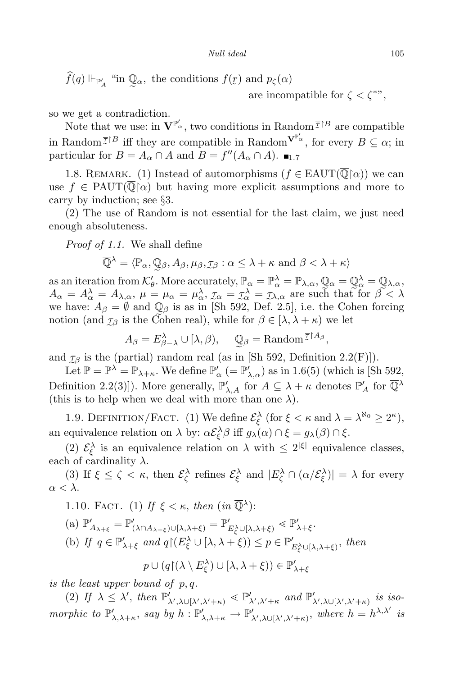$f(q) \Vdash_{\mathbb{P}'_A}$  "in  $\mathbb{Q}_\alpha$ , the conditions  $f(\mathbf{r})$  and  $p_\zeta(\alpha)$ 

are incompatible for  $\zeta < \zeta^{**}$ ,

so we get a contradiction.

Note that we use: in  $\mathbf{V}^{\mathbb{P}'_{\alpha}}$ , two conditions in Random  $\overline{\mathcal{I}}^{\uparrow B}$  are compatible in Random<sup> $\overline{\tau}$ <sup>[*B*</sup> iff they are compatible in Random<sup> $V^{\mathbb{P}'^{\alpha}}$ </sup>, for every  $B \subseteq \alpha$ ; in</sup> particular for  $B = A_{\alpha} \cap A$  and  $B = f''(A_{\alpha} \cap A)$ .  $\blacksquare$ 

1.8. REMARK. (1) Instead of automorphisms  $(f \in EAUT(\overline{\mathbb{Q}}|\alpha))$  we can use  $f \in \text{PAUT}(\overline{\mathbb{Q}}[\alpha])$  but having more explicit assumptions and more to carry by induction; see *§*3.

(2) The use of Random is not essential for the last claim, we just need enough absoluteness.

*Proof of 1.1.* We shall define

$$
\overline{\mathbb{Q}}^{\lambda} = \langle \mathbb{P}_{\alpha}, \mathbb{Q}_{\beta}, A_{\beta}, \mu_{\beta}, \mathcal{I}_{\beta} : \alpha \leq \lambda + \kappa \text{ and } \beta < \lambda + \kappa \rangle
$$

as an iteration from  $\mathcal{K}'_{\theta}$ . More accurately,  $\mathbb{P}_{\alpha} = \mathbb{P}_{\alpha}^{\lambda} = \mathbb{P}_{\lambda, \alpha}$ , i<br>I  $\mathbb{Q}_\alpha =$ l<br>1  $\mathbb{Q}^{\lambda}_{\alpha} =$ e Q*λ,α,*  $A_{\alpha} = A_{\alpha}^{\lambda} = A_{\lambda,\alpha}, \mu = \mu_{\alpha} = \mu_{\alpha}^{\lambda}, \mathcal{I}_{\alpha} = \mathcal{I}_{\alpha}^{\lambda} = \mathcal{I}_{\lambda,\alpha}$  are such that for  $\beta \leq \lambda$ we have:  $A_{\beta} = \emptyset$  and  $\mathbb{Q}_{\beta}$  is as in [Sh 592, Def. 2.5], i.e. the Cohen forcing notion (and  $\mathcal{I}_{\beta}$  is the Cohen real), while for  $\beta \in [\lambda, \lambda + \kappa)$  we let

$$
A_{\beta} = E_{\beta - \lambda}^{\lambda} \cup [\lambda, \beta), \quad \mathbb{Q}_{\beta} = \text{Random}^{\overline{\tau} \restriction A_{\beta}},
$$

and  $\mathcal{I}_{\beta}$  is the (partial) random real (as in [Sh 592, Definition 2.2(F)]).

Let  $\mathbb{P} = \mathbb{P}^{\lambda} = \mathbb{P}_{\lambda+\kappa}$ . We define  $\mathbb{P}'_{\alpha}$  ( $=\mathbb{P}'_{\lambda,\alpha}$ ) as in 1.6(5) (which is [Sh 592, Definition 2.2(3)]). More generally,  $\mathbb{P}'_{\lambda,A}$  for  $A \subseteq \lambda + \kappa$  denotes  $\mathbb{P}'_A$  for  $\overline{\mathbb{Q}}^{\lambda}$ (this is to help when we deal with more than one  $\lambda$ ).

1.9. DEFINITION/FACT. (1) We define  $\mathcal{E}_{\xi}^{\lambda}$  (for  $\xi < \kappa$  and  $\lambda = \lambda^{\aleph_0} \geq 2^{\kappa}$ ), an equivalence relation on  $\lambda$  by:  $\alpha \mathcal{E}_{\xi}^{\lambda} \beta$  iff  $g_{\lambda}(\alpha) \cap \xi = g_{\lambda}(\beta) \cap \xi$ .

(2)  $\mathcal{E}_{\xi}^{\lambda}$  is an equivalence relation on  $\lambda$  with  $\leq 2^{|\xi|}$  equivalence classes, each of cardinality  $\lambda$ .

(3) If  $\xi \le \zeta < \kappa$ , then  $\mathcal{E}_{\zeta}^{\lambda}$  refines  $\mathcal{E}_{\xi}^{\lambda}$  and  $|E_{\zeta}^{\lambda} \cap (\alpha/\mathcal{E}_{\xi}^{\lambda})| = \lambda$  for every *α < λ*.

1.10. FACT. (1) If  $\xi < \kappa$ , then  $(in \overline{Q}^{\lambda})$ :

(a) 
$$
\mathbb{P}'_{A_{\lambda+\xi}} = \mathbb{P}'_{(\lambda \cap A_{\lambda+\xi}) \cup [\lambda, \lambda+\xi)} = \mathbb{P}'_{E_{\xi}^{\lambda} \cup [\lambda, \lambda+\xi)} \leq \mathbb{P}'_{\lambda+\xi}.
$$
  
\n(b) If  $q \in \mathbb{P}'_{\lambda+\xi}$  and  $q \upharpoonright (E_{\xi}^{\lambda} \cup [\lambda, \lambda+\xi)) \leq p \in \mathbb{P}'_{E_{\xi}^{\lambda} \cup [\lambda, \lambda+\xi)},$  then

 $p \cup (q \restriction (\lambda \setminus E_{\xi}^{\lambda}) \cup [\lambda, \lambda + \xi)) \in \mathbb{P}'_{\lambda + \xi}$ 

*is the least upper bound of p, q.*

(2) If  $\lambda \leq \lambda'$ , then  $\mathbb{P}'_{\lambda',\lambda\cup[\lambda',\lambda'+\kappa)} \leq \mathbb{P}'_{\lambda',\lambda'+\kappa}$  and  $\mathbb{P}'_{\lambda',\lambda\cup[\lambda',\lambda'+\kappa)}$  is isomorphic to  $\mathbb{P}'_{\lambda,\lambda+\kappa}$ , say by  $h: \mathbb{P}'_{\lambda,\lambda+\kappa} \to \mathbb{P}'_{\lambda',\lambda \cup [\lambda',\lambda'+\kappa)}$ , where  $h = h^{\lambda,\lambda'}$  is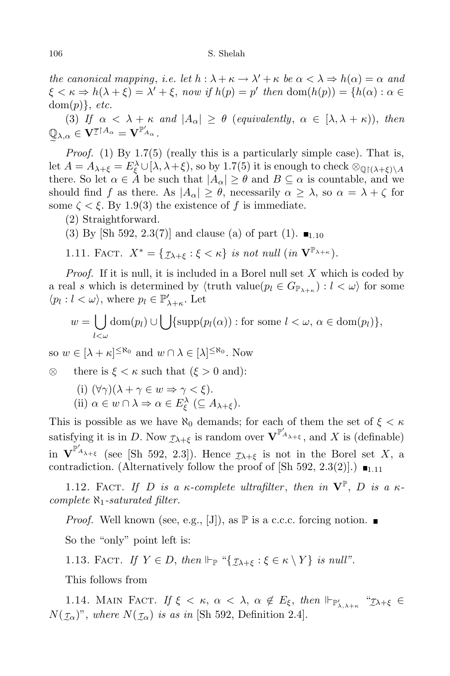*the canonical mapping*, *i.e. let*  $h : \lambda + \kappa \to \lambda' + \kappa$  *be*  $\alpha < \lambda \Rightarrow h(\alpha) = \alpha$  *and*  $\xi < \kappa \Rightarrow h(\lambda + \xi) = \lambda' + \xi$ , now if  $h(p) = p'$  then  $dom(h(p)) = \{h(\alpha) : \alpha \in \mathbb{R}^n : \alpha \in \mathbb{R}^n : \alpha \in \mathbb{R}^n : \alpha \in \mathbb{R}^n : \alpha \in \mathbb{R}^n : \alpha \in \mathbb{R}^n : \alpha \in \mathbb{R}^n : \alpha \in \mathbb{R}^n : \alpha \in \mathbb{R}^n$ dom(*p*)*}*, *etc.*

(3) *If*  $\alpha < \lambda + \kappa$  *and*  $|A_{\alpha}| \geq \theta$  (*equivalently,*  $\alpha \in [\lambda, \lambda + \kappa)$ ), *then*  $\mathbb{Q}_{\lambda,\alpha} \in \mathbf{V}^{\overline{\mathcal{I}}\restriction A_{\alpha}} = \mathbf{V}^{\mathbb{P}'_{A_{\alpha}}}.$ 

*Proof.* (1) By 1.7(5) (really this is a particularly simple case). That is, let  $A = A_{\lambda+\xi} = E_{\xi}^{\lambda} \cup [\lambda, \lambda+\xi)$ , so by 1.7(5) it is enough to check  $\otimes_{\mathbb{Q}(\lambda+\xi)} A$ there. So let  $\alpha \in \mathring{A}$  be such that  $|A_{\alpha}| \geq \theta$  and  $B \subseteq \alpha$  is countable, and we should find *f* as there. As  $|A_{\alpha}| \geq \theta$ , necessarily  $\alpha \geq \lambda$ , so  $\alpha = \lambda + \zeta$  for some  $\zeta \leq \xi$ . By 1.9(3) the existence of f is immediate.

- (2) Straightforward.
- (3) By [Sh 592, 2.3(7)] and clause (a) of part (1).  $\blacksquare$ <sub>1.10</sub>

1.11. FACT. 
$$
X^* = \{ \mathcal{I}_{\lambda + \xi} : \xi < \kappa \}
$$
 is not null (in  $\mathbf{V}^{\mathbb{P}_{\lambda + \kappa}}$ ).

Proof. If it is null, it is included in a Borel null set X which is coded by a real *s* which is determined by  $\langle \text{truth value}(p_l \in G_{\mathbb{P}_{\lambda+\kappa}}) : l < \omega \rangle$  for some  $\langle p_l : l < \omega \rangle$ , where  $p_l \in \mathbb{P}'_{\lambda+\kappa}$ . Let

$$
w = \bigcup_{l < \omega} \text{dom}(p_l) \cup \bigcup \{\text{supp}(p_l(\alpha)) : \text{for some } l < \omega, \, \alpha \in \text{dom}(p_l)\},\
$$

so  $w \in [\lambda + \kappa]^{\leq \aleph_0}$  and  $w \cap \lambda \in [\lambda]^{\leq \aleph_0}$ . Now

- *⊗* there is  $\xi < \kappa$  such that  $(\xi > 0$  and):
	- (i)  $(\forall \gamma)(\lambda + \gamma \in w \Rightarrow \gamma < \xi)$ . (ii)  $\alpha \in w \cap \lambda \Rightarrow \alpha \in E_{\xi}^{\lambda} \ (\subseteq A_{\lambda + \xi}).$

This is possible as we have  $\aleph_0$  demands; for each of them the set of  $\xi < \kappa$ satisfying it is in *D*. Now  $\mathcal{I}_{\lambda+\xi}$  is random over  $\mathbf{V}^{\mathbb{P}'_{A_{\lambda+\xi}}}$ , and X is (definable) in  $\mathbf{V}^{\mathbb{P}'_{A_{\lambda+\xi}}}$  (see [Sh 592, 2.3]). Hence  $\mathcal{I}_{\lambda+\xi}$  is not in the Borel set *X*, a contradiction. (Alternatively follow the proof of  $[Sh\ 592, 2.3(2)].$ )  $\blacksquare$ <sub>1.11</sub>

1.12. FACT. If D is a  $\kappa$ -complete ultrafilter, then in  $\mathbf{V}^{\mathbb{P}}, D$  is a  $\kappa$ *complete ℵ*1*-saturated filter.*

*Proof.* Well known (see, e.g., [J]), as  $\mathbb P$  is a c.c.c. forcing notion.

So the "only" point left is:

1.13. FACT. *If*  $Y \in D$ , *then*  $\Vdash_{\mathbb{P}}$  " $\{\mathcal{I}_{\lambda+\xi} : \xi \in \kappa \setminus Y\}$  *is null"*.

This follows from

1.14. MAIN FACT. If  $\xi < \kappa$ ,  $\alpha < \lambda$ ,  $\alpha \notin E_{\xi}$ , then  $\Vdash_{\mathbb{P}'_{\lambda,\lambda+\kappa}}$  " $\mathcal{I}_{\lambda+\xi} \in$  $N(\mathcal{I}_{\alpha})$ ", *where*  $N(\mathcal{I}_{\alpha})$  *is as in* [Sh 592, Definition 2.4].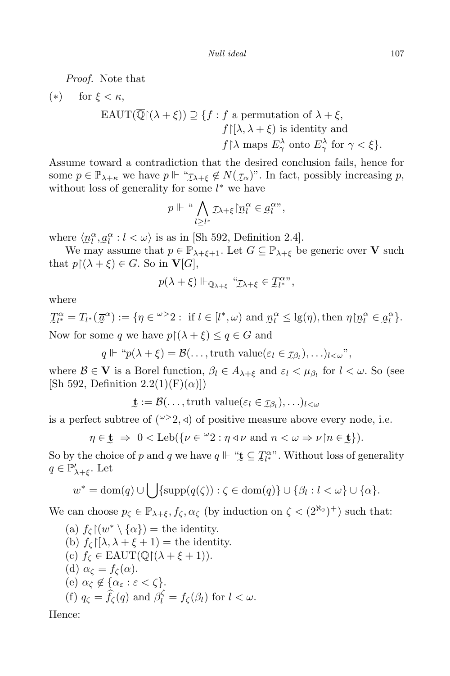*Proof.* Note that

\n- (\*) for 
$$
\xi < \kappa
$$
,\n 
$$
\text{EAUT}(\overline{\mathbb{Q}}(\lambda + \xi)) \supseteq \{f : f \text{ a permutation of } \lambda + \xi, f | [\lambda, \lambda + \xi) \text{ is identity and } f | \lambda \text{ maps } E_{\gamma}^{\lambda} \text{ onto } E_{\gamma}^{\lambda} \text{ for } \gamma < \xi \}.
$$
\n
\n

Assume toward a contradiction that the desired conclusion fails, hence for some  $p \in \mathbb{P}_{\lambda+\kappa}$  we have  $p \Vdash \text{``}\mathcal{I}_{\lambda+\xi} \notin N(\mathcal{I}_{\alpha})$ ". In fact, possibly increasing  $p$ , without loss of generality for some *l*<sup>∗</sup> we have

$$
p \Vdash \text{`` } \bigwedge_{l \geq l^*} \text{I}_{\lambda + \xi} \big[ \text{! } \mathcal{D}_l^{\alpha} \in \text{! } \mathcal{Q}_l^{\alpha \nu},
$$

where  $\langle n_l^{\alpha}, \underline{a}_l^{\alpha} : l < \omega \rangle$  is as in [Sh 592, Definition 2.4].

We may assume that  $p \in \mathbb{P}_{\lambda + \xi + 1}$ . Let  $G \subseteq \mathbb{P}_{\lambda + \xi}$  be generic over **V** such that  $p\upharpoonright (\lambda + \xi) \in G$ . So in **V**[*G*],

$$
p(\lambda + \xi) \Vdash_{\mathbb{Q}_{\lambda + \xi}} \text{``}\mathcal{I}_{\lambda + \xi} \in \mathcal{I}_{l^*}^{\alpha \nu},
$$

where

Now for some *q* we have  $p \mid (\lambda + \xi) \le q \in G$  and  $\mathcal{I}_{l^*}^{\alpha} = T_{l^*}(\overline{\mathcal{Q}}^{\alpha}) := \{ \eta \in \omega > 2 : \text{ if } l \in [l^*, \omega) \text{ and } \underline{n}_l^{\alpha} \leq \lg(\eta), \text{ then } \eta \lfloor \underline{n}_l^{\alpha} \in \underline{\mathcal{Q}}_l^{\alpha} \}.$ 

 $q \Vdash "p(\lambda + \xi) = \mathcal{B}(\ldots, \text{truth value}(\varepsilon_l \in \mathcal{I}_{\beta_l}), \ldots)_{l < \omega}$ ",

where  $\mathcal{B} \in \mathbf{V}$  is a Borel function,  $\beta_l \in A_{\lambda+\xi}$  and  $\varepsilon_l < \mu_{\beta_l}$  for  $l < \omega$ . So (see [Sh 592, Definition  $2.2(1)(F)(\alpha)$ ])

 $\mathbf{t} := \mathcal{B}(\ldots, \text{truth value}(\varepsilon_l \in \mathcal{I}_{\beta_l}), \ldots)_{l \leq \omega}$ 

is a perfect subtree of  $({}^{\omega>2}, \triangleleft)$  of positive measure above every node, i.e.

 $\eta \in \mathbf{t} \Rightarrow 0 < \text{Leb}(\{\nu \in \omega_2 : \eta \triangleleft \nu \text{ and } n < \omega \Rightarrow \nu \mid n \in \mathbf{t}\}).$ 

So by the choice of *p* and *q* we have  $q \Vdash \text{``$} \underline{\mathbf{t}} \subseteq \mathcal{I}_{l^*}^{\alpha}$ . Without loss of generality  $q \in \mathbb{P}'_{\lambda+\xi}$ . Let

$$
w^* = \text{dom}(q) \cup \bigcup \{\text{supp}(q(\zeta)) : \zeta \in \text{dom}(q)\} \cup \{\beta_l : l < \omega\} \cup \{\alpha\}.
$$

We can choose  $p_{\zeta} \in \mathbb{P}_{\lambda+\xi}$ ,  $f_{\zeta}$ ,  $\alpha_{\zeta}$  (by induction on  $\zeta < (2^{\aleph_0})^+$ ) such that:

\n- (a) 
$$
f_{\zeta}[(w^* \setminus \{\alpha\}) = \text{the identity.}
$$
\n- (b)  $f_{\zeta}[\{\lambda, \lambda + \xi + 1\}) = \text{the identity.}$
\n- (c)  $f_{\zeta} \in \text{EAUT}(\overline{\mathbb{Q}}[(\lambda + \xi + 1)).$
\n- (d)  $\alpha_{\zeta} = f_{\zeta}(\alpha)$ .
\n- (e)  $\alpha_{\zeta} \notin \{\alpha_{\varepsilon} : \varepsilon < \zeta\}$ .
\n- (f)  $q_{\zeta} = \hat{f}_{\zeta}(q)$  and  $\beta_{l}^{\zeta} = f_{\zeta}(\beta_{l})$  for  $l < \omega$ .
\n

Hence: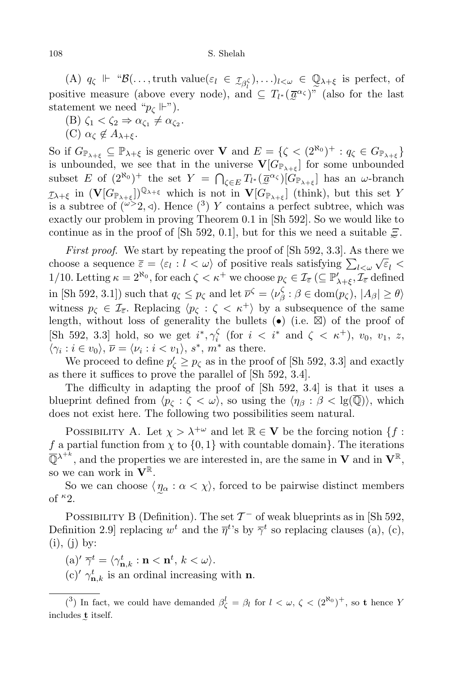$(A)$   $q_{\zeta} \Vdash \text{``}\mathcal{B}(\ldots, \text{truth value}(\varepsilon_l \in \mathcal{I}_{\beta_l^{\zeta}}), \ldots)_{l < \omega} \in \mathbb{Q}_{\lambda + \xi}$  is perfect, of positive measure (above every node), and  $\subseteq T_{l^*}(\overline{a}^{\alpha_{\zeta}})^{\widetilde{n}}$  (also for the last statement we need " $p_{\zeta}$  ||-").

- $(B) \zeta_1 < \zeta_2 \Rightarrow \alpha_{\zeta_1} \neq \alpha_{\zeta_2}.$
- (C)  $α<sub>Γ</sub>$  ∉  $A<sub>λ+ε</sub>$ .

So if  $G_{\mathbb{P}_{\lambda+\xi}} \subseteq \mathbb{P}_{\lambda+\xi}$  is generic over **V** and  $E = \{ \zeta < (2^{\aleph_0})^+ : q_\zeta \in G_{\mathbb{P}_{\lambda+\xi}} \}$ is unbounded, we see that in the universe  $\mathbf{V}[G_{\mathbb{P}_{\lambda+\xi}}]$  for some unbounded subset *E* of  $(2^{\aleph_0})^+$  the set  $Y = \bigcap_{\zeta \in E} T_{l^*}(\overline{a}^{\alpha_{\zeta}})[G_{\mathbb{P}_{\lambda+\xi}}]$  has an *ω*-branch  $\tau_{\lambda+\xi}$  in  $(\mathbf{V}[G_{\mathbb{P}_{\lambda+\xi}}])^{\mathbb{Q}_{\lambda+\xi}}$  which is not in  $\mathbf{V}[G_{\mathbb{P}_{\lambda+\xi}}]$  (think), but this set *Y* is a subtree of  $\left(\frac{\omega}{2}, 4\right)$ . Hence  $\left(\frac{3}{2}\right)$  *Y* contains a perfect subtree, which was exactly our problem in proving Theorem 0.1 in [Sh 592]. So we would like to continue as in the proof of [Sh 592, 0.1], but for this we need a suitable *Ξ*.

First proof. We start by repeating the proof of [Sh 592, 3.3]. As there we choose a sequence  $\overline{\varepsilon} = \langle \varepsilon_l : l \langle \omega \rangle \rangle$  of positive reals satisfying  $\sum_{l \leq \omega} \sqrt{\varepsilon_l}$ 1/10. Letting  $\kappa = 2^{\aleph_0}$ , for each  $\zeta < \kappa^+$  we choose  $p_{\zeta} \in \mathcal{I}_{\overline{\varepsilon}} \ ( \subseteq \mathbb{P}'_{\lambda + \xi}, \mathcal{I}_{\overline{\varepsilon}} \$  defined in [Sh 592, 3.1]) such that  $q_\zeta \leq p_\zeta$  and let  $\overline{\nu}^\zeta = \langle \nu_\beta^\zeta \rangle$ *β* : *β ∈* dom(*p<sup>ζ</sup>* )*, |Aβ| ≥ θi* witness  $p_{\zeta} \in \mathcal{I}_{\overline{\epsilon}}$ . Replacing  $\langle p_{\zeta} : \zeta \langle \kappa^+ \rangle$  by a subsequence of the same length, without loss of generality the bullets  $\left(\bullet\right)$  (i.e.  $\boxtimes$ ) of the proof of [Sh 592, 3.3] hold, so we get  $i^*, \gamma_i^{\zeta}$  $\int_{i}^{\zeta}$  (for  $i < i^*$  and  $\zeta < \kappa^+$ ),  $v_0, v_1, z$ ,  $\langle \gamma_i : i \in v_0 \rangle$ ,  $\overline{\nu} = \langle \nu_i : i \langle v_1 \rangle$ , *s*<sup>\*</sup>, *m*<sup>\*</sup> as there.

We proceed to define  $p'_{\zeta} \geq p_{\zeta}$  as in the proof of [Sh 592, 3.3] and exactly as there it suffices to prove the parallel of [Sh 592, 3.4].

The difficulty in adapting the proof of [Sh 592, 3.4] is that it uses a blueprint defined from  $\langle p_{\zeta} : \zeta < \omega \rangle$ , so using the  $\langle \eta_{\beta} : \beta < \lg(\overline{\mathbb{Q}}) \rangle$ , which does not exist here. The following two possibilities seem natural.

POSSIBILITY A. Let  $\chi > \lambda^{+\omega}$  and let  $\mathbb{R} \in V$  be the forcing notion  $\{f :$ *f* a partial function from  $\chi$  to  $\{0, 1\}$  with countable domain}. The iterations  $\overline{\mathbb{Q}}^{\lambda^{+k}}$ , and the properties we are interested in, are the same in **V** and in  $\mathbf{V}^{\mathbb{R}}$ , so we can work in  $V^{\mathbb{R}}$ .

So we can choose  $\langle \eta_a : a \langle \chi \rangle$ , forced to be pairwise distinct members of *<sup>κ</sup>*2.

POSSIBILITY B (Definition). The set  $\mathcal{T}^-$  of weak blueprints as in [Sh 592, Definition 2.9] replacing  $w^t$  and the  $\overline{\eta}^t$ 's by  $\overline{\gamma}^t$  so replacing clauses (a), (c),  $(i)$ ,  $(j)$  by:

 $\langle \mathbf{a} \rangle' \overline{\gamma}^t = \langle \gamma^t_{\mathbf{n},k} : \mathbf{n} < \mathbf{n}^t, k < \omega \rangle.$ 

 $(c)$ <sup>*t*</sup>  $\gamma_{\mathbf{n},k}^t$  is an ordinal increasing with **n**.

<sup>(&</sup>lt;sup>3</sup>) In fact, we could have demanded  $\beta_{\zeta}^l = \beta_l$  for  $l < \omega, \zeta < (2^{\aleph_0})^+$ , so **t** hence *Y* includes **t** itself.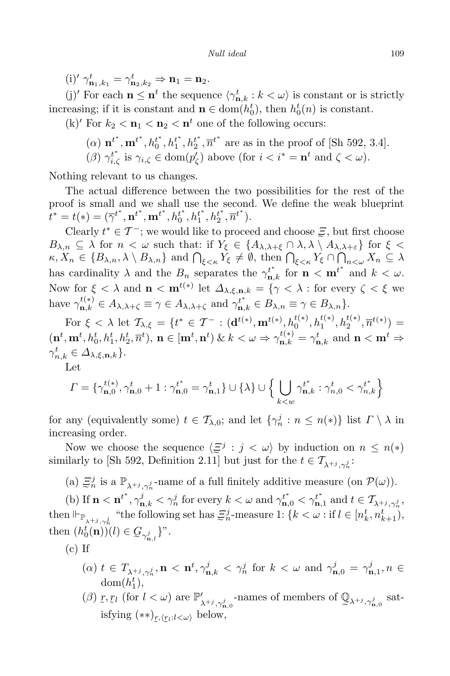$(i)'$   $\gamma_{\mathbf{n}_1,k_1}^t = \gamma_{\mathbf{n}_2,k_2}^t \Rightarrow \mathbf{n}_1 = \mathbf{n}_2.$ 

(j)<sup>*f*</sup> For each **n**  $\leq$  **n**<sup>*t*</sup> the sequence  $\langle \gamma_{n,k}^t : k < \omega \rangle$  is constant or is strictly increasing; if it is constant and  $\mathbf{n} \in \text{dom}(h_0^t)$ , then  $h_0^t(n)$  is constant.

 $(k)'$  For  $k_2 < n_1 < n_2 < n^t$  one of the following occurs:

- (a)  $\mathbf{n}^{t^*}, \mathbf{m}^{t^*}, h_0^{t^*}, h_1^{t^*}, h_2^{t^*}, \overline{n}^{t^*}$  are as in the proof of [Sh 592, 3.4].
- (*β*)  $\gamma_{i,\zeta}^{t^*}$  is  $\gamma_{i,\zeta} \in \text{dom}(p_{\zeta}')$  above (for  $i < i^* = \mathbf{n}^t$  and  $\zeta < \omega$ ).

Nothing relevant to us changes.

The actual difference between the two possibilities for the rest of the proof is small and we shall use the second. We define the weak blueprint  $t^* = t(*) = (\overline{\gamma}^{t^*}, \mathbf{n}^{t^*}, \mathbf{m}^{t^*}, h_0^{t^*}, h_1^{t^*}, h_2^{t^*}, \overline{n}^{t^*}).$ 

Clearly  $t^* \in \mathcal{T}^-$ ; we would like to proceed and choose  $\Xi$ , but first choose  $B_{\lambda,n} \subseteq \lambda$  for  $n < \omega$  such that: if  $Y_{\xi} \in \{A_{\lambda,\lambda+\xi} \cap \lambda, \lambda \setminus A_{\lambda,\lambda+\varepsilon}\}\$  for  $\xi <$  $\kappa, X_n \in \{B_{\lambda,n}, \lambda \setminus B_{\lambda,n}\}\$ and  $\bigcap_{\xi \leq \kappa} Y_{\xi} \neq \emptyset$ , then  $\bigcap_{\xi \leq \kappa} Y_{\xi} \cap \bigcap_{n \leq \omega} X_n \subseteq \lambda$ has cardinality  $\lambda$  and the  $B_n$  separates the  $\gamma_{n,k}^{t^*}$  for  $n < m^{t^*}$  and  $k < \omega$ . Now for  $\xi < \lambda$  and  $\mathbf{n} < \mathbf{m}^{t(*)}$  let  $\Delta_{\lambda,\xi,\mathbf{n},k} = \{ \gamma < \lambda : \text{for every } \zeta < \xi \text{ we}$ have  $\gamma_{\mathbf{n},k}^{t(*)} \in A_{\lambda,\lambda+\zeta} \equiv \gamma \in A_{\lambda,\lambda+\zeta}$  and  $\gamma_{\mathbf{n},k}^{t^*} \in B_{\lambda,n} \equiv \gamma \in B_{\lambda,n}$ .

For  $\xi < \lambda$  let  $\mathcal{T}_{\lambda,\xi} = \{t^* \in \mathcal{T}^- : (\mathbf{d}^{t(*)}, \mathbf{m}^{t(*)}, h_0^{t(*)}, h_1^{t(*)}, h_2^{t(*)}, \overline{n}^{t(*)}) =$  $(\mathbf{n}^t, \mathbf{m}^t, h_0^t, h_1^t, h_2^t, \overline{n}^t), \mathbf{n} \in [\mathbf{m}^t, \mathbf{n}^t) \& k < \omega \Rightarrow \gamma_{\mathbf{n},k}^{t(*)} = \gamma_{\mathbf{n},k}^t \text{ and } \mathbf{n} < \mathbf{m}^t \Rightarrow$  $\gamma_{n,k}^t \in \Delta_{\lambda,\xi,\mathbf{n},k}$  }.

Let

$$
\Gamma = \{ \gamma_{\mathbf{n},0}^{t(*)}, \gamma_{\mathbf{n},0}^t + 1 : \gamma_{\mathbf{n},0}^{t^*} = \gamma_{\mathbf{n},1}^t \} \cup \{ \lambda \} \cup \Big\{ \bigcup_{k < w} \gamma_{\mathbf{n},k}^{t^*} : \gamma_{n,0}^t < \gamma_{n,k}^{t^*} \Big\}
$$

for any (equivalently some)  $t \in \mathcal{T}_{\lambda,0}$ ; and let  $\{\gamma_n^j : n \leq n(*)\}$  list  $\Gamma \setminus \lambda$  in increasing order.

Now we choose the sequence  $\langle \overline{\Xi}^j : j \langle \omega \rangle \rangle$  by induction on  $n \leq n(*)$ similarly to [Sh 592, Definition 2.11] but just for the  $t \in \mathcal{T}_{\lambda+i, \gamma_n^j}$ :

(a)  $\Xi_n^j$  is a  $\mathbb{P}_{\lambda^{+j}, \gamma_n^j}$ -name of a full finitely additive measure (on  $\mathcal{P}(\omega)$ ).

(b) If  $\mathbf{n} < \mathbf{n}^{t^*}, \gamma_{\mathbf{n},k}^j < \gamma_n^j$  for every  $k < \omega$  and  $\gamma_{\mathbf{n},0}^{t^*} < \gamma_{\mathbf{n},1}^{t^*}$  and  $t \in \mathcal{T}_{\lambda^{+j}, \gamma_n^j}$ , then  $\Vdash_{\mathbb{P}_{\lambda^{+j},\gamma_n^j}}$  "the following set has  $\Xi_n^j$ -measure 1:  $\{k < \omega : \text{if } l \in [n_k^t, n_{k+1}^t),\}$ then  $(h_0^t(\mathbf{n}))(l) \in \mathcal{G}_{\gamma_{\mathbf{n},l}^j}$ <sup>y</sup>.

 $(c)$  If

- $(\alpha)$   $t \in T_{\lambda^{+j}, \gamma_n^j}$ ,  $n <$   $n^t, \gamma_{n,k}^j < \gamma_n^j$  for  $k < \omega$  and  $\gamma_{n,0}^j = \gamma_{n,1}^j, n \in$  $dom(h_1^t)$ ,
- (*β*)  $\tilde{a}$ *r,*  $r_l$  (for  $l < \omega$ ) are  $\mathbb{P}'_{\lambda^{+j}, \gamma^j_{\mathbf{n},0}}$ -names of members of  $\mathbb{Q}_{\lambda^{+j}, \gamma^j_{\mathbf{n},0}}$  satisfying  $(**)_{\mathcal{I},\langle\mathcal{I}l:l<\omega\rangle}$  below,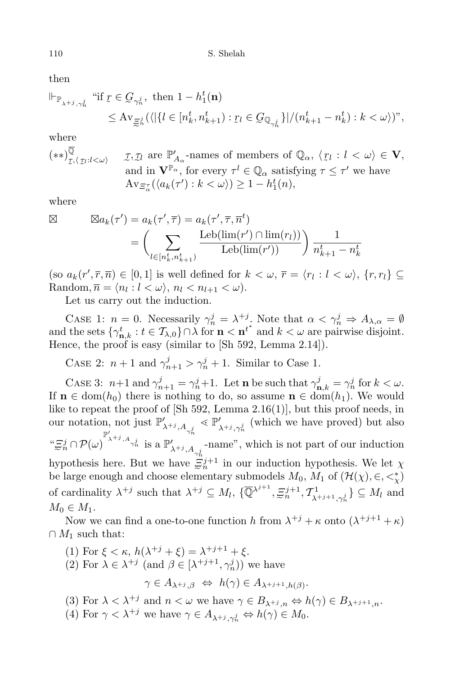then

$$
\begin{aligned} \|\mathbf{F}_{\mathbb{P}_{\lambda^{+j},\gamma_n^j}} \text{ ``if } & \underline{r} \in \underline{G}_{\gamma_n^j}, \text{ then } 1 - h_1^t(\mathbf{n}) \\ &\leq \mathrm{Av}_{\underline{\Xi}_n^j}(\langle |\{l \in [n_k^t, n_{k+1}^t) : \underline{r}_l \in \underline{G}_{\mathbb{Q}_{\gamma_n^j}}\}|/(n_{k+1}^t - n_k^t) : k < \omega \rangle)^n, \end{aligned}
$$

where

$$
(**)_{\mathcal{I},\langle \mathcal{I}l:\mathcal{I}\langle\omega\rangle}^{\overline{\mathbb{Q}}}\qquad \mathcal{I},\mathcal{I}l \text{ are } \mathbb{P}'_{A_{\alpha}}\text{-names of members of } \mathbb{Q}_{\alpha}, \langle \mathcal{I}l: l<\omega\rangle \in \mathbf{V},
$$
  
and in  $\mathbf{V}^{\mathbb{P}_{\alpha}}$ , for every  $\tau^l \in \mathbb{Q}_{\alpha}$  satisfying  $\tau \leq \tau'$  we have  
 $\mathrm{Av}_{\varXi_{\alpha}^{\tau}}(\langle a_k(\tau'):k<\omega\rangle)\geq 1-h_1^t(n),$ 

where

$$
\boxtimes \qquad \boxtimes a_k(\tau') = a_k(\tau', \overline{\tau}) = a_k(\tau', \overline{\tau}, \overline{n}^t)
$$

$$
= \left(\sum_{l \in [n_k^t, n_{k+1}^t)} \frac{\text{Leb}(\text{lim}(r') \cap \text{lim}(r_l))}{\text{Leb}(\text{lim}(r'))}\right) \frac{1}{n_{k+1}^t - n_k^t}
$$

(so  $a_k(r', \overline{r}, \overline{n}) \in [0, 1]$  is well defined for  $k < \omega, \overline{r} = \langle r_l : l < \omega \rangle, \{r, r_l\} \subseteq$  $\text{Random}, \overline{n} = \langle n_l : l < \omega \rangle, n_l < n_{l+1} < \omega).$ 

Let us carry out the induction.

CASE 1: *n* = 0. Necessarily  $\gamma_n^j = \lambda^{+j}$ . Note that  $\alpha < \gamma_n^j \Rightarrow A_{\lambda,\alpha} = \emptyset$ and the sets  $\{\gamma^t_{n,k} : t \in \mathcal{T}_{\lambda,0}\}\cap \lambda$  for  $n < n^{t^*}$  and  $k < \omega$  are pairwise disjoint. Hence, the proof is easy (similar to [Sh 592, Lemma 2.14]).

CASE 2:  $n+1$  and  $\gamma_{n+1}^j > \gamma_n^j + 1$ . Similar to Case 1.

CASE 3: *n*+1 and  $\gamma_{n+1}^j = \gamma_n^j + 1$ . Let **n** be such that  $\gamma_{n,k}^j = \gamma_n^j$  for  $k < \omega$ . If  $\mathbf{n} \in \text{dom}(h_0)$  there is nothing to do, so assume  $\mathbf{n} \in \text{dom}(h_1)$ . We would like to repeat the proof of  $[\text{Sh } 592, \text{ Lemma } 2.16(1)]$ , but this proof needs, in our notation, not just  $\mathbb{P}'_{\lambda^{+j}, A_{\gamma_n^j}} \leq \mathbb{P}'_{\lambda^{+j}, \gamma_n^j}$  (which we have proved) but also  $\lambda^{1}$ ,  $\gamma_n^2$  $\lim_{n\to\infty} \mathbb{P}(\omega)$   $\lim_{n\to\infty} \mathbb{P}(\omega)$  is a  $\mathbb{P}'_{\lambda^{+j}, A_{\gamma_n^j}}$ -name", which is not part of our induction hypothesis here. But we have  $\frac{n}{\epsilon}j^{+1}$  in our induction hypothesis. We let  $\chi$ be large enough and choose elementary submodels  $M_0$ ,  $M_1$  of  $(\mathcal{H}(\chi), \in, \leq^*_{\chi})$ of cardinality  $\lambda^{+j}$  such that  $\lambda^{+j} \subseteq M_l$ ,  $\{\overline{\mathbb{Q}}^{\lambda^{j+1}}, \overline{\Xi}_n^{j+1}, \mathcal{T}_{\lambda}^1\}$  $\{X_{l+1}, Y_{l}^{j}\} \subseteq M_{l}$  and  $M_0 \in M_1$ .

Now we can find a one-to-one function *h* from  $\lambda^{+j} + \kappa$  onto  $(\lambda^{+j+1} + \kappa)$  $∩ M_1$  such that:

- (1) For  $\xi < \kappa$ ,  $h(\lambda^{+j} + \xi) = \lambda^{+j+1} + \xi$ . (2) For  $\lambda \in \lambda^{+j}$  (and  $\beta \in [\lambda^{+j+1}, \gamma_n^j)$ ) we have  $\gamma \in A_{\lambda^{+j},\beta} \Leftrightarrow h(\gamma) \in A_{\lambda^{+j+1},h(\beta)}$ .
- (3) For  $\lambda < \lambda^{+j}$  and  $n < \omega$  we have  $\gamma \in B_{\lambda^{+j},n} \Leftrightarrow h(\gamma) \in B_{\lambda^{+j+1},n}$ .
- $(4)$  For  $\gamma < \lambda^{+j}$  we have  $\gamma \in A_{\lambda^{+j}, \gamma_n^j} \Leftrightarrow h(\gamma) \in M_0$ .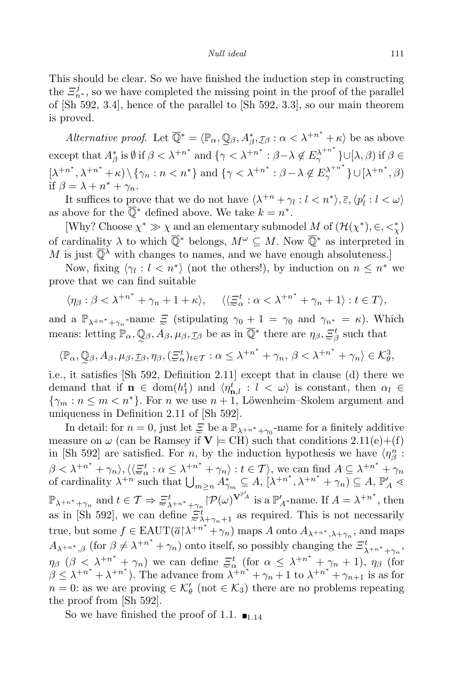This should be clear. So we have finished the induction step in constructing the  $\mathcal{Z}_{n^*}^j$ , so we have completed the missing point in the proof of the parallel of [Sh 592, 3.4], hence of the parallel to [Sh 592, 3.3], so our main theorem is proved.

*Alternative proof.* Let  $\overline{\mathbb{Q}}^* = \langle \mathbb{P}_\alpha, \mathbb{Q}_\beta, A_\beta^*, \mathcal{I}_\beta : \alpha < \lambda^{+n^*} + \kappa \rangle$  be as above except that  $A_{\beta}^*$  is  $\emptyset$  if  $\beta < \lambda^{+n^*}$  and  $\{\gamma < \lambda^{+n^*} : \beta - \lambda \notin E_{\gamma}^{\lambda^{+n^*}}\}\cup [\lambda, \beta)$  if  $\beta \in$  $[\lambda^{+n^*}, \lambda^{+n^*} + \kappa) \setminus {\gamma_n : n < n^*}$  and  $\{\gamma < \lambda^{+n^*} : \beta - \lambda \notin E_\gamma^{\lambda^{+n^*}}\} \cup [\lambda^{+n^*}, \beta)$ if  $\beta = \lambda + n^* + \gamma_n$ .

It suffices to prove that we do not have  $\langle \lambda^{+n} + \gamma_l : l \leq n^* \rangle$ ,  $\overline{\varepsilon}, \langle p'_l : l \leq \omega \rangle$ as above for the  $\mathbb{Q}^*$  defined above. We take  $k = n^*$ .

[Why? Choose  $\chi^* \gg \chi$  and an elementary submodel *M* of  $(\mathcal{H}(\chi^*), \in, \lt^*_{\chi})$ of cardinality  $\lambda$  to which  $\overline{\mathbb{Q}}^*$  belongs,  $M^\omega \subseteq M$ . Now  $\overline{\mathbb{Q}}^*$  as interpreted in *M* is just  $\overline{\mathbb{Q}}^{\lambda}$  with changes to names, and we have enough absoluteness.

Now, fixing  $\langle \gamma_l : l \leq n^* \rangle$  (not the others!), by induction on  $n \leq n^*$  we prove that we can find suitable

$$
\langle \eta_{\beta} : \beta < \lambda^{+n^*} + \gamma_n + 1 + \kappa \rangle
$$
,  $\langle \langle \xi_{\alpha}^t : \alpha < \lambda^{+n^*} + \gamma_n + 1 \rangle : t \in T \rangle$ ,

and a  $\mathbb{P}_{\lambda^{+n^*}+\gamma_n}$ -name  $\Xi$  (stipulating  $\gamma_0+1=\gamma_0$  and  $\gamma_{n^*}=\kappa$ ). Which means: letting  $\mathbb{P}_{\alpha}$ ,  $\mathbb{Q}_{\beta}$ ,  $A_{\beta}$ ,  $\mu_{\beta}$ ,  $\tau_{\beta}$  be as in  $\overline{\mathbb{Q}}^*$  there are  $\eta_{\beta}$ ,  $\Xi_{\beta}^t$  such that

$$
\langle \mathbb{P}_{\alpha}, \mathbb{Q}_{\beta}, A_{\beta}, \mu_{\beta}, \mathcal{I}_{\beta}, \eta_{\beta}, (\Xi_{\alpha}^{t})_{t \in \mathcal{T}} : \alpha \leq \lambda^{+n^{*}} + \gamma_{n}, \beta < \lambda^{+n^{*}} + \gamma_{n} \rangle \in \mathcal{K}_{\theta}^{3},
$$

i.e., it satisfies [Sh 592, Definition 2.11] except that in clause (d) there we demand that if  $\mathbf{n} \in \text{dom}(h_1^t)$  and  $\langle \eta_{\mathbf{n},l}^t : l < \omega \rangle$  is constant, then  $\alpha_l \in$  $\{\gamma_m : n \leq m < n^*\}$ . For *n* we use  $n+1$ , Löwenheim–Skolem argument and uniqueness in Definition 2.11 of [Sh 592].

In detail: for  $n = 0$ , just let  $\mathcal{Z}$  be a  $\mathbb{P}_{\lambda^{+n^*}+\gamma_0}$ -name for a finitely additive measure on  $\omega$  (can be Ramsey if  $V \models CH$ ) such that conditions 2.11(e)+(f) in [Sh 592] are satisfied. For *n*, by the induction hypothesis we have  $\langle \eta_{\beta}^{n}$ :  $\beta < \lambda^{+n^*} + \gamma_n\rangle, \langle\langle$ e  $\Xi_{\alpha}^{t}: \alpha \leq \lambda^{+n^{*}} + \gamma_{n}$ :  $t \in \mathcal{T}$ , we can find  $A \subseteq \lambda^{+n^{*}} + \gamma_{n}$ of cardinality  $\lambda^{+n}$  such that  $\bigcup_{m\geq n} A^*_{\gamma_m} \subseteq A$ ,  $[\lambda^{+n^*}, \lambda^{+n^*} + \gamma_n) \subseteq A$ ,  $\mathbb{P}'_A$  $\mathbb{P}_{\lambda^{+n^*}+\gamma_n}$  and  $t \in \mathcal{T} \Rightarrow$  $\mathbf d$  $\Xi_{\lambda^{+n^*}+\gamma_n}^t$   $\lvert \mathcal{P}(\omega)^{\mathbf{V}^{\mathbb{P}'\!A}}$  is a  $\mathbb{P}'_A$ -name. If  $A=\lambda^{+n^*}$ , then as in [Sh 592], we can define  $\Xi_{\lambda+\gamma_n+1}^t$  as required. This is not necessarily true, but some  $f \in \text{EAUT}(\overline{a}|\lambda^{+n^*} + \gamma_n)$  maps *A* onto  $A_{\lambda^{+n^*}, \lambda + \gamma_n}$ , and maps  $A_{\lambda^{+n^*},\beta}$  (for  $\beta \neq \lambda^{+n^*} + \gamma_n$ ) onto itself, so possibly changing the  $\Xi^t_{\lambda^{+n^*}+\gamma_n}$ , *n*<sub>β</sub> (*β* <  $\lambda^{+n^*} + \gamma_n$ ) we can define e  $\Xi_{\alpha}^{t}$  (for  $\alpha \leq \lambda^{+n^{*}} + \gamma_{n} + 1$ ),  $\eta_{\beta}$  (for  $\beta \leq \lambda^{+n^*} + \lambda^{+n^*}$ . The advance from  $\lambda^{+n^*} + \gamma_n + 1$  to  $\lambda^{+n^*} + \gamma_{n+1}$  is as for  $n = 0$ : as we are proving  $\in \mathcal{K}'_\theta$  (not  $\in \mathcal{K}_3$ ) there are no problems repeating the proof from [Sh 592].

So we have finished the proof of 1.1.  $\blacksquare$ <sub>1.14</sub>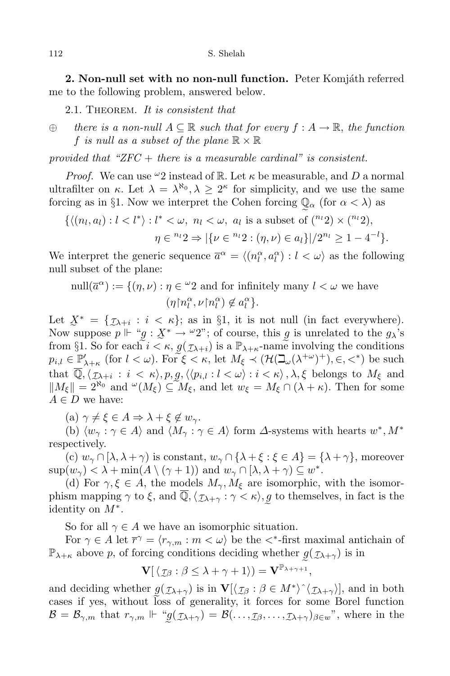**2. Non-null** set with no non-null function. Peter Komjáth referred me to the following problem, answered below.

2.1. Theorem. *It is consistent that*

*⊕ there is a non-null A ⊆* R *such that for every f* : *A →* R, *the function f is null* as a *subset* of the plane  $\mathbb{R} \times \mathbb{R}$ 

*provided that "ZFC* + *there is a measurable cardinal" is consistent.*

*Proof.* We can use  $\omega_2$  instead of R. Let  $\kappa$  be measurable, and D a normal ultrafilter on *κ*. Let  $\lambda = \lambda^{\aleph_0}, \lambda \geq 2^{\kappa}$  for simplicity, and we use the same forcing as in §1. Now we interpret the Cohen forcing  $\mathbb{Q}_{\alpha}$  (for  $\alpha < \lambda$ ) as

 $\{\langle (n_l, a_l) : l < l^* \rangle : l^* < \omega, n_l < \omega, a_l \text{ is a subset of } \binom{n_l}{2} \times \binom{n_l}{2},\}$  $\eta \in {}^{n_l}2 \Rightarrow |\{\nu \in {}^{n_l}2 : (\eta, \nu) \in a_l\}|/2^{n_l} \geq 1-4^{-l}\}.$ 

We interpret the generic sequence  $\overline{a}^{\alpha} = \langle (n_l^{\alpha}, a_l^{\alpha}) : l < \omega \rangle$  as the following null subset of the plane:

$$
\text{null}(\overline{a}^{\alpha}) := \{ (\eta, \nu) : \eta \in {}^{\omega}2 \text{ and for infinitely many } l < \omega \text{ we have}
$$

$$
(\eta {\upharpoonright} n_l^{\alpha}, \nu {\upharpoonright} n_l^{\alpha}) \notin a_l^{\alpha} \}.
$$

Let  $X^* = \{ \mathcal{I}_{\lambda + i} : i \leq \kappa \}$ ; as in §1, it is not null (in fact everywhere). Now suppose  $p \Vdash "g : X^* \to "2";$  of course, this *g* is unrelated to the  $g_\lambda$ 's from §1. So for each  $i < \kappa$ ,  $g(\mathcal{I}_{\lambda+i})$  is a  $\mathbb{P}_{\lambda+\kappa}$ -name involving the conditions  $p_{i,l} \in \underline{\mathbb{P}}'_{\lambda+\kappa}$  (for  $l < \omega$ ). For  $\xi < \kappa$ , let  $M_{\xi} \prec (\mathcal{H}(\beth_\omega(\lambda^{+\omega})^+), \in, <^*)$  be such that  $\mathbb{Q}, \langle \mathcal{I}_{\lambda+i} : i \langle \kappa \rangle, p, \mathcal{Q}, \langle \langle p_{i,l} : l \langle \omega \rangle : i \langle \kappa \rangle, \lambda, \xi \text{ belongs to } M_{\xi} \text{ and}$  $||M_{\xi}|| = 2^{\aleph_0}$  and  $\omega(M_{\xi}) \subseteq M_{\xi}$ , and let  $w_{\xi} = M_{\xi} \cap (\lambda + \kappa)$ . Then for some  $A \in D$  we have:

 $(a) \gamma \neq \xi \in A \Rightarrow \lambda + \xi \notin w_{\gamma}$ .

(b)  $\langle w_{\gamma} : \gamma \in A \rangle$  and  $\langle M_{\gamma} : \gamma \in A \rangle$  form  $\Delta$ -systems with hearts  $w^*, M^*$ respectively.

(c)  $w_{\gamma} \cap [\lambda, \lambda + \gamma)$  is constant,  $w_{\gamma} \cap {\lambda + \xi : \xi \in A} = {\lambda + \gamma}$ , moreover  $\sup(w_{\gamma}) < \lambda + \min(A \setminus (\gamma + 1))$  and  $w_{\gamma} \cap [\lambda, \lambda + \gamma) \subseteq w^*$ .

(d) For  $\gamma, \xi \in A$ , the models  $M_{\gamma}, M_{\xi}$  are isomorphic, with the isomorphism mapping  $\gamma$  to  $\xi$ , and  $\mathbb{Q}, \langle \chi_{\lambda+\gamma} : \gamma < \kappa \rangle$ , g to themselves, in fact is the identity on *M<sup>∗</sup>* .

So for all  $\gamma \in A$  we have an isomorphic situation.

For  $\gamma \in A$  let  $\overline{r}^{\gamma} = \langle r_{\gamma,m} : m \langle \omega \rangle$  be the  $\langle *$ -first maximal antichain of  $\mathbb{P}_{\lambda+\kappa}$  above *p*, of forcing conditions deciding whether  $g(\mathcal{I}_{\lambda+\gamma})$  is in

$$
\mathbf{V}[\langle \mathcal{I}\beta : \beta \leq \lambda + \gamma + 1 \rangle) = \mathbf{V}^{\mathbb{P}_{\lambda + \gamma + 1}},
$$

and deciding whether  $g(\tau_{\lambda+\gamma})$  is in  $\mathbf{V}[\langle \tau_{\beta} : \beta \in M^* \rangle \hat{\ } \langle \tau_{\lambda+\gamma} \rangle]$ , and in both cases if yes, without loss of generality, it forces for some Borel function  $\mathcal{B} = \mathcal{B}_{\gamma,m}$  that  $r_{\gamma,m} \Vdash \text{``}g(\text{I}_{\lambda+\gamma}) = \mathcal{B}(\ldots,\text{I}_{\beta},\ldots,\text{I}_{\lambda+\gamma})_{\beta \in w}$ ", where in the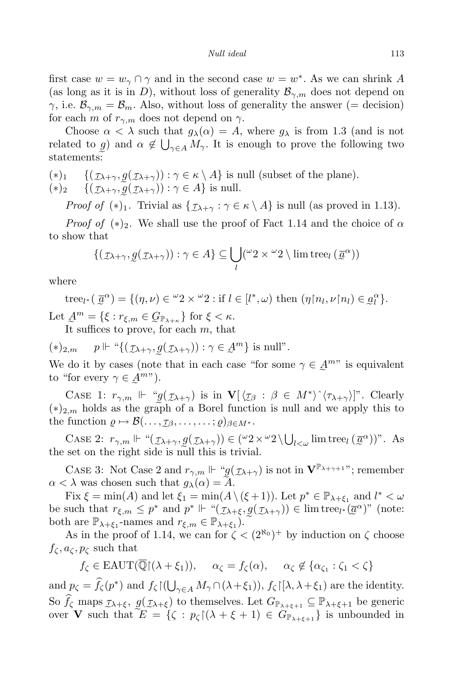first case  $w = w_\gamma \cap \gamma$  and in the second case  $w = w^*$ . As we can shrink *A* (as long as it is in *D*), without loss of generality  $\mathcal{B}_{\gamma,m}$  does not depend on *γ*, i.e.  $\mathcal{B}_{\gamma,m} = \mathcal{B}_m$ . Also, without loss of generality the answer (= decision) for each *m* of  $r_{\gamma,m}$  does not depend on  $\gamma$ .

Choose  $\alpha < \lambda$  such that  $g_{\lambda}(\alpha) = A$ , where  $g_{\lambda}$  is from 1.3 (and is not related to *g*) and  $\alpha \notin \bigcup_{\gamma \in A} M_{\gamma}$ . It is enough to prove the following two statements:

$$
(*)_1 \quad \{(\mathcal{I} \lambda + \gamma, g(\mathcal{I} \lambda + \gamma)) : \gamma \in \kappa \setminus A\} \text{ is null (subset of the plane)}.
$$

$$
(*)_2 \quad \{ (\mathcal{I}_{\lambda+\gamma}, \underline{g}(\mathcal{I}_{\lambda+\gamma})) : \gamma \in A \} \text{ is null.}
$$

*Proof of* (\*)<sub>1</sub>. Trivial as  $\{\mathcal{I}_{\lambda+\gamma} : \gamma \in \kappa \setminus A\}$  is null (as proved in 1.13).

*Proof of* (\*)<sub>2</sub>. We shall use the proof of Fact 1.14 and the choice of  $\alpha$ to show that

$$
\{(\mathcal{I}_{\lambda+\gamma}, g(\mathcal{I}_{\lambda+\gamma})) : \gamma \in A\} \subseteq \bigcup_{l} (\omega_2 \times \omega_2 \setminus \text{lim tree}_{l}(\overline{a}^{\alpha}))
$$

where

tree<sub>l\*</sub> 
$$
(\overline{a}^{\alpha}) = \{(\eta, \nu) \in {}^{\omega}2 \times {}^{\omega}2 : \text{if } l \in [l^*, \omega) \text{ then } (\eta \upharpoonright n_l, \nu \upharpoonright n_l) \in \underline{a}_l^{\alpha} \}.
$$

Let  $\mathcal{A}^m = {\xi : r_{\xi,m} \in \mathcal{G}_{\mathbb{P}_{\lambda+\kappa}}}$  for  $\xi < \kappa$ .

It suffices to prove, for each  $m$ , that

$$
(*)_{2,m} \quad p \Vdash ``{\{(\mathcal{I}_{\lambda+\gamma}, \underline{g}(\mathcal{I}_{\lambda+\gamma})) : \gamma \in \underline{\mathcal{A}}^m\} \text{ is null}''}.
$$

We do it by cases (note that in each case "for some  $\gamma \in \mathcal{A}^{m}$ " is equivalent to "for every  $\gamma \in \mathcal{A}^{m}$ ").

CASE 1:  $r_{\gamma,m}$   $\Vdash$  " $g(\mathcal{I}_{\lambda+\gamma})$  is in  $\mathbf{V}[\langle \mathcal{I}_{\beta} : \beta \in M^* \rangle \hat{\langle} \tau_{\lambda+\gamma} \rangle]$ ". Clearly  $(*)_{2,m}$  holds as the graph of a Borel function is null and we apply this to the function  $\rho \mapsto \mathcal{B}(\ldots, \mathcal{I}\beta, \ldots, \ldots; \rho)_{\beta \in M^*}.$ 

CASE 2:  $r_{\gamma,m} \Vdash ``(\mathcal{I} \lambda + \gamma, \mathcal{G}(\mathcal{I} \lambda + \gamma)) \in ({}^{\omega}2 \times {}^{\omega}2 \setminus \bigcup_{l < \omega} \text{lim tree}_l (\overline{\mathcal{A}}^{\alpha}))^n$ . As the set on the right side is null this is trivial.

CASE 3: Not Case 2 and  $r_{\gamma,m} \Vdash \text{``} g(\mathcal{I}_{\lambda+\gamma})$  is not in  $\mathbf{V}^{\mathbb{P}_{\lambda+\gamma+1}}$ "; remember  $\alpha < \lambda$  was chosen such that  $g_{\lambda}(\alpha) = A$ .

Fix  $\xi = \min(A)$  and let  $\xi_1 = \min(A \setminus (\xi + 1))$ . Let  $p^* \in \mathbb{P}_{\lambda + \xi_1}$  and  $l^* < \omega$ be such that  $r_{\xi,m} \leq p^*$  and  $p^* \Vdash \mu(\mathcal{I} \lambda + \xi, \mathcal{Q}(\mathcal{I} \lambda + \gamma)) \in \text{lim tree}_{l^*}(\overline{\mathcal{Q}}^{\alpha})^n$  (note: both are  $\mathbb{P}_{\lambda+\xi_1}$ -names and  $r_{\xi,m} \in \mathbb{P}_{\lambda+\xi_1}$ .  $\left(\frac{1}{2}x\right)^{n}$ 

As in the proof of 1.14, we can for  $\zeta < (2^{\aleph_0})^+$  by induction on  $\zeta$  choose  $f_{\mathcal{C}}$ ,  $a_{\mathcal{C}}$ ,  $p_{\mathcal{C}}$  such that

 $f_{\zeta} \in \text{EAUT}(\mathbb{Q}[(\lambda + \xi_1)), \quad \alpha_{\zeta} = f_{\zeta}(\alpha), \quad \alpha_{\zeta} \notin \{\alpha_{\zeta_1} : \zeta_1 < \zeta\}$ 

and  $p_{\zeta} = \hat{f}_{\zeta}(p^*)$  and  $f_{\zeta}(\bigcup_{\gamma \in A} M_{\gamma} \cap (\lambda + \xi_1)), f_{\zeta}(\lambda, \lambda + \xi_1)$  are the identity. So  $f_\zeta$  maps  $\mathbf{a}$ *τλ*+*ξ,* e *g*(  $(\mathcal{I}\lambda + \xi)$  to themselves. Let  $G_{\mathbb{P}_{\lambda+\xi+1}} \subseteq \mathbb{P}_{\lambda+\xi+1}$  be generic over **V** such that  $E = \{ \zeta : p_{\zeta} | (\lambda + \xi + 1) \in G_{\mathbb{P}_{\lambda + \xi + 1}} \}$  is unbounded in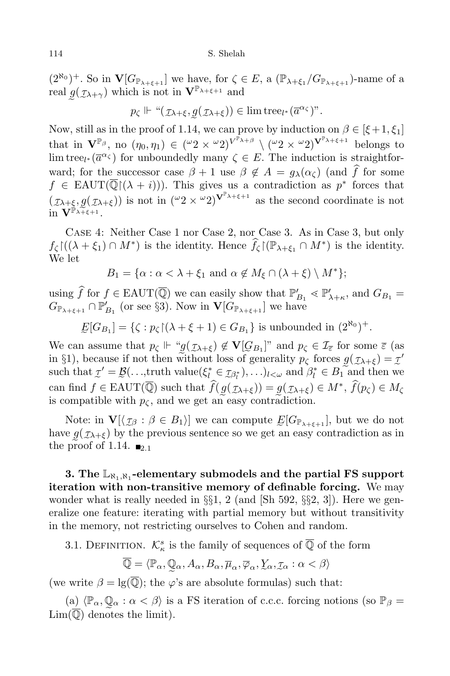$(2^{\aleph_0})^+$ . So in  $\mathbf{V}[G_{\mathbb{P}_{\lambda+\xi+1}}]$  we have, for  $\zeta \in E$ , a  $(\mathbb{P}_{\lambda+\xi_1}/G_{\mathbb{P}_{\lambda+\xi+1}})$ -name of a real  $g(\mathcal{I} \lambda + \gamma)$  which is not in  $\mathbf{V}^{\mathbb{P}_{\lambda+\xi+1}}$  and

$$
p_{\zeta} \Vdash "(\mathcal{I}_{\lambda+\xi}, \underline{g}(\mathcal{I}_{\lambda+\xi})) \in \lim \text{tree}_{l^*}(\overline{a}^{\alpha_{\zeta}})^n.
$$

Now, still as in the proof of 1.14, we can prove by induction on  $\beta \in [\xi + 1, \xi_1]$ that in  $\mathbf{V}^{\mathbb{P}_{\beta}},$  no  $(\eta_0, \eta_1) \in (\omega_2 \times \omega_2)^{V^{\mathbb{P}_{\lambda+\beta}}} \setminus (\omega_2 \times \omega_2)^{V^{\mathbb{P}_{\lambda+\xi+1}}}$  belongs to lim tree<sub>l</sub><sup>\*</sup> ( $\overline{a}^{\alpha}$ <sup>*ζ*</sup>) for unboundedly many  $\zeta \in E$ . The induction is straightforward; for the successor case  $\beta + 1$  use  $\beta \notin A = g_{\lambda}(\alpha_{\zeta})$  (and  $\hat{f}$  for some  $f \in \text{EAUT}(\mathbb{Q}(\lambda + i))$ . This gives us a contradiction as *p ∗* forces that (  $\mathbf{a}$ *τλ*+*ξ,* e *g*(  $^{+1}$  $(\mathcal{I}(\lambda+\xi))$  is not in  $({}^{\omega}2 \times {}^{\omega}2)$ **V**<sup> $\mathbb{P}(\lambda+\xi+1)}$  as the second coordinate is not</sup> in  $\mathbf{V}^{\mathbb{P}_{\lambda+\xi+1}}$ .

Case 4: Neither Case 1 nor Case 2, nor Case 3. As in Case 3, but only  $f_\zeta$   $((\lambda + \xi_1) \cap M^*)$  is the identity. Hence  $f_\zeta$  ( $(\mathbb{P}_{\lambda + \xi_1} \cap M^*)$  is the identity. We let

$$
B_1 = \{ \alpha : \alpha < \lambda + \xi_1 \text{ and } \alpha \notin M_{\xi} \cap (\lambda + \xi) \setminus M^* \};
$$

using *f* for  $f \in EAUT(\mathbb{Q})$  we can easily show that  $\mathbb{P}'_{B_1} \leq \mathbb{P}'_{\lambda+\kappa}$ , and  $G_{B_1} =$  $G_{\mathbb{P}_{\lambda+\xi+1}} \cap \mathbb{P}'_{B_1}$  (or see §3). Now in  $\mathbf{V}[G_{\mathbb{P}_{\lambda+\xi+1}}]$  we have

 $E[G_{B_1}] = \{ \zeta : p_{\zeta} | (\lambda + \xi + 1) \in G_{B_1} \}$  is unbounded in  $(2^{\aleph_0})^+$ .

We can assume that  $p_\zeta \Vdash \text{``}g(\text{I}\chi_{+\xi}) \notin \mathbf{V}[G_{B_1}]$ " and  $p_\zeta \in \text{I}_{\overline{\varepsilon}}$  for some  $\overline{\varepsilon}$  (as in §1), because if not then without loss of generality  $p_\zeta$  forces  $g(\tau_{\lambda+\xi}) = \tau'$ such that  $\tau' = \mathcal{B}(\ldots, \text{truth value}(\xi_l^* \in \mathcal{I}_{\beta_l^*}), \ldots)_{l \leq \omega}$  and  $\beta_l^* \in B_1$  and then we can find  $f \in \text{EAUT}(\mathbb{Q})$  such that  $f(g(\mathcal{I}_{\lambda+\xi})) = g(\mathcal{I}_{\lambda+\xi}) \in M^*$ ,  $f(p_{\zeta}) \in M_{\zeta}$ is compatible with  $p_{\zeta}$ , and we get an easy contradiction.

Note: in  $\mathbf{V}[\langle \mathcal{I}\beta : \beta \in B_1 \rangle]$  we can compute  $E[G_{\mathbb{P}_{\lambda+\xi+1}}]$ , but we do not have  $g(\tau_{\lambda+\xi})$  by the previous sentence so we get an easy contradiction as in the proof of 1.14.  $\blacksquare$ <sub>2.1</sub>

**3. The** L*ℵ*1*,ℵ*<sup>1</sup> **-elementary submodels and the partial FS support iteration with non-transitive memory of definable forcing.** We may wonder what is really needed in *§§*1, 2 (and [Sh 592, *§§*2, 3]). Here we generalize one feature: iterating with partial memory but without transitivity in the memory, not restricting ourselves to Cohen and random.

3.1. DEFINITION.  $\mathcal{K}^s_{\kappa}$  is the family of sequences of  $\overline{\mathbb{Q}}$  of the form

$$
\overline{\mathbb{Q}} = \langle \mathbb{P}_{\alpha}, \mathbb{Q}_{\alpha}, A_{\alpha}, B_{\alpha}, \overline{\mu}_{\alpha}, \overline{\varphi}_{\alpha}, \underline{Y}_{\alpha}, \underline{\tau}_{\alpha} : \alpha < \beta \rangle
$$

(we write  $\beta = \lg(\overline{\mathbb{Q}})$ ; the  $\varphi$ 's are absolute formulas) such that:

 $\langle a \rangle$   $\langle \mathbb{P}_{\alpha}, \mathbb{Q}_{\alpha} : \alpha < \beta \rangle$  is a FS iteration of c.c.c. forcing notions (so  $\mathbb{P}_{\beta} =$  $\text{Lim}(\mathbb{Q})$  denotes the limit).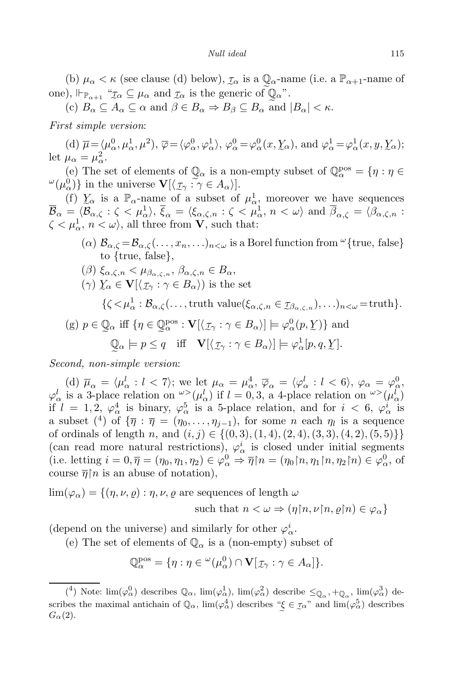#### *Null ideal* 115

(b)  $\mu_{\alpha} < \kappa$  (see clause (d) below),  $\tau_{\alpha}$  is a  $\mathbb{Q}_{\alpha}$ -name (i.e. a  $\mathbb{P}_{\alpha+1}$ -name of one),  $\Vdash_{\mathbb{P}_{\alpha+1}}$  " $\mathcal{I}_{\alpha} \subseteq \mu_{\alpha}$  and  $\mathcal{I}_{\alpha}$  is the generic of  $\mathbb{Q}_{\alpha}$ ".

 $(e)$   $B_{\alpha} \subseteq A_{\alpha} \subseteq \alpha$  and  $\beta \in B_{\alpha} \Rightarrow B_{\beta} \subseteq B_{\alpha}$  and  $|B_{\alpha}| < \kappa$ .

*First simple version*:

(d)  $\overline{\mu} = \langle \mu_{\alpha}^0, \mu_{\alpha}^1, \mu^2 \rangle$ ,  $\overline{\varphi} = \langle \varphi_{\alpha}^0, \varphi_{\alpha}^1 \rangle$ ,  $\varphi_{\alpha}^0 = \varphi_{\alpha}^0(x, \underline{Y}_{\alpha})$ , and  $\varphi_{\alpha}^1 = \varphi_{\alpha}^1(x, y, \underline{Y}_{\alpha})$ ; let  $\mu_{\alpha} = \mu_{\alpha}^2$ .

(e) The set of elements of  $\mathbb{Q}_\alpha$  is a non-empty subset of  $\mathbb{Q}_\alpha^{\text{pos}} = \{\eta : \eta \in \mathbb{Q}_\alpha\}$  $\omega(\mu_{\alpha}^{0})$  in the universe  $\mathbf{V}[\langle \mathcal{I}_{\gamma} : \gamma \in A_{\alpha} \rangle].$ 

(f)  $\chi_{\alpha}$  is a  $\mathbb{P}_{\alpha}$ -name of  $\mathcal{B}_{\mathcal{C}}$  $\chi_{\alpha}$  is a  $\mathbb{P}_{\alpha}$ -name of a subset of  $\mu_{\alpha}^{1}$ , moreover we have sequences  $\overline{\mathcal{B}}_{\alpha} = \langle \mathcal{B}_{\alpha,\zeta} : \zeta < \mu_{\alpha}^1 \rangle, \, \overline{\xi}_{\alpha} = \langle \xi_{\alpha,\zeta,n} : \zeta < \mu_{\alpha}^1, \, n < \omega \rangle \text{ and } \overline{\beta}_{\alpha,\zeta} = \langle \beta_{\alpha,\zeta,n} : \zeta < \mu_{\alpha}^1 \rangle.$  $\zeta < \mu_{\alpha}^1, n < \omega$ , all three from **V**, such that:

- $(\alpha)$   $\mathcal{B}_{\alpha,\zeta} = \mathcal{B}_{\alpha,\zeta}(\ldots,x_n,\ldots)_{n<\omega}$  is a Borel function from  $\omega$  {true, false} to *{*true, false*}*,
- $(\beta)$   $\xi_{\alpha,\zeta,n}$   $\lt \mu_{\beta_{\alpha,\zeta,n}}, \beta_{\alpha,\zeta,n}$   $\in B_{\alpha}$ ,
- $(\gamma) \mathcal{Y}_{\alpha} \in \mathbf{V}[\langle \mathcal{I}_{\gamma} : \gamma \in B_{\alpha} \rangle)$  is the set

 $\{\zeta < \mu^1_\alpha : \mathcal{B}_{\alpha,\zeta}(\ldots, \mathrm{truth~value}(\xi_{\alpha,\zeta,n} \in \mathcal{I}_{\beta_{\alpha,\zeta,n}}), \ldots)_{n < \omega} = \mathrm{truth}\}.$ 

 $e(\mathbf{g})$  *p*  $\in \mathbb{Q}_\alpha$  iff  $\{\eta \in \mathbb{Q}_\alpha^{\text{pos}} : \mathbf{V}[\langle \mathcal{I}_\gamma : \gamma \in B_\alpha \rangle] \models \varphi_\alpha^0(p, \chi)\}\$  and  $Q_{\alpha} \models p \leq q$  iff  $\mathbf{V}[\langle \mathcal{I}_{\gamma} : \gamma \in B_{\alpha} \rangle] \models \varphi_{\alpha}^{\{1\}}[p, q, \mathcal{Y}].$ 

e *Second, non-simple version*:

(d)  $\overline{\mu}_{\alpha} = \langle \mu_{\alpha}^{l} : l < 7 \rangle$ ; we let  $\mu_{\alpha} = \mu_{\alpha}^{4}, \overline{\varphi}_{\alpha} = \langle \varphi_{\alpha}^{l} : l < 6 \rangle, \varphi_{\alpha} = \varphi_{\alpha}^{0}$ .  $\varphi_{\alpha}^{l}$  is a 3-place relation on  $\varphi^{>}(\mu_{\alpha}^{l})$  if  $l = 0, 3$ , a 4-place relation on  $\varphi^{>}(\mu_{\alpha}^{l})$ if  $l = 1, 2, \varphi^4_\alpha$  is binary,  $\varphi^5_\alpha$  is a 5-place relation, and for  $i < 6, \varphi^i_\alpha$  is a subset  $({}^{4})$  of  ${\overline{\eta}}$  :  ${\overline{\eta}} = (\eta_0, \ldots, \eta_{j-1}),$  for some *n* each  $\eta_l$  is a sequence of ordinals of length *n*, and (*i, j*) *∈ {*(0*,* 3)*,*(1*,* 4)*,*(2*,* 4)*,*(3*,* 3)*,*(4*,* 2)*,*(5*,* 5)*}}* (can read more natural restrictions),  $\varphi^i_\alpha$  is closed under initial segments (i.e. letting  $i = 0, \overline{\eta} = (\eta_0, \eta_1, \eta_2) \in \varphi_\alpha^0 \Rightarrow \overline{\eta} \upharpoonright n = (\eta_0 \upharpoonright n, \eta_1 \upharpoonright n, \eta_2 \upharpoonright n) \in \varphi_\alpha^0$ , of course  $\overline{\eta}$  is an abuse of notation),

$$
\lim(\varphi_{\alpha}) = \{ (\eta, \nu, \varrho) : \eta, \nu, \varrho \text{ are sequences of length } \omega
$$
  
such that  $n < \omega \Rightarrow (\eta \upharpoonright n, \nu \upharpoonright n, \varrho \upharpoonright n) \in \varphi_{\alpha} \}$ 

(depend on the universe) and similarly for other  $\varphi^i_\alpha$ .

(e) The set of elements of  $\mathbb{Q}_{\alpha}$  is a (non-empty) subset of

$$
\mathbb{Q}_{\alpha}^{\text{pos}} = \{\eta : \eta \in {}^{\omega}(\mu_{\alpha}^{0}) \cap \mathbf{V}[\mathcal{I}_{\gamma} : \gamma \in A_{\alpha}]\}.
$$

<sup>(&</sup>lt;sup>4</sup>) Note:  $\lim(\varphi_{\alpha}^0)$  describes  $\mathbb{Q}_{\alpha}$ ,  $\lim(\varphi_{\alpha}^1)$ ,  $\lim(\varphi_{\alpha}^2)$  describe  $\leq_{\mathbb{Q}_{\alpha}}$ ,  $+_{\mathbb{Q}_{\alpha}}$ ,  $\lim(\varphi_{\alpha}^3)$  describes the maximal antichain of  $\mathbb{Q}_{\alpha}$ ,  $\lim(\varphi_{\alpha}^4)$  describes " $\xi \in \mathcal{I}_{\alpha}$ " and  $\lim(\varphi_{\alpha}^5)$  describes  $G_{\alpha}(2)$ .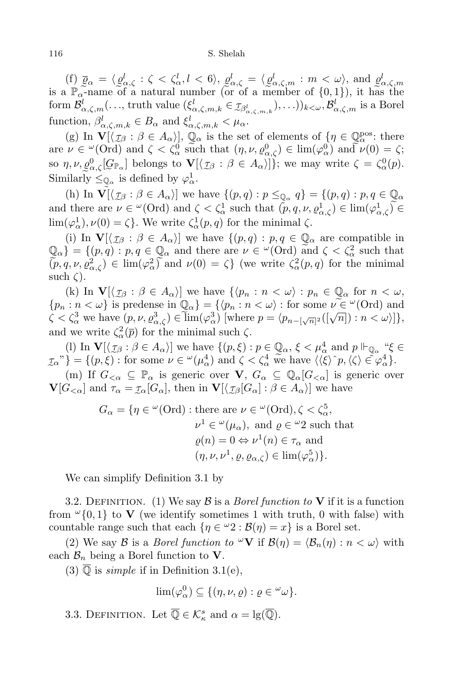(f)  $\frac{\alpha}{I}$  $\overline{\varrho}_{\alpha} = \langle$ e  $\varrho^{l}_{\alpha,\zeta}:\zeta<\zeta^{l}_{\alpha},l<6\rangle,$  $\alpha$  $\varrho^l_{\alpha,\zeta} = \langle$ e  $\underline{\varrho}^l_{\alpha,\zeta,m}$  :  $m < \omega$ , and  $\ddot{a}$ (f)  $\overline{\varrho}_{\alpha} = \langle \varrho_{\alpha,\zeta}^{l} : \zeta < \zeta_{\alpha}^{l}, l < 6 \rangle$ ,  $\varrho_{\alpha,\zeta}^{l} = \langle \varrho_{\alpha,\zeta,m}^{l} : m < \omega \rangle$ , and  $\varrho_{\alpha,\zeta,m}^{l}$  is a  $\mathbb{P}_{\alpha}$ -name of a natural number (or of a member of {0,1}), it has the form  $\mathcal{B}^l_{\alpha,\zeta,m}(\ldots, \text{truth value } (\xi^l_{\alpha,\zeta,m,k} \in \mathcal{I}_{\beta^l_{\alpha,\zeta,m,k}}), \ldots))_{k<\omega}, \mathcal{B}^l_{\alpha,\zeta,m}$  is a Borel function,  $\beta^l_{\alpha,\zeta,m,k} \in B_\alpha$  and  $\xi^l_{\alpha,\zeta,m,k} < \mu_\alpha$ .

 $(g)$  In  $V[\langle$  $^{1)}$ *τ<sup>β</sup>* : *β ∈ Aαi*]*,* e  $\mathbb{Q}_{\alpha}$  is the set of elements of  $\{\eta \in$  $\frac{1}{\sqrt{2}}$  $\mathbb{Q}_{\alpha}^{\text{pos}}$ : there  $\alpha$  *u*  $\in \omega$  (Ord) and  $\zeta < \zeta_\alpha^0$  such that  $(\eta, \nu, \varrho_{\alpha,\zeta}^0) \in \lim(\varphi_\alpha^0)$  and  $\nu(0) = \zeta$ ; so *η, ν, %* 0 *α,ζ* [ *G*P*<sup>α</sup>* ] belongs to **V**[*h τ<sup>β</sup>* : *β ∈ Aαi*]*}*; we may write *ζ* = *ζ* 0 *<sup>α</sup>*(*p*). Similarly  $\leq_{\mathbb{Q}_\alpha}$  is defined by  $\varphi_\alpha^1$ .

(h) In  $\tilde{\mathbf{V}}[\langle \mathcal{I}_{\beta} : \beta \in A_{\alpha} \rangle]$  we have  $\{(p,q) : p \leq_{\mathbb{Q}_{\alpha}} q\} = \{(p,q) : p,q \in \mathbb{Q}_{\alpha}\}$ and there are  $\nu \in {}^{\omega}(\text{Ord})$  and  $\zeta < \zeta^1_\alpha$  such that  $(p, q, \nu, \varrho^1_{\alpha, \zeta}) \in \lim(\varphi^1_{\alpha, \zeta}) \in$ lim( $\varphi_{\alpha}^{1}$ ),  $\nu(0) = \zeta$ . We write  $\zeta_{\alpha}^{1}(p, q)$  for the minimal  $\zeta$ .

(i) In  $\mathbf{V}[\langle \mathcal{I}_{\beta} : \beta \in A_{\alpha} \rangle]$  we have  $\{(p,q) : p,q \in \mathbb{Q}_{\alpha} \text{ are compatible in } \mathbb{Q}_{\alpha} \}$  $e: p, q \in \mathbb{Q}_\alpha$  and there are  $\nu \in {}^{\omega}(\text{Ord})$  and  $\binom{1}{k}$  $\mathbb{Q}_{\alpha}$ *}* = { $(p,q) : p, q \in$  $^{\prime}$  $Q_{\alpha}$  and there are  $\nu \in {}^{\omega}(\text{Ord})$  and  $\zeta < \zeta_{\alpha}^2$  such that  $(\tilde{p}, q, \nu, \rho_{\alpha,\zeta}^2) \in \lim(\varphi_\alpha^2)$  and  $\nu(0) = \zeta$  (we write  $\zeta_\alpha^2(p,q)$  for the minimal such *ζ*).

(k) In  $\mathbf{V}[\langle \mathcal{I}_{\beta} : \beta \in A_{\alpha} \rangle]$  we have  $\{\langle p_n : n \langle \omega \rangle : p_n \in \mathbb{Q}_{\alpha} \text{ for } n \langle \omega \rangle\}$  $\{p_n : n < \omega\}$  is predense in  $\mathbb{Q}_\alpha\} = \{ \langle p_n : n < \omega \rangle : \text{for some } \nu \in \omega(\text{Ord}) \text{ and } \nu \in \mathbb{Z}\}$  $\zeta < \zeta_{\alpha}^3$  we have  $(p, \nu, \varrho_{\alpha, \zeta}^3) \in \lim_{\alpha \to \infty} (\varphi_{\alpha}^3)$  [where  $p = \langle p_{n - [\sqrt{n}]^2}([\sqrt{n}]) : n < \omega \rangle$ ], and we write  $\zeta_{\alpha}^2(\overline{p})$  for the minimal such  $\zeta$ .

(l) In **V**[*h*  $\big)$  $\mathcal{I}\beta$  :  $\beta \in A_\alpha$ *i*] we have  $\{(p,\xi): p \in A_\alpha\}$ <sup>W</sup>  $\mathbb{Q}_\alpha$ *,*  $\xi < \mu_\alpha^4$  and  $p \Vdash$ ˜ <sup>Q</sup>*<sup>α</sup>* "*ξ ∈*  $\{\tau_{\alpha}^{\nu}\} = \{(p,\xi) : \text{for some } \nu \in {}^{\omega}(\mu_{\alpha}^4) \text{ and } \zeta < \zeta_{\alpha}^4 \text{ we have } \langle \langle \xi \rangle^{\wedge} p, \langle \zeta \rangle \in \varphi_{\alpha}^4\}.$ 

(m) If  $G_{\leq \alpha} \subseteq \mathbb{P}_{\alpha}$  is generic over  $V, G_{\alpha} \subseteq \mathbb{Q}_{\alpha}[G_{\leq \alpha}]$  is generic over **V**[ $G<sub><</sub>α$ ] and  $\tau_{\alpha} = \tau_{\alpha}[G_{\alpha}]$ , then in  $\mathbf{V}[\langle \tau_{\beta}[G_{\alpha}] : \beta \in A_{\alpha} \rangle]$  we have

$$
G_{\alpha} = \{ \eta \in {}^{\omega}(\text{Ord}) : \text{there are } \nu \in {}^{\omega}(\text{Ord}), \zeta < \zeta_{\alpha}^{5},
$$
  

$$
\nu^{1} \in {}^{\omega}(\mu_{\alpha}), \text{ and } \varrho \in {}^{\omega}2 \text{ such that}
$$
  

$$
\varrho(n) = 0 \Leftrightarrow \nu^{1}(n) \in \tau_{\alpha} \text{ and}
$$
  

$$
(\eta, \nu, \nu^{1}, \varrho, \varrho_{\alpha,\zeta}) \in \lim(\varphi_{\alpha}^{5}) \}.
$$

We can simplify Definition 3.1 by

3.2. DEFINITION. (1) We say  $\beta$  is a *Borel function to* **V** if it is a function from  $\omega$ <sub>{0,1}</sub> to **V** (we identify sometimes 1 with truth, 0 with false) with countable range such that each  $\{\eta \in \omega_2 : \mathcal{B}(\eta) = x\}$  is a Borel set.

(2) We say *B* is a *Borel function to*  $\omega V$  if  $\mathcal{B}(\eta) = \langle \mathcal{B}_n(\eta) : n < \omega \rangle$  with each  $\mathcal{B}_n$  being a Borel function to **V**.

(3)  $\mathbb Q$  is *simple* if in Definition 3.1(e),

$$
\lim(\varphi_\alpha^0) \subseteq \{(\eta, \nu, \varrho) : \varrho \in {}^{\omega}\omega\}.
$$

3.3. DEFINITION. Let  $\overline{\mathbb{Q}} \in \mathcal{K}_{\kappa}^{s}$  and  $\alpha = \lg(\overline{\mathbb{Q}})$ .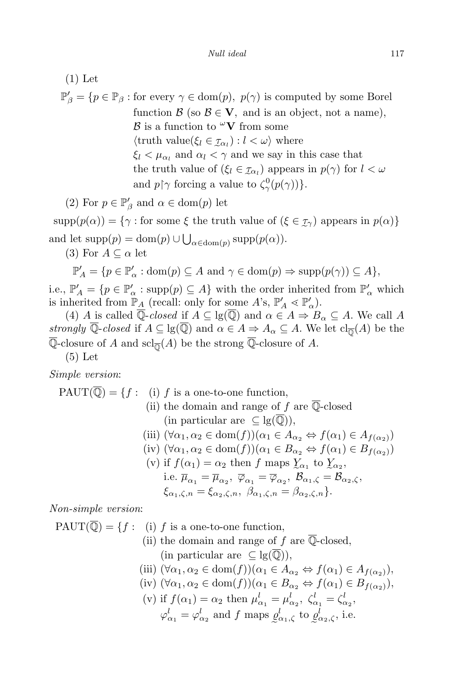(1) Let  $\mathbb{P}'_{\beta} = \{ p \in \mathbb{P}_{\beta} : \text{for every } \gamma \in \text{dom}(p), \ p(\gamma) \text{ is computed by some Borel}\}$ function  $\mathcal{B}$  (so  $\mathcal{B} \in \mathbf{V}$ , and is an object, not a name), *B* is a function to  $\ ^\omega\mathbf{V}$  from some  $\langle \text{truth value}(\xi_l \in \mathcal{I}_{\alpha_l}) : l < \omega \rangle \text{ where }$  $\xi_l < \mu_{\alpha_l}$  and  $\alpha_l < \gamma$  and we say in this case that the truth value of  $(\xi_l \in \mathcal{I}_{\alpha_l})$  appears in  $p(\gamma)$  for  $l < \omega$ and  $p \upharpoonright \gamma$  forcing a value to  $\zeta_{\gamma}^{0}(p(\gamma))$ *}*.

(2) For  $p \in \mathbb{P}'_{\beta}$  and  $\alpha \in \text{dom}(p)$  let

 $\text{supp}(p(\alpha)) = \{ \gamma : \text{for some } \xi \text{ the truth value of } (\xi \in \mathcal{I}) \text{ appears in } p(\alpha) \}$ and let  $\text{supp}(p) = \text{dom}(p) \cup \bigcup_{\alpha \in \text{dom}(p)} \text{supp}(p(\alpha)).$ 

(3) For  $A \subseteq \alpha$  let

$$
\mathbb{P}'_A = \{ p \in \mathbb{P}'_\alpha : \text{dom}(p) \subseteq A \text{ and } \gamma \in \text{dom}(p) \Rightarrow \text{supp}(p(\gamma)) \subseteq A \},
$$

i.e.,  $\mathbb{P}'_A = \{p \in \mathbb{P}'_A : \text{supp}(p) \subseteq A\}$  with the order inherited from  $\mathbb{P}'_a$  which is inherited from  $\mathbb{P}_{\underline{A}}$  (recall: only for some A's,  $\mathbb{P}'_A \leq \mathbb{P}'_a$ ).

(4) *A* is called  $\overline{\mathbb{Q}}$ -*closed* if  $A \subseteq \text{lg}(\overline{\mathbb{Q}})$  and  $\alpha \in A \Rightarrow B_{\alpha} \subseteq A$ . We call *A strongly* Q-*closed* if  $A \subseteq \text{lg}(\mathbb{Q})$  and  $\alpha \in A \Rightarrow A_{\alpha} \subseteq A$ . We let  $\text{cl}_{\overline{\mathbb{Q}}}(A)$  be the Q-closure of *A* and  $\text{scl}_{\overline{\mathbb{Q}}}(A)$  be the strong Q-closure of *A*.

(5) Let

*Simple version*:

$$
\text{PAUT}(\overline{\mathbb{Q}}) = \{f : \text{ (i) } f \text{ is a one-to-one function,}
$$
\n
$$
\text{(ii) the domain and range of } f \text{ are } \overline{\mathbb{Q}}\text{-closed}
$$
\n
$$
\text{(in particular are } \subseteq \text{lg}(\overline{\mathbb{Q}})),
$$
\n
$$
\text{(iii) } (\forall \alpha_1, \alpha_2 \in \text{dom}(f)) (\alpha_1 \in A_{\alpha_2} \Leftrightarrow f(\alpha_1) \in A_{f(\alpha_2)})
$$
\n
$$
\text{(iv) } (\forall \alpha_1, \alpha_2 \in \text{dom}(f)) (\alpha_1 \in B_{\alpha_2} \Leftrightarrow f(\alpha_1) \in B_{f(\alpha_2)})
$$
\n
$$
\text{(v) if } f(\alpha_1) = \alpha_2 \text{ then } f \text{ maps } \underline{Y}_{\alpha_1} \text{ to } \underline{Y}_{\alpha_2},
$$

i.e. 
$$
\overline{\mu}_{\alpha_1} = \overline{\mu}_{\alpha_2}, \overline{\varphi}_{\alpha_1} = \overline{\varphi}_{\alpha_2}, \mathcal{B}_{\alpha_1,\zeta} = \mathcal{B}_{\alpha_2,\zeta},
$$
  
 $\xi_{\alpha_1,\zeta,n} = \xi_{\alpha_2,\zeta,n}, \ \beta_{\alpha_1,\zeta,n} = \beta_{\alpha_2,\zeta,n}.$ 

*Non-simple version*:

 $PAUT(\overline{Q}) = \{f :$  (i) *f* is a one-to-one function, (ii) the domain and range of *f* are Q-closed*,*  $(in$  particular are  $\subseteq$  lg( $\mathbb{Q}$ )), (iii)  $(\forall \alpha_1, \alpha_2 \in \text{dom}(f))(\alpha_1 \in A_{\alpha_2} \Leftrightarrow f(\alpha_1) \in A_{f(\alpha_2)}),$  $(\text{iv})$   $(\forall \alpha_1, \alpha_2 \in \text{dom}(f))$  $(\alpha_1 \in B_{\alpha_2} \Leftrightarrow f(\alpha_1) \in B_{f(\alpha_2)}),$ (v) if  $f(\alpha_1) = \alpha_2$  then  $\mu_{\alpha_1}^l = \mu_{\alpha_2}^l$ ,  $\zeta_{\alpha_1}^l = \zeta_{\alpha_2}^l$ ,  $\varphi_{\alpha_1}^l = \varphi_{\alpha_2}^l$  and *f* maps  $\underline{\varrho}_{\alpha_1,\zeta}^l$  to  $\underline{\varrho}_{\alpha_2,\zeta}^l$ , i.e.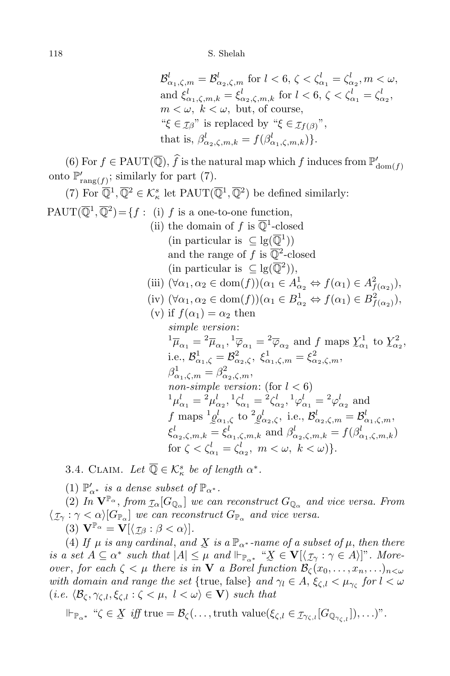$$
\mathcal{B}^l_{\alpha_1,\zeta,m} = \mathcal{B}^l_{\alpha_2,\zeta,m} \text{ for } l < 6, \zeta < \zeta^l_{\alpha_1} = \zeta^l_{\alpha_2}, m < \omega,
$$
\n
$$
\text{and } \xi^l_{\alpha_1,\zeta,m,k} = \xi^l_{\alpha_2,\zeta,m,k} \text{ for } l < 6, \zeta < \zeta^l_{\alpha_1} = \zeta^l_{\alpha_2},
$$
\n
$$
m < \omega, \ k < \omega, \text{ but, of course,}
$$
\n
$$
\text{``}\xi \in \mathcal{I}\mathcal{J}\text{''} \text{ is replaced by ``}\xi \in \mathcal{I}\mathcal{f}(\mathcal{J})\text{''},
$$
\n
$$
\text{that is, } \beta^l_{\alpha_2,\zeta,m,k} = f(\beta^l_{\alpha_1,\zeta,m,k})\}.
$$

(6) For  $f \in \text{PAUT}(\mathbb{Q})$ ,  $f$  is the natural map which  $f$  induces from  $\mathbb{P}'_{\text{dom}(f)}$ onto  $\mathbb{P}'_{\text{rang}(f)}$ ; similarly for part (7).

(7) For  $\overline{\mathbb{Q}}^1$ ,  $\overline{\mathbb{Q}}^2 \in \mathcal{K}^s_{\kappa}$  let PAUT $(\overline{\mathbb{Q}}^1, \overline{\mathbb{Q}}^2)$  be defined similarly:

 $PAUT(\overline{\mathbb{Q}}^1, \overline{\mathbb{Q}}^2) = \{f : (i) \text{ } f \text{ is a one-to-one function, }$ 

- (ii) the domain of  $f$  is  $\overline{\mathbb{Q}}^1$ -closed  $(\text{in particular is } \subseteq \text{lg}(\overline{\mathbb{Q}}^1))$ and the range of  $f$  is  $\overline{\mathbb{Q}}^2$ -closed  $(in$  particular is  $\subseteq$  lg( $\overline{\mathbb{Q}}^2$ )),
- (iii)  $(\forall \alpha_1, \alpha_2 \in \text{dom}(f))(\alpha_1 \in A^1_{\alpha_2} \Leftrightarrow f(\alpha_1) \in A^2_{f(\alpha_2)}),$
- $(\text{iv}) \ (\forall \alpha_1, \alpha_2 \in \text{dom}(f))(\alpha_1 \in B^1_{\alpha_2} \Leftrightarrow f(\alpha_1) \in B^2_{f(\alpha_2)}),$
- (v) if  $f(\alpha_1) = \alpha_2$  then *simple version*:  ${}^{1}\overline{\mu}_{\alpha_1} = {}^{2}\overline{\mu}_{\alpha_1}, {}^{1}\overline{\varphi}_{\alpha_1} = {}^{2}\overline{\varphi}_{\alpha_2}$  and *f* maps  $\chi^1_{\alpha_1}$  to  $\chi^2_{\alpha_2}$ ,  $i.e., \mathcal{B}_{\alpha_1,\zeta}^1 = \mathcal{B}_{\alpha_2,\zeta}^2, \ \xi_{\alpha_1,\zeta,m}^1 = \xi_{\alpha_2,\zeta,m}^2,$  $\beta^1_{\alpha_1,\zeta,m} = \beta^2_{\alpha_2,\zeta,m},$ *non-simple version*: (for  $l < 6$ )  ${}^{1} \mu_{\alpha_1}^{l} = {}^{2} \mu_{\alpha_2}^{l}$ ,  ${}^{1} \zeta_{\alpha_1}^{l} = {}^{2} \zeta_{\alpha_2}^{l}$ ,  ${}^{1} \varphi_{\alpha_1}^{l} = {}^{2} \varphi_{\alpha_2}^{l}$  and *f* maps  ${}^{1}g_{\alpha_{1},\zeta}^{l}$  to  ${}^{2}g_{\alpha_{2},\zeta}^{l}$ , i.e.,  $B_{\alpha_{2},\zeta,m}^{l} = B_{\alpha_{1},\zeta,m}^{l}$ ,  $\xi^l_{\alpha_2,\zeta,m,k} = \xi^l_{\alpha_1,\zeta,m,k}$  and  $\beta^l_{\alpha_2,\zeta,m,k} = f(\beta^l_{\alpha_1,\zeta,m,k})$ for  $\zeta < \zeta_{\alpha_1}^l = \zeta_{\alpha_2}^l, \ m < \omega, \ k < \omega$ ).

3.4. CLAIM. Let  $\overline{\mathbb{Q}} \in \mathcal{K}_{\kappa}^{s}$  be of length  $\alpha^{*}$ .

 $(1)$   $\mathbb{P}'_{\alpha^*}$  *is a dense subset of*  $\mathbb{P}_{\alpha^*}$ .

 $(2)$  *In*  $\mathbf{V}^{\mathbb{P}_{\alpha}}$ , *from*  $\mathcal{I}_{\alpha}[G_{\mathbb{Q}_{\alpha}}]$  *we can reconstruct*  $G_{\mathbb{Q}_{\alpha}}$  *and vice versa. From*  $\langle \mathcal{I}_{\gamma} : \gamma < \alpha \rangle [G_{\mathbb{P}_{\alpha}}]$  *we can reconstruct*  $G_{\mathbb{P}_{\alpha}}$  *and vice versa.* 

 $(\textbf{3}) \mathbf{V}^{\mathbb{P}_{\alpha}} = \mathbf{V}[\langle \mathcal{I}_{\beta} : \beta < \alpha \rangle].$ 

(4) *If*  $\mu$  *is any cardinal, and*  $\overline{X}$  *is a*  $\mathbb{P}_{\alpha^*}$ -*name of a subset of*  $\mu$ *, then there* is a set  $A \subseteq \alpha^*$  such that  $|A| \leq \mu$  and  $\Vdash_{\mathbb{P}_{\alpha^*}} \mathscr{X} \in \mathbf{V}[\langle \mathcal{I}_{\gamma} : \gamma \in A \rangle]$ ". Moreover, for each  $\zeta < \mu$  there is in **V** a Borel function  $\mathcal{B}_{\zeta}(x_0, \ldots, x_n, \ldots)_{n < \omega}$ with domain and range the set {true, false} and  $\gamma_l \in A$ ,  $\xi_{\zeta,l} < \mu_{\gamma_{\zeta}}$  for  $l < \omega$  $(i.e. \langle \mathcal{B}_{\zeta}, \gamma_{\zeta,l}, \xi_{\zeta,l} : \zeta < \mu, \ l < \omega \rangle \in \mathbf{V}$  *such that* 

$$
\Vdash_{\mathbb{P}_{\alpha^*}} \text{``$\zeta \in \underline{X}$ iff true = $\mathcal{B}_\zeta(\ldots,\text{truth value}(\xi_{\zeta,l} \in \mathcal{I}_{\gamma_{\zeta,l}}[G_{\mathbb{Q}_{\gamma_{\zeta,l}}}]), \ldots$)''}.
$$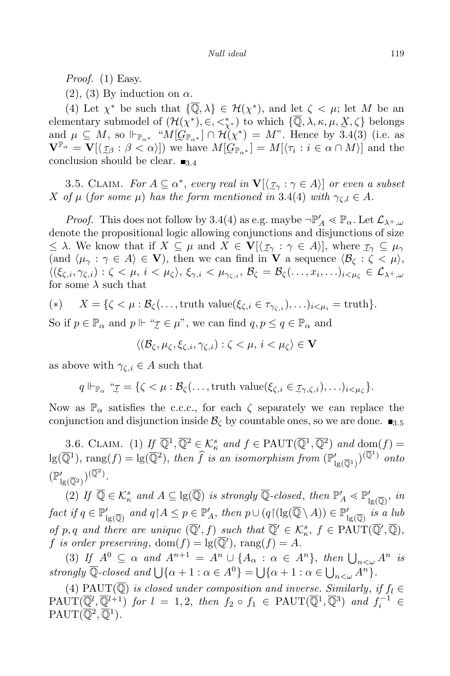*Proof.* (1) Easy.

(2), (3) By induction on  $\alpha$ .

(4) Let  $\chi^*$  be such that  $\{\mathbb{Q}, \lambda\} \in \mathcal{H}(\chi^*)$ , and let  $\zeta < \mu$ ; let M be an elementary submodel of  $(\mathcal{H}(\chi^*), \in, \leq^*_{\chi^*})$  to which  $\{\mathbb{Q}, \lambda, \kappa, \mu, \chi, \zeta\}$  belongs and  $\mu \subseteq M$ , so  $\Vdash_{\mathbb{P}_{\alpha^*}}$  " $M[G_{\mathbb{P}_{\alpha^*}}] \cap \mathcal{H}(\chi^*) = M$ ". Hence by 3.4(3) (i.e. as  $\mathbf{V}^{\mathbb{P}_{\alpha}} = \mathbf{V}[\langle \mathcal{I}_{\beta} : \beta < \alpha \rangle]$  we have  $M[\mathcal{G}_{\mathbb{P}_{\alpha^*}}] = M[\langle \tau_i : i \in \alpha \cap M \rangle]$  and the conclusion should be clear.  $\blacksquare$ <sub>3.4</sub>

3.5. CLAIM. *For*  $A \subseteq \alpha^*$ , *every real* in  $\mathbf{V}[\langle \tau_\gamma : \gamma \in A \rangle]$  *or even a subset*  $X$  *of*  $\mu$  (*for some*  $\mu$ ) *has the form mentioned in* 3.4(4) *with*  $\gamma_{\zeta,l} \in A$ *.* 

*Proof.* This does not follow by 3.4(4) as e.g. maybe  $\neg \mathbb{P}'_A \leq \mathbb{P}_\alpha$ . Let  $\mathcal{L}_{\lambda^+,\omega}$ denote the propositional logic allowing conjunctions and disjunctions of size  $\leq \lambda$ . We know that if  $X \subseteq \mu$  and  $X \in V[(\mathcal{I}_{\gamma} : \gamma \in A)]$ , where  $\mathcal{I}_{\gamma} \subseteq \mu_{\gamma}$  $(\text{and } \langle \mu_\gamma : \gamma \in A \rangle \in \mathbf{V})$ , then we can find in **V** a sequence  $\langle \mathcal{B}_\zeta : \zeta \leq \mu \rangle$ ,  $\langle (\xi_{\zeta,i}, \gamma_{\zeta,i}): \zeta < \mu, \, i < \mu_\zeta \rangle, \, \xi_{\gamma,i} < \mu_{\gamma_{\zeta,i}}, \, \mathcal{B}_\zeta = \mathcal{B}_\zeta(\dots, x_i, \dots)_{i < \mu_\zeta} \in \mathcal{L}_{\lambda^+, \omega}$ for some  $\lambda$  such that

$$
(*) \t X = \{ \zeta < \mu : \mathcal{B}_{\zeta}(\ldots, \text{truth value}(\xi_{\zeta,i} \in \tau_{\gamma_{\zeta,i}}), \ldots)_{i \leq \mu_i} = \text{truth} \}.
$$

So if  $p \in \mathbb{P}_{\alpha}$  and  $p \Vdash \text{``$\mathcal{I}$} \in \mu$ ", we can find  $q, p \leq q \in \mathbb{P}_{\alpha}$  and

$$
\langle (\mathcal{B}_{\zeta}, \mu_{\zeta}, \xi_{\zeta, i}, \gamma_{\zeta, i}) : \zeta < \mu, \, i < \mu_{\zeta} \rangle \in \mathbf{V}
$$

as above with  $\gamma_{\zeta,i} \in A$  such that

$$
q \Vdash_{\mathbb{P}_{\alpha}} \text{``}\mathcal{I} = \{\zeta < \mu : \mathcal{B}_{\zeta}(\ldots, \text{truth value}(\xi_{\zeta,i} \in \mathcal{I}_{\gamma,\zeta,i}), \ldots)_{i < \mu_{\zeta}}\}.
$$

Now as  $\mathbb{P}_{\alpha}$  satisfies the c.c.c., for each  $\zeta$  separately we can replace the conjunction and disjunction inside  $\mathcal{B}_{\zeta}$  by countable ones, so we are done.  $\blacksquare$ <sub>3.5</sub>

3.6. CLAIM. (1)  $I\underline{f}$   $\overline{Q}^1$ ,  $\overline{Q}^2 \in \mathcal{K}^s_\kappa$  *and*  $f \in \text{PAUT}(\overline{Q}^1, \overline{Q}^2)$  *and*  $\text{dom}(f)$  =  $\log(\overline{\mathbb{Q}}^1)$ ,  $\text{rang}(f) = \log(\overline{\mathbb{Q}}^2)$ , then  $\widehat{f}$  is an isomorphism from  $(\mathbb{P}'_{\text{lg}(\overline{\mathbb{Q}}^1)})^{(\overline{\mathbb{Q}}^1)}$  onto  $(\mathbb{P}'_{\lg(\overline{\mathbb{Q}}^2)})^{(\overline{\mathbb{Q}}^2)}$ .

(2) *If*  $\overline{\mathbb{Q}} \in \mathcal{K}_{\kappa}^{s}$  *and*  $A \subseteq \text{lg}(\overline{\mathbb{Q}})$  *is strongly*  $\overline{\mathbb{Q}}$ -closed, then  $\mathbb{P}'_{A} \ll \mathbb{P}'_{\text{lg}(\overline{\mathbb{Q}})}$ , *in* fact if  $q \in \mathbb{P}'_{\text{lg}(\overline{\mathbb{Q}})}$  and  $q \nmid A \leq p \in \mathbb{P}'_A$ , then  $p \cup (q \nmid (\text{lg}(\mathbb{Q} \setminus A)) \in \mathbb{P}'_{\text{lg}(\overline{\mathbb{Q}})}$  is a lub of p, q and there are unique  $(\overline{\mathbb{Q}}', f)$  such that  $\overline{\mathbb{Q}}' \in \mathcal{K}_{\kappa}^s$ ,  $f \in \text{PAUT}(\overline{\mathbb{Q}}', \overline{\mathbb{Q}})$ ,  $f$  *is order preserving*,  $dom(f) = lg(Q')$ ,  $rang(f) = A$ *.* 

 $(3)$  *If*  $A^0 \subseteq \alpha$  *and*  $A^{n+1} = A^n \cup \{A_\alpha : \alpha \in A^n\}$ , *then*  $\bigcup_{n < \omega} A^n$  *is strongly*  $\overline{\mathbb{Q}}$ *-closed and*  $\bigcup \{\alpha + 1 : \alpha \in A^0\} = \bigcup \{\alpha + 1 : \alpha \in \bigcup_{n < \omega} A^n\}$ *.* 

(4)  $\text{PAUT}(\overline{\mathbb{Q}})$  *is closed under composition and inverse. Similarly, if*  $f_l \in$  $\text{PAUT}(\overline{\mathbb{Q}}^l, \overline{\mathbb{Q}}^{l+1})$  *for*  $l = 1, 2$ , *then*  $f_2 \circ f_1 \in \text{PAUT}(\overline{\mathbb{Q}}^1, \overline{\mathbb{Q}}^3)$  *and*  $f_i^{-1} \in \mathbb{Q}$  $\mathrm{PAUT}(\overline{\mathbb{Q}}^2, \overline{\mathbb{Q}}^1).$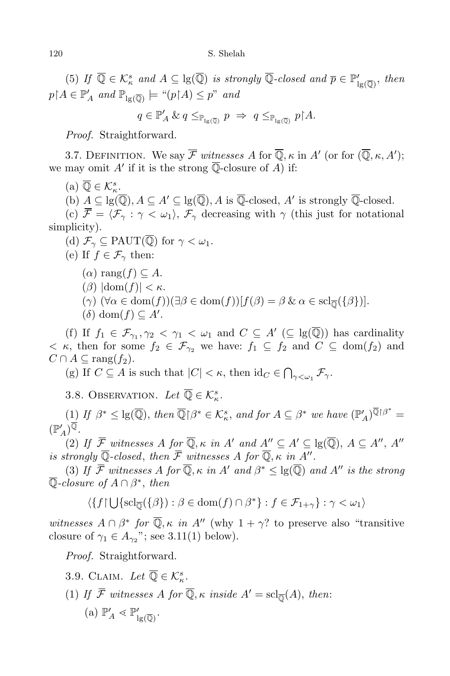(5) *If*  $\overline{\mathbb{Q}} \in \mathcal{K}_{\kappa}^{s}$  *and*  $A \subseteq \text{lg}(\overline{\mathbb{Q}})$  *is strongly*  $\overline{\mathbb{Q}}$ -closed *and*  $\overline{p} \in \mathbb{P}'_{\text{lg}(\overline{\mathbb{Q}})}$ *, then*  $p \upharpoonright A \in \mathbb{P}'_A$  and  $\mathbb{P}_{\lg(\overline{\mathbb{Q}})} \models$  " $(p \upharpoonright A) \leq p$ " and

$$
q \in \mathbb{P}'_A \& q \leq_{\mathbb{P}_{\lg(\overline{\mathbb{Q}})}} p \Rightarrow q \leq_{\mathbb{P}_{\lg(\overline{\mathbb{Q}})}} p \upharpoonright A.
$$

*Proof.* Straightforward.

3.7. DEFINITION. We say  $\mathcal F$  witnesses  $A$  for  $\mathbb Q, \kappa$  in  $A'$  (or for  $(\mathbb Q, \kappa, A')$ ; we may omit  $A'$  if it is the strong Q-closure of  $A$ ) if:

 $(a)$   $\overline{\mathbb{Q}} \in \mathcal{K}_{\kappa}^{s}$ .

(b)  $\underline{A} \subseteq \text{lg}(\mathbb{Q}), A \subseteq A' \subseteq \text{lg}(\mathbb{Q}), A$  is  $\mathbb{Q}\text{-closed}, A'$  is strongly  $\mathbb{Q}\text{-closed}.$ 

(c)  $\overline{\mathcal{F}} = \langle \mathcal{F}_{\gamma} : \gamma < \omega_1 \rangle$ ,  $\mathcal{F}_{\gamma}$  decreasing with  $\gamma$  (this just for notational simplicity).

(d)  $\mathcal{F}_{\gamma} \subseteq \text{PAUT}(\overline{\mathbb{Q}})$  for  $\gamma < \omega_1$ .

(e) If  $f \in \mathcal{F}_{\gamma}$  then:

- $(\alpha)$  rang $(f) \subseteq A$ .
- $(\beta)$   $|\text{dom}(f)| < \kappa$ .
- $(\gamma)$   $(\forall \alpha \in \text{dom}(f))(\exists \beta \in \text{dom}(f))[f(\beta) = \beta \& \alpha \in \text{sch}_{\overline{\mathbb{Q}}}(\{\beta\})].$
- $(\delta)$  dom $(f) \subseteq A'$ .

(f) If  $f_1 \in \mathcal{F}_{\gamma_1}, \gamma_2 \leq \gamma_1 \leq \omega_1$  and  $C \subseteq A'$  ( $\subseteq$  lg( $\mathbb{Q}$ )) has cardinality  $\langle$  *κ*, then for some  $f_2 \in \mathcal{F}_{\gamma_2}$  we have:  $f_1 \subseteq f_2$  and  $C \subseteq \text{dom}(f_2)$  and  $C \cap A \subseteq \text{rang}(f_2).$ 

(g) If  $C \subseteq A$  is such that  $|C| < \kappa$ , then  $\mathrm{id}_C \in \bigcap_{\gamma < \omega_1} \mathcal{F}_\gamma$ .

3.8. OBSERVATION. Let  $\overline{\mathbb{Q}} \in \mathcal{K}_{\kappa}^s$ .

 $(1)$  If  $\beta^* \leq \lg(\overline{\mathbb{Q}})$ , then  $\overline{\mathbb{Q}}\restriction \beta^* \in \mathcal{K}_{\kappa}^s$ , and for  $A \subseteq \beta^*$  we have  $(\mathbb{P}'_A)^{\mathbb{Q}\restriction \beta^*} =$  $(\mathbb{P}'_A)^{\mathbb{Q}}.$ 

(2) If  $\mathcal{F}$  witnesses A for  $\mathbb{Q}, \kappa$  in A' and  $A'' \subseteq A' \subseteq \text{lg}(\mathbb{Q}), A \subseteq A'', A''$ *is strongly* Q-closed, then  $F$  <u>*witnesses*  $A$  *for* Q,  $\kappa$  *in*  $A''$ .</u>

(3) If  $\mathcal{F}$  witnesses  $A$  for  $\mathbb{Q}, \kappa$  *in*  $A'$  and  $\beta^* \leq \lg(\mathbb{Q})$  and  $A''$  is the strong Q*-closure of A ∩ β ∗* , *then*

 $\langle \{f \mid \bigcup \{ \mathrm{scl}_{\overline{\mathbb{Q}}}(\{\beta\}) : \beta \in \mathrm{dom}(f) \cap \beta^* \} : f \in \mathcal{F}_{1+\gamma} \} : \gamma < \omega_1 \rangle$ 

*witnesses*  $A \cap \beta^*$  *for*  $\mathbb{Q}, \kappa$  *in*  $A''$  (why  $1 + \gamma$ ? to preserve also "transitive closure of  $\gamma_1 \in A_{\gamma_2}$ "; see 3.11(1) below).

*Proof.* Straightforward.

3.9. CLAIM. Let 
$$
\overline{\mathbb{Q}} \in \mathcal{K}_{\kappa}^{s}
$$
.  
\n(1) If  $\overline{\mathcal{F}}$  witnesses A for  $\overline{\mathbb{Q}}, \kappa$  inside  $A' = \text{sch}_{\overline{\mathbb{Q}}}(A)$ , then:  
\n(a)  $\mathbb{P}'_{A} \lessdot \mathbb{P}'_{\text{lg}(\overline{\mathbb{Q}})}$ .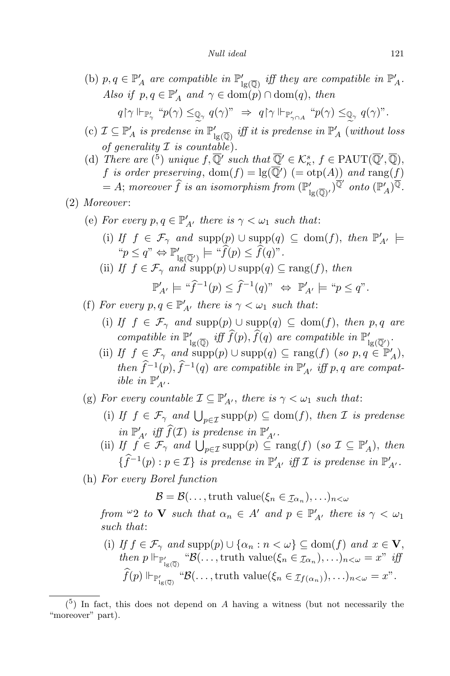*Null ideal* 121

- (b)  $p, q \in \mathbb{P}'_A$  are compatible in  $\mathbb{P}'_{\text{lg}(\overline{\mathbb{Q}})}$  iff they are compatible in  $\mathbb{P}'_A$ . *Also if*  $p, q \in \mathbb{P}'_A$  *and*  $\gamma \in \text{dom}(p) \cap \text{dom}(q)$ , *then*  $q \restriction \gamma \Vdash_{\mathbb{P}_\gamma'} "p(\gamma) \leq_{\mathbb{Q}_\gamma} q(\gamma)" \Rightarrow q \restriction \gamma \Vdash_{\mathbb{P}_{\gamma \cap A}'} "p(\gamma) \leq_{\mathbb{Q}_\gamma} q(\gamma)".$
- $e^{j}$  *(c)*  $\mathcal{I} \subseteq \mathbb{P}'_A$  *is* predense *in*  $\mathbb{P}'_{1g(\overline{\mathbb{Q}})}$  *iff it is predense in*  $\mathbb{P}'_A$  (*without loss of generality*  $\mathcal I$  *is countable*).
- (d) *There* are  $({}^{5})$  *unique*  $f, \overline{\mathbb{Q}}'$  *such* that  $\overline{\mathbb{Q}}' \in \mathcal{K}_{\kappa}^{s}$ ,  $f \in \text{PAUT}(\overline{\mathbb{Q}}', \overline{\mathbb{Q}})$ ,  $f$  *is order preserving*,  $dom(f) = lg(Q') (= otp(A))$  *and*  $rang(f)$  $A;$  *moreover*  $f$  *is an isomorphism*  $from$   $(\mathbb{P}'_{\lg(\overline{\mathbb{Q}})'})^{\mathbb{Q}'}$  *onto*  $(\mathbb{P}'_A)^{\mathbb{Q}}$ .
- (2) *Moreover* :
	- (e) For every  $p, q \in \mathbb{P}'_{A'}$  there is  $\gamma < \omega_1$  such that:
		- $(i)$  *If*  $f \in \mathcal{F}_{\gamma}$  *and*  $\text{supp}(p) \cup \text{supp}(q) \subseteq \text{dom}(f)$ , *then*  $\mathbb{P}'_{A'} \models$  $\lbrack \lbrack \lbrack \lbrack p \rbrack \leq q$ "  $\Leftrightarrow \mathbb{P}'_{\lg(\overline{\mathbb{Q}}')} \models \lbrack \lbrack \lbrack \lbrack \lbrack p \rbrack \leq f(q)$ ".
		- (ii) *If*  $f \in \mathcal{F}_{\gamma}$  *and* supp $(p) \cup \text{supp}(q) \subseteq \text{rang}(f)$ , *then*

$$
\mathbb{P}'_{A'} \models \text{``}\widehat{f}^{-1}(p) \leq \widehat{f}^{-1}(q)\text{''} \ \Leftrightarrow \ \mathbb{P}'_{A'} \models \text{``}p \leq q\text{''}.
$$

- (f) For every  $p, q \in \mathbb{P}'_{A'}$  there is  $\gamma < \omega_1$  such that:
	- (i) *If f* ∈  $\mathcal{F}_{\gamma}$  *and* supp(*p*)  $\cup$  supp(*q*)  $\subseteq$  dom(*f*), *then p*, *q are compatible in*  $\mathbb{P}'_{\lg(\overline{\mathbb{Q}})}$  *iff*  $f(p)$ *,*  $f(q)$  *are compatible in*  $\mathbb{P}'_{\lg(\overline{\mathbb{Q}}')}$ *.*
	- (ii) *If*  $f \in \mathcal{F}_{\gamma}$  *and*  $\text{supp}(p) \cup \text{supp}(q) \subseteq \text{rang}(f)$  (*so*  $p, q \in \mathbb{P}'_A$ ), *then*  $f^{-1}(p)$ ,  $f^{-1}(q)$  *are compatible in*  $\mathbb{P}'_{A'}$  *iff*  $p, q$  *are compatible in*  $\mathbb{P}'_{A'}$ .
- (g) For every countable  $\mathcal{I} \subseteq \mathbb{P}'_{A'}$ , there is  $\gamma < \omega_1$  such that:
	- (i) *If*  $f \in \mathcal{F}_{\gamma}$  and  $\bigcup_{p \in \mathcal{I}} \text{supp}(p) \subseteq \text{dom}(f)$ , then *I* is predense  $\lim_{M \to \infty} \mathbb{P}'_{A'}$  *iff*  $f(\mathcal{I})$  *is predense*  $\lim_{M \to \infty} \mathbb{P}'_{A'}$ .
	- (ii) *If*  $f \in \mathcal{F}_{\gamma}$  *and*  $\bigcup_{p \in \mathcal{I}} \text{supp}(p) \subseteq \text{rang}(f)$  (*so*  $\mathcal{I} \subseteq \mathbb{P}'_A$ ), *then*  $\{\hat{f}^{-1}(p) : p \in \mathcal{I}\}$  *is predense in*  $\mathbb{P}'_{A'}$  *iff*  $\mathcal{I}$  *is predense in*  $\mathbb{P}'_{A'}$ *.*
- (h) *For every Borel function*

 $\mathcal{B} = \mathcal{B}(\ldots, \text{truth value}(\xi_n \in \mathcal{I}_{\alpha_n}), \ldots)_{n < \omega}$ 

 $from \overset{\omega}{\sim} 2$  *to* **V** such that  $\alpha_n \in A'$  and  $p \in \mathbb{P}'_{A'}$  there is  $\gamma < \omega_1$ *such that*:

(i) *If*  $f \in \mathcal{F}_{\gamma}$  *and*  $\text{supp}(p) \cup \{\alpha_n : n < \omega\} \subseteq \text{dom}(f)$  *and*  $x \in \mathbf{V}$ ,  $then \ p \Vdash_{\mathbb{P}'_{1g(\overline{\mathbb{Q}})}} \mathcal{B}(\ldots, \text{truth value}(\xi_n \in \mathcal{I}_{\alpha_n}), \ldots)_{n < \omega} = x^{\nu} \text{ iff }$  $\widehat{f}(p) \Vdash_{\mathbb{P}'_{1g(\overline{\mathbb{Q}})}} \text{``}\mathcal{B}(\ldots, \text{truth value}(\xi_n \in \mathcal{I}_{f(\alpha_n)}), \ldots)_{n < \omega} = x$ ".

 $(5)$  In fact, this does not depend on *A* having a witness (but not necessarily the "moreover" part).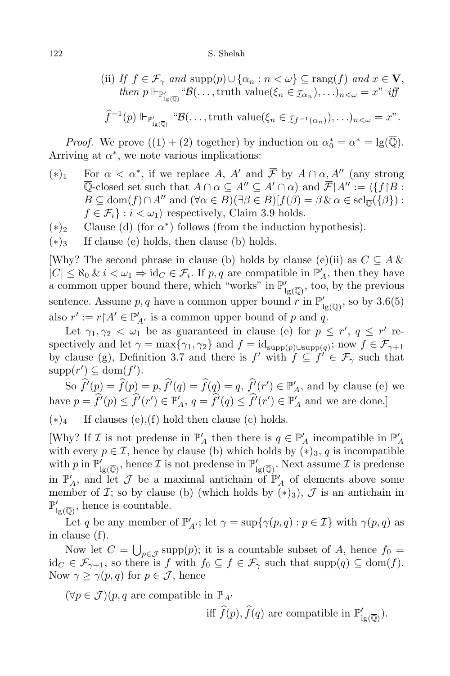#### 122 S. Shelah

(ii) If 
$$
f \in \mathcal{F}_{\gamma}
$$
 and supp $(p) \cup {\{\alpha_n : n < \omega\}} \subseteq \text{rang}(f)$  and  $x \in \mathbf{V}$ ,  
then  $p \Vdash_{\mathbb{P}'_{1g(\overline{\mathbb{Q}})}} \mathcal{B}(\ldots, \text{truth value}(\xi_n \in \mathcal{I}_{\alpha_n}), \ldots)_{n < \omega} = x^m$  iff

$$
\widehat{f}^{-1}(p) \Vdash_{\mathbb{P}'_{1g(\overline{\mathbb{Q}})}} \text{``}\mathcal{B}(\ldots, \text{truth value}(\xi_n \in \mathcal{I}_{f^{-1}(\alpha_n)}), \ldots)_{n < \omega} = x".
$$

*Proof.* We prove  $((1) + (2)$  together) by induction on  $\alpha_0^* = \alpha^* = \lg(\mathbb{Q})$ . Arriving at  $\alpha^*$ , we note various implications:

- (\*)<sub>1</sub> For  $\alpha < \alpha^*$ , if we replace *A*, *A'* and *F* by  $A \cap \alpha$ ,  $A''$  (any strong  $\overline{\mathbb{Q}}$ -closed set such that  $A \cap \alpha \subseteq A'' \subseteq A' \cap \alpha$  and  $\overline{\mathcal{F}}|A'' := \langle \{f | B : A'' \rangle : f \in \mathbb{Q} \}$  $B \subseteq \text{dom}(f) \cap A^{\prime\prime}$  and  $(\forall \alpha \in B)(\exists \beta \in B)[f(\beta) = \beta \& \alpha \in \text{sch}_{\overline{\mathbb{Q}}}(\{\beta\})$ :  $f \in \mathcal{F}_i$  :  $i < \omega_1$  respectively, Claim 3.9 holds.
- (*∗*)<sup>2</sup> Clause (d) (for *α ∗* ) follows (from the induction hypothesis).
- $(*)_3$  If clause (e) holds, then clause (b) holds.

[Why? The second phrase in clause (b) holds by clause (e)(ii) as  $C \subseteq A \&$  $|C| \leq \aleph_0 \& i < \omega_1 \Rightarrow \text{id}_C \in \mathcal{F}_i$ . If *p, q* are compatible in  $\mathbb{P}'_A$ , then they have a common upper bound there, which "works" in  $\mathbb{P}'_{lg(\overline{Q})}$ , too, by the previous sentence. Assume  $p, q$  have a common upper bound  $r$  in  $\mathbb{P}'_{lg(\overline{\mathbb{Q}})}$ , so by  $3.6(5)$ also  $r' := r \upharpoonright A' \in \mathbb{P}'_{A'}$  is a common upper bound of *p* and *q*.

Let  $\gamma_1, \gamma_2 < \omega_1$  be as guaranteed in clause (e) for  $p \leq r'$ ,  $q \leq r'$  respectively and let  $\gamma = \max\{\gamma_1, \gamma_2\}$  and  $f = \text{id}_{\text{supp}(p)\cup \text{supp}(q)}$ ; now  $f \in \mathcal{F}_{\gamma+1}$ by clause (g), Definition 3.7 and there is  $f'$  with  $f \subseteq f' \in \mathcal{F}_{\gamma}$  such that  $\text{supp}(r') \subseteq \text{dom}(f').$ 

So  $f'(p) = f(p) = p, f'(q) = f(q) = q, f'(r') \in \mathbb{P}'_A$ , and by clause (e) we have  $p = f'(p) \le f'(r') \in \mathbb{P}'_A$ ,  $q = f'(q) \le f'(r') \in \mathbb{P}'_A$  and we are done.]

(*∗*)<sup>4</sup> If clauses (e),(f) hold then clause (c) holds.

Why? If *I* is not predense in  $\mathbb{P}'_A$  then there is  $q \in \mathbb{P}'_A$  incompatible in  $\mathbb{P}'_A$ with every  $p \in \mathcal{I}$ , hence by clause (b) which holds by  $(*)_3$ , q is incompatible with p in  $\mathbb{P}'_{lg(\overline{Q})}$ , hence  $\mathcal I$  is not predense in  $\mathbb{P}'_{lg(\overline{Q})}$ . Next assume  $\mathcal I$  is predense in  $\mathbb{P}'_A$ , and let *J* be a maximal antichain of  $\mathbb{P}'_A$  of elements above some member of *I*; so by clause (b) (which holds by  $(*)_3$ ), *J* is an antichain in  $\mathbb{P}'_{\lg(\overline{\mathbb{Q}})}$ , hence is countable.

Let *q* be any member of  $\mathbb{P}'_{A'}$ ; let  $\gamma = \sup\{\gamma(p, q) : p \in \mathcal{I}\}\$  with  $\gamma(p, q)$  as in clause (f).

Now let  $C = \bigcup_{p \in \mathcal{J}} \text{supp}(p)$ ; it is a countable subset of *A*, hence  $f_0 =$  $id_C \in \mathcal{F}_{\gamma+1}$ , so there is *f* with  $f_0 \subseteq f \in \mathcal{F}_{\gamma}$  such that  $supp(q) \subseteq dom(f)$ . Now  $\gamma \geq \gamma(p,q)$  for  $p \in \mathcal{J}$ , hence

 $(∀p ∈ J)(p, q \text{ are compatible in } \mathbb{P}_{A}$ 

iff  $f(p)$ ,  $f(q)$  are compatible in  $\mathbb{P}'_{lg(\overline{Q})}$ .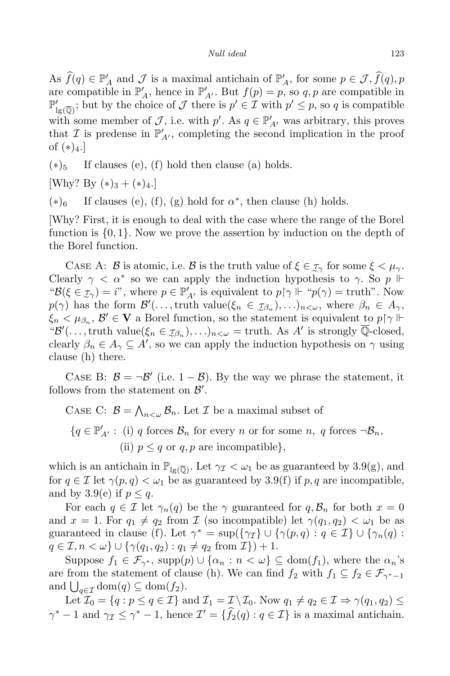As  $f(q) \in \mathbb{P}'_A$  and  $\mathcal J$  is a maximal antichain of  $\mathbb{P}'_A$ , for some  $p \in \mathcal J$ ,  $f(q)$ ,  $p$ are compatible in  $\mathbb{P}'_A$ , hence in  $\mathbb{P}'_{A'}$ . But  $f(p) = p$ , so  $q, p$  are compatible in  $\mathbb{P}'_{\text{lg}(\overline{\mathbb{Q}})}$ ; but by the choice of *J* there is  $p' \in \mathcal{I}$  with  $p' \leq p$ , so *q* is compatible with some member of *J*, i.e. with *p'*. As  $q \in \mathbb{P}'_{A'}$  was arbitrary, this proves that *I* is predense in  $\mathbb{P}'_{A'}$ , completing the second implication in the proof of  $(*)_4.$ ]

 $(*)_5$  If clauses (e), (f) hold then clause (a) holds.

[Why? By  $(*)_3 + (*)_4$ .]

 $(*)_6$  If clauses (e), (f), (g) hold for  $\alpha^*$ , then clause (h) holds.

[Why? First, it is enough to deal with the case where the range of the Borel function is *{*0*,* 1*}*. Now we prove the assertion by induction on the depth of the Borel function.

CASE A: *B* is atomic, i.e. *B* is the truth value of  $\xi \in \tau_\gamma$  for some  $\xi < \mu_\gamma$ . Clearly  $\gamma < \alpha^*$  so we can apply the induction hypothesis to  $\gamma$ . So  $p \Vdash$  ${}^{\omega}B(\xi \in \mathcal{I}_{\gamma}) = i^{\nu}$ , where  $p \in \mathbb{P}'_{A'}$  is equivalent to  $p \upharpoonright \gamma \Vdash {}^{\omega}p(\gamma) = \text{truth}^{\nu}$ . Now  $p(\gamma)$  has the form  $\mathcal{B}'(\ldots, \text{truth value}(\xi_n \in \mathcal{I}_{\beta_n}), \ldots)_{n < \omega}$ , where  $\beta_n \in A_{\gamma}$ ,  $\xi_n < \mu_{\beta_n}, \mathcal{B}' \in \mathbf{V}$  a Borel function, so the statement is equivalent to  $p \upharpoonright \gamma \upharpoonright$ " $\mathcal{B}'(\ldots, \text{truth value}(\xi_n \in \mathcal{I}_{\beta_n}), \ldots)_{n < \omega} = \text{truth. As } A' \text{ is strongly Q-closed},$ clearly  $\beta_n \in A_\gamma \subseteq A'$ , so we can apply the induction hypothesis on  $\gamma$  using clause (h) there.

CASE B:  $\beta = \neg \beta'$  (i.e.  $1 - \beta$ ). By the way we phrase the statement, it follows from the statement on  $\mathcal{B}'$ .

CASE C:  $\mathcal{B} = \bigwedge_{n < \omega} \mathcal{B}_n$ . Let *I* be a maximal subset of

 ${q \in \mathbb{P}'_{A'}}$ : (i) *q* forces  $B_n$  for every *n* or for some *n*, *q* forces  $\neg B_n$ , (ii)  $p \leq q$  or  $q, p$  are incompatible},

which is an antichain in  $\mathbb{P}_{lg(\overline{\mathbb{Q}})}$ . Let  $\gamma_{\mathcal{I}} < \omega_1$  be as guaranteed by 3.9(g), and for  $q \in \mathcal{I}$  let  $\gamma(p,q) < \omega_1$  be as guaranteed by 3.9(f) if p, q are incompatible, and by 3.9(e) if  $p \leq q$ .

For each  $q \in \mathcal{I}$  let  $\gamma_n(q)$  be the  $\gamma$  guaranteed for  $q, \mathcal{B}_n$  for both  $x = 0$ and  $x = 1$ . For  $q_1 \neq q_2$  from *I* (so incompatible) let  $\gamma(q_1, q_2) < \omega_1$  be as guaranteed in clause (f). Let  $\gamma^* = \sup(\{\gamma \in I\} \cup \{\gamma(p,q) : q \in \mathcal{I}\} \cup \{\gamma_n(q) : q \in \mathcal{I}\}$  $q \in \mathcal{I}, n < \omega$   $\} \cup \{ \gamma(q_1, q_2) : q_1 \neq q_2 \text{ from } \mathcal{I} \} ) + 1.$ 

Suppose  $f_1 \in \mathcal{F}_{\gamma^*}$ , supp $(p) \cup \{\alpha_n : n < \omega\} \subseteq \text{dom}(f_1)$ , where the  $\alpha_n$ 's are from the statement of clause (h). We can find  $f_2$  with  $f_1 \subseteq f_2 \in \mathcal{F}_{\gamma^* - 1}$ and  $\bigcup_{q \in \mathcal{I}} \text{dom}(q) \subseteq \text{dom}(f_2).$ 

Let  $\mathcal{I}_0 = \{q : p \leq q \in \mathcal{I}\}\$ and  $\mathcal{I}_1 = \mathcal{I} \setminus \mathcal{I}_0$ . Now  $q_1 \neq q_2 \in \mathcal{I} \Rightarrow \gamma(q_1, q_2) \leq \gamma(q_1, q_2)$  $\gamma^*$  *−* 1 and  $\gamma_{\mathcal{I}} \leq \gamma^*$  *−* 1, hence  $\mathcal{I}' = \{f_2(q) : q \in \mathcal{I}\}\$ is a maximal antichain.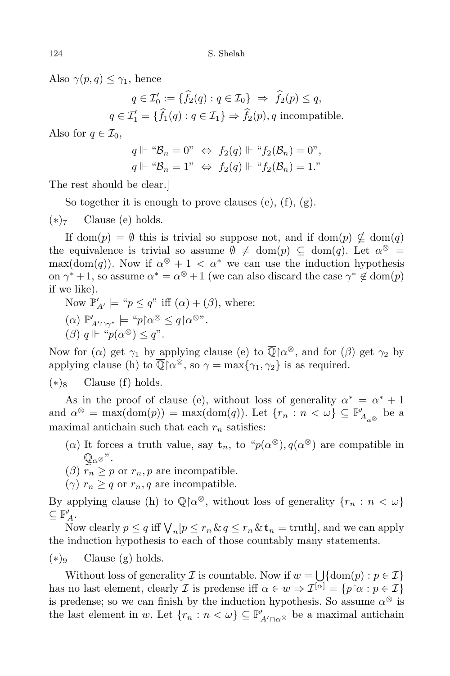Also  $\gamma(p,q) \leq \gamma_1$ , hence

 $q \in \mathcal{I}'_0 := \{ f_2(q) : q \in \mathcal{I}_0 \} \Rightarrow f_2(p) \leq q,$  $q \in \mathcal{I}'_1 = \{f_1(q) : q \in \mathcal{I}_1\} \Rightarrow f_2(p), q \text{ incomparable}.$ 

Also for  $q \in \mathcal{I}_0$ ,

$$
q \Vdash \text{``}\mathcal{B}_n = 0\text{''} \Leftrightarrow f_2(q) \Vdash \text{``}f_2(\mathcal{B}_n) = 0\text{''},
$$
  

$$
q \Vdash \text{``}\mathcal{B}_n = 1\text{''} \Leftrightarrow f_2(q) \Vdash \text{``}f_2(\mathcal{B}_n) = 1\text{''}
$$

The rest should be clear.]

So together it is enough to prove clauses (e), (f), (g).

(*∗*)<sup>7</sup> Clause (e) holds.

If dom(*p*) =  $\emptyset$  this is trivial so suppose not, and if dom(*p*)  $\not\subseteq$  dom(*q*) the equivalence is trivial so assume  $\emptyset \neq \text{dom}(p) \subseteq \text{dom}(q)$ . Let  $\alpha^{\otimes} =$  $\max(\text{dom}(q))$ . Now if  $\alpha^{\otimes} + 1 < \alpha^*$  we can use the induction hypothesis on  $\gamma^* + 1$ , so assume  $\alpha^* = \alpha^{\otimes} + 1$  (we can also discard the case  $\gamma^* \notin \text{dom}(p)$ if we like).

Now  $\mathbb{P}'_{A'} \models \text{``} p \leq q \text{''}$  iff  $(\alpha) + (\beta)$ , where:

- $(\alpha)$   $\mathbb{P}_{A'\cap\gamma^*}' \models ``p {\upharpoonright} \alpha^{\otimes} \leq q {\upharpoonright} \alpha^{\otimes}$ ".
- $(\beta)$   $q \Vdash "p(\alpha^{\otimes}) \leq q$ ".

Now for  $(\alpha)$  get  $\gamma_1$  by applying clause  $(e)$  to  $\mathbb{Q}[\alpha^{\otimes},$  and for  $(\beta)$  get  $\gamma_2$  by applying clause (h) to  $\mathbb{Q}[\alpha^{\otimes}, \text{so } \gamma = \max\{\gamma_1, \gamma_2\}$  is as required.

 $(*)_8$  Clause (f) holds.

As in the proof of clause (e), without loss of generality  $\alpha^* = \alpha^* + 1$ and  $\alpha^{\otimes}$  = max(dom(*p*)) = max(dom(*q*)). Let  $\{r_n : n < \omega\} \subseteq \mathbb{P}'_{A_{\alpha^{\otimes}}}$  be a maximal antichain such that each  $r_n$  satisfies:

- (*α*) It forces a truth value, say  $\mathbf{t}_n$ , to " $p(\alpha^{\otimes})$ ,  $q(\alpha^{\otimes})$  are compatible in  $\mathbb{Q}_{\alpha\otimes}$ ".
- (*β*)  $r_n \geq p$  or  $r_n, p$  are incompatible.
- $(\gamma)$   $r_n \geq q$  or  $r_n, q$  are incompatible.

By applying clause (h) to  $\mathbb{Q}[\alpha^{\otimes}, \text{ without loss of generality } \{r_n : n < \omega\}$  $\subseteq \mathbb{P}'_A.$ 

Now clearly  $p \le q$  iff  $\bigvee_n [p \le r_n \& q \le r_n \& t_n = \text{truth}]$ , and we can apply the induction hypothesis to each of those countably many statements.

(*∗*)<sup>9</sup> Clause (g) holds.

Without loss of generality *I* is countable. Now if  $w = \bigcup_{i=1}^n \{ \text{dom}(p) : p \in \mathcal{I} \}$ has no last element, clearly *I* is predense iff  $\alpha \in w \Rightarrow \mathcal{I}^{[\alpha]} = \{p | \alpha : p \in \mathcal{I}\}\$ is predense; so we can finish by the induction hypothesis. So assume  $\alpha^{\otimes}$  is the last element in *w*. Let  $\{r_n : n < \omega\} \subseteq \mathbb{P}'_{A' \cap \alpha^\otimes}$  be a maximal antichain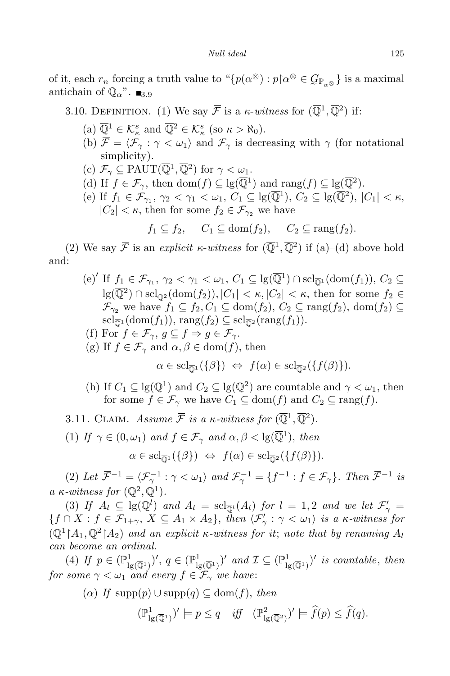of it, each  $r_n$  forcing a truth value to  $\lq \{p(\alpha^{\otimes}) : p \upharpoonright \alpha^{\otimes} \in \mathcal{G}_{\mathbb{P}_{\alpha^{\otimes}}} \}$  is a maximal antichain of  $\mathbb{Q}_{\alpha}$ ".  $\blacksquare$ <sub>3.9</sub>

3.10. DEFINITION. (1) We say  $\overline{\mathcal{F}}$  is a *κ*-*witness* for  $(\overline{\mathbb{Q}}^1, \overline{\mathbb{Q}}^2)$  if:

- $(\text{a}) \overline{\mathbb{Q}}^1 \in \mathcal{K}^s_\kappa \text{ and } \overline{\mathbb{Q}}^2 \in \mathcal{K}^s_\kappa \text{ (so } \kappa > \aleph_0).$
- (b)  $\overline{\mathcal{F}} = \langle \mathcal{F}_{\gamma} : \gamma < \omega_1 \rangle$  and  $\mathcal{F}_{\gamma}$  is decreasing with  $\gamma$  (for notational simplicity).
- $(c)$   $\mathcal{F}_{\gamma} \subseteq \text{PAUT}(\overline{\mathbb{Q}}^1, \overline{\mathbb{Q}}^2)$  for  $\gamma < \omega_1$ .
- (d) If  $f \in \mathcal{F}_{\gamma}$ , then dom $(f) \subseteq \lg(\overline{\mathbb{Q}}^1)$  and rang $(f) \subseteq \lg(\overline{\mathbb{Q}}^2)$ .
- $C_1 \subseteq \text{lg}(\overline{\mathbb{Q}}^1), C_2 \subseteq \text{lg}(\overline{\mathbb{Q}}^2), |C_1| < \kappa,$  $|C_2| < \kappa$ , then for some  $f_2 \in \mathcal{F}_{\gamma_2}$  we have

 $f_1 \subseteq f_2$ ,  $C_1 \subseteq \text{dom}(f_2)$ ,  $C_2 \subseteq \text{range}(f_2)$ .

(2) We say  $\overline{\mathcal{F}}$  is an *explicit*  $\kappa$ -*witness* for  $(\overline{\mathbb{Q}}^1, \overline{\mathbb{Q}}^2)$  if (a)–(d) above hold and:

- $(e)$ <sup>*'*</sup> If  $f_1 \in \mathcal{F}_{\gamma_1}, \gamma_2 < \gamma_1 < \omega_1, C_1 \subseteq \lg(\overline{\mathbb{Q}}^1) \cap \mathrm{scl}_{\overline{\mathbb{Q}}^1}(\mathrm{dom}(f_1)), C_2 \subseteq$  $\log(\overline{\mathbb{Q}}^2) \cap \text{scl}_{\overline{\mathbb{Q}}^2}(\text{dom}(f_2)), |C_1| < \kappa, |C_2| < \kappa$ , then for some  $f_2 \in \mathbb{Q}$  $\mathcal{F}_{\gamma_2}$  we have  $f_1 \subseteq f_2, C_1 \subseteq \text{dom}(f_2), C_2 \subseteq \text{rang}(f_2), \text{dom}(f_2) \subseteq$  $\mathrm{scl}_{\overline{\mathbb{Q}}^1}(\mathrm{dom}(f_1)), \mathrm{rang}(f_2) \subseteq \mathrm{scl}_{\overline{\mathbb{Q}}^2}(\mathrm{rang}(f_1)).$
- (f) For  $f \in \mathcal{F}_{\gamma}$ ,  $g \subseteq f \Rightarrow g \in \mathcal{F}_{\gamma}$ .
- (g) If  $f \in \mathcal{F}_{\gamma}$  and  $\alpha, \beta \in \text{dom}(f)$ , then

 $\alpha \in \text{scl}_{\overline{\mathbb{Q}}^1}(\{\beta\}) \Leftrightarrow f(\alpha) \in \text{scl}_{\overline{\mathbb{Q}}^2}(\{f(\beta)\}).$ 

- (h) If  $C_1 \subseteq \text{lg}(\overline{\mathbb{Q}}^1)$  and  $C_2 \subseteq \text{lg}(\overline{\mathbb{Q}}^2)$  are countable and  $\gamma < \omega_1$ , then for some  $f \in \mathcal{F}_{\gamma}$  we have  $C_1 \subseteq \text{dom}(f)$  and  $C_2 \subseteq \text{rang}(f)$ .
- 3.11. CLAIM. Assume  $\overline{\mathcal{F}}$  is a  $\kappa$ -witness for  $(\overline{\mathbb{Q}}^1, \overline{\mathbb{Q}}^2)$ .
- (1) *If*  $\gamma \in (0, \omega_1)$  *and*  $f \in \mathcal{F}_{\gamma}$  *and*  $\alpha, \beta < \lg(\overline{\mathbb{Q}}^1)$ *, then*

$$
\alpha \in \mathrm{scl}_{\overline{\mathbb{Q}}^1}(\{\beta\}) \Leftrightarrow f(\alpha) \in \mathrm{scl}_{\overline{\mathbb{Q}}^2}(\{f(\beta)\}).
$$

(2) Let  $\overline{\mathcal{F}}^{-1} = \langle \mathcal{F}_\gamma^{-1} : \gamma < \omega_1 \rangle$  and  $\mathcal{F}_\gamma^{-1} = \{ f^{-1} : f \in \mathcal{F}_\gamma \}$ . Then  $\overline{\mathcal{F}}^{-1}$  is  $a \kappa$ *-witness for*  $(\overline{\mathbb{Q}}^2, \overline{\mathbb{Q}}^1)$ *.* 

(3) If  $A_l \subseteq \lg(\overline{\mathbb{Q}^l})$  and  $A_l = \text{sch}_{\overline{\mathbb{Q}^l}}(A_l)$  for  $l = 1, 2$  and we let  $\mathcal{F}'_\gamma =$  $\{\underline{f} \cap X : \underline{f} \in \mathcal{F}_{1+\gamma}, X \subseteq A_1 \times A_2\},\$  then  $\langle \mathcal{F}'_{\gamma} : \gamma < \omega_1 \rangle$  is a  $\kappa$ -witness for  $(\overline{\mathbb{Q}}^1 | A_1, \overline{\mathbb{Q}}^2 | A_2)$  and an explicit  $\kappa$ -witness for it; note that by renaming  $A_l$ *can become an ordinal.*

 $(4)$  *If*  $p \in (\mathbb{P}^1_{\mathbb{I}_{\S}})$  $\binom{1}{\lg(\overline{\mathbb{Q}}^1)}'$ ,  $q \in (\mathbb{P}^1_{\lg(\overline{\mathbb{Q}}^1)})$  $\left(\frac{1}{\lg(\overline{\mathbb{Q}}^1)}\right)'$  and  $\mathcal{I} \subseteq \left(\mathbb{P}^1_{\lg(\overline{\mathbb{Q}}^1)}\right)$  $\lim_{\lg(\overline{\mathbb{Q}}^1)}$  *is countable, then for* some  $\gamma < \omega_1$  *and every*  $f \in \mathcal{F}_\gamma$  *we have:* 

(*α*) *If* supp(*p*) *∪* supp(*q*) *⊆* dom(*f*), *then*

$$
(\mathbb{P}^1_{\lg(\overline{\mathbb{Q}}^1)})' \models p \le q \quad \text{iff} \quad (\mathbb{P}^2_{\lg(\overline{\mathbb{Q}}^2)})' \models \widehat{f}(p) \le \widehat{f}(q).
$$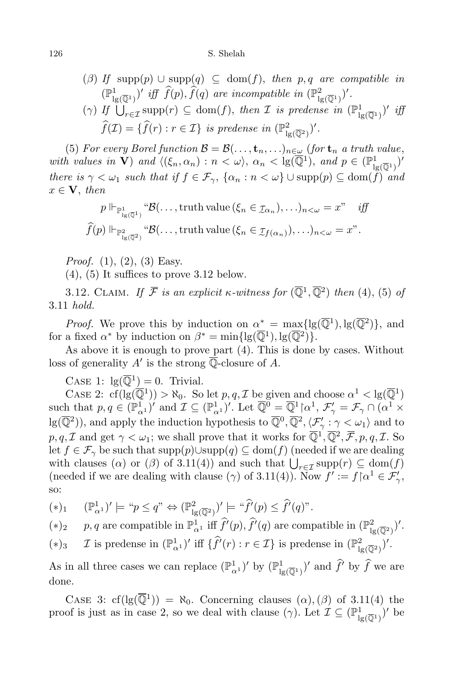## 126 S. Shelah

\n- (
$$
\beta
$$
) If  $\text{supp}(p) \cup \text{supp}(q) \subseteq \text{dom}(f)$ , then  $p, q$  are compatible in  $(\mathbb{P}^1_{\lg(\overline{\mathbb{Q}}^1)})'$  iff  $\widehat{f}(p), \widehat{f}(q)$  are incompatible in  $(\mathbb{P}^2_{\lg(\overline{\mathbb{Q}}^1)})'$ .
\n- ( $\gamma$ ) If  $\bigcup_{r \in \mathcal{I}} \text{supp}(r) \subseteq \text{dom}(f)$ , then  $\mathcal{I}$  is predense in  $(\mathbb{P}^1_{\lg(\overline{\mathbb{Q}}^1)})'$  iff  $\widehat{f}(\mathcal{I}) = \{\widehat{f}(r) : r \in \mathcal{I}\}$  is predense in  $(\mathbb{P}^2_{\lg(\overline{\mathbb{Q}}^2)})'$ .
\n

(5) For every Borel function  $\mathcal{B} = \mathcal{B}(\ldots, \mathbf{t}_n, \ldots)_{n \in \omega}$  (for  $\mathbf{t}_n$  a truth value, *with values in* **V**) *and*  $\langle (\xi_n, \alpha_n) : n < \omega \rangle$ ,  $\alpha_n < \lg(\overline{\mathbb{Q}}^1)$ , *and*  $p \in (\mathbb{P}^1_{\mathbb{N}})$  $\frac{1}{\lg(\overline{\mathbb{Q}}^1)}$ there is  $\gamma < \omega_1$  such that if  $f \in \mathcal{F}_{\gamma}$ ,  $\{\alpha_n : n < \omega\} \cup \text{supp}(p) \subseteq \text{dom}(\widetilde{f})$  and  $x \in V$ , *then* 

$$
p \Vdash_{\mathbb{P}^1_{\lg(\overline{\mathbb{Q}}^1)}} \mathcal{B}(\ldots, \text{truth value } (\xi_n \in \mathcal{I}_{\alpha_n}), \ldots)_{n < \omega} = x^m \quad \text{iff}
$$

$$
\widehat{f}(p) \Vdash_{\mathbb{P}^2_{\lg(\overline{\mathbb{Q}}^2)}} \mathcal{B}(\ldots, \text{truth value } (\xi_n \in \mathcal{I}_{f(\alpha_n)}), \ldots)_{n < \omega} = x^n.
$$

*Proof.* (1), (2), (3) Easy.

 $(4)$ ,  $(5)$  It suffices to prove 3.12 below.

3.12. CLAIM. *If*  $\overline{\mathcal{F}}$  *is an explicit*  $\kappa$ -witness for  $(\overline{\mathbb{Q}}^1, \overline{\mathbb{Q}}^2)$  then (4), (5) of 3.11 *hold.*

*Proof.* We prove this by induction on  $\alpha^* = \max\{lg(\overline{\mathbb{Q}}^1), lg(\overline{\mathbb{Q}}^2)\}\$ , and for a fixed  $\alpha^*$  by induction on  $\beta^* = \min\{\lg(\overline{\mathbb{Q}}^1), \lg(\overline{\mathbb{Q}}^2)\}.$ 

As above it is enough to prove part (4). This is done by cases. Without loss of generality  $A'$  is the strong  $\mathbb Q$ -closure of  $A$ .

CASE 1:  $\lg(\overline{\mathbb{Q}}^1) = 0$ . Trivial.

CASE 2:  $cf(\lg(\overline{Q}^1)) > \aleph_0$ . So let  $p, q, \mathcal{I}$  be given and choose  $\alpha^1 < \lg(\overline{Q}^1)$  $\text{such that } p, q \in (\mathbb{P}^1_{\alpha^1})' \text{ and } \mathcal{I} \subseteq (\mathbb{P}^1_{\alpha^1})'. \text{ Let } \overline{\mathbb{Q}^0} = \overline{\mathbb{Q}^1} \gamma^n, \mathcal{F}'_\gamma = \mathcal{F}_\gamma \cap (\alpha^1 \times \mathbb{Q}^1)$  $\log(\overline{\mathbb{Q}}^2)$ ), and apply the induction hypothesis to  $\overline{\mathbb{Q}}^0$ ,  $\overline{\mathbb{Q}}^2$ ,  $\langle \mathcal{F}'_\gamma : \gamma < \omega_1 \rangle$  and to  $p, q, \mathcal{I}$  and get  $\gamma < \omega_1$ ; we shall prove that it works for  $\overline{\mathbb{Q}}^1, \overline{\mathbb{Q}}^2, \overline{\mathcal{F}}, p, q, \mathcal{I}$ . So let *f*  $\in \mathcal{F}_{\gamma}$  be such that supp $(p)$ ∪supp $(q) \subseteq \text{dom}(f)$  (needed if we are dealing with clauses ( $\alpha$ ) or ( $\beta$ ) of 3.11(4)) and such that  $\bigcup_{r \in \mathcal{I}} \text{supp}(r) \subseteq \text{dom}(f)$ (needed if we are dealing with clause  $(\gamma)$  of 3.11(4)). Now  $f' := f \upharpoonright \alpha^1 \in \mathcal{F}'_{\gamma}$ , so:

$$
(*)_1 \quad (\mathbb{P}^1_{\alpha^1})' \models \text{``$p \le q$''} \Leftrightarrow (\mathbb{P}^2_{\lg(\overline{\mathbb{Q}}^2)})' \models \text{``$\widehat{f}'(p) \le \widehat{f}'(q)$''}.
$$

(\*)<sub>2</sub> *p, q* are compatible in  $\mathbb{P}^1_{\alpha^1}$  iff  $\hat{f}^{\prime}(p)$ ,  $\hat{f}^{\prime}(q)$  are compatible in  $(\mathbb{P}^2_{\mu^1})$  $\frac{2}{\lg(\overline{\mathbb{Q}}^2)}$ ) $'$ .

(\*)<sub>3</sub> 
$$
\mathcal{I}
$$
 is predense in  $(\mathbb{P}^1_{\alpha^1})'$  iff  $\{\hat{f}'(r) : r \in \mathcal{I}\}\$ is predense in  $(\mathbb{P}^2_{\lg(\overline{\mathbb{Q}}^2)})'$ .

As in all three cases we can replace  $(\mathbb{P}^1_{\alpha^1})'$  by  $(\mathbb{P}^1_{\mathbb{I}_{\beta}})$  $\lim_{\lg(\overline{\mathbb{Q}}^1)}$  and  $f'$  by  $f$  we are done.

CASE 3: cf(lg( $\overline{\mathbb{Q}}^1$ )) =  $\aleph_0$ . Concerning clauses  $(\alpha)$ ,  $(\beta)$  of 3.11(4) the proof is just as in case 2, so we deal with clause  $(\gamma)$ . Let  $\mathcal{I} \subseteq (\mathbb{P}^1_{\mathbb{I}_N})$  $\frac{1}{\lg(\overline{\mathbb{Q}}^1)}$  be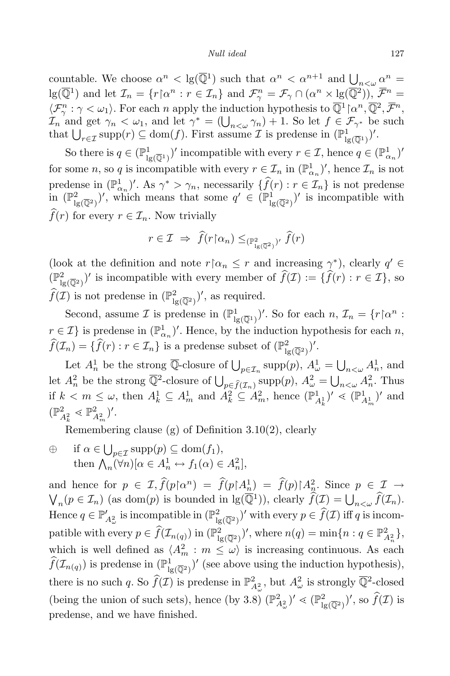#### *Null ideal* 127

countable. We choose  $\alpha^n < \lg(\overline{\mathbb{Q}}^1)$  such that  $\alpha^n < \alpha^{n+1}$  and  $\underline{\bigcup}_{n < \omega} \underline{\alpha^n} =$  $\lg(\overline{\mathbb{Q}}^1)$  and let  $\mathcal{I}_n = \{r \upharpoonright \alpha^n : r \in \mathcal{I}_n\}$  and  $\mathcal{F}^n_\gamma = \mathcal{F}_\gamma \cap (\alpha^n \times \lg(\overline{\mathbb{Q}}^2))$ ,  $\overline{\mathcal{F}}^n =$  $\langle \mathcal{F}_{\gamma}^{n} : \gamma < \omega_1 \rangle$ . For each *n* apply the induction hypothesis to  $\overline{\mathbb{Q}}^1$  [ $\alpha^n, \overline{\mathbb{Q}}^2, \overline{\mathcal{F}}^n$ , *I<sub>n</sub>* and get  $\gamma_n < \omega_1$ , and let  $\gamma^* = (\bigcup_{n<\omega} \gamma_n) + 1$ . So let  $f \in \mathcal{F}_{\gamma^*}$  be such that  $\bigcup_{r \in \mathcal{I}} \text{supp}(r) \subseteq \text{dom}(f)$ . First assume  $\mathcal{I}$  is predense in  $(\mathbb{P}^1_{\text{I}_\xi})$  $\frac{1}{\lg(\overline{\mathbb{Q}}^1)}$ )'.

So there is  $q \in (\mathbb{P}^1_{\mathbb{I}_{\S}})$  $\frac{1}{\lg(\overline{\mathbb{Q}}^1)}$  incompatible with every  $r \in \mathcal{I}$ , hence  $q \in (\mathbb{P}^1_{\alpha_n})'$ for some *n*, so *q* is incompatible with every  $r \in \mathcal{I}_n$  in  $(\mathbb{P}^1_{\alpha_n})'$ , hence  $\mathcal{I}_n$  is not predense in  $(\mathbb{P}_{\alpha_n}^1)'$ . As  $\gamma^* > \gamma_n$ , necessarily  $\{f(r) : r \in \mathcal{I}_n\}$  is not predense in  $(\mathbb{P}^2_{\mathbb{I}_8})$  $\left(\frac{2}{\lg(\overline{Q}^2)}\right)'$ , which means that some  $q' \in (\mathbb{P}^1_{\overline{Q}^2})$  $\lim_{\lg(\overline{Q}^2)}$  is incompatible with  $f(r)$  for every  $r \in I_n$ . Now trivially

$$
r \in \mathcal{I} \implies \hat{f}(r \upharpoonright \alpha_n) \leq_{(\mathbb{P}^2_{\lg(\overline{\mathbb{Q}}^2)})'} \hat{f}(r)
$$

(look at the definition and note  $r \upharpoonright \alpha_n \leq r$  and increasing  $\gamma^*$ ), clearly  $q' \in \mathbb{R}$  $(\mathbb{P}^2_{\mathbb{R}^2})$  $\frac{d}{d g(\overline{Q}^2)}$  is incompatible with every member of  $f(\mathcal{I}) := \{f(r) : r \in \mathcal{I}\}\)$ , so  $\widehat{f}(\mathcal{I})$  is not predense in  $(\mathbb{P}^2)$  $\binom{2}{\lg(\overline{\mathbb{Q}}^2)}'$ , as required.

Second, assume  $\mathcal I$  is predense in  $(\mathbb{P}^1_{\mathbb{I}_N})$  $\mathcal{I}_{\text{lg}(\overline{\mathbb{Q}}^1)}$ <sup>*l*</sup>. So for each  $n, \mathcal{I}_n = \{r \upharpoonright \alpha^n :$  $r \in \mathcal{I}$ } is predense in  $(\mathbb{P}^1_{\alpha_n})'$ . Hence, by the induction hypothesis for each *n*,  $\widehat{f}(\mathcal{I}_n) = \{\widehat{f}(r) : r \in \mathcal{I}_n\}$  is a predense subset of  $(\mathbb{P}^2_{\mathbb{I}_n})$  $\frac{2}{\lg({\overline{\mathbb{Q}}^2})})'.$ 

Let  $A_n^1$  be the strong  $\overline{\mathbb{Q}}$ -closure of  $\bigcup_{p \in \mathcal{I}_n} \text{supp}(p)$ ,  $A_\omega^1 = \bigcup_{n < \omega} A_n^1$ , and let  $A_n^2$  be the strong  $\overline{\mathbb{Q}}^2$ -closure of  $\bigcup_{p \in \widehat{f}(\mathcal{I}_n)} \text{supp}(p)$ ,  $A_\omega^2 = \bigcup_{n < \omega} A_n^2$ . Thus if  $k < m \leq \omega$ , then  $A_k^1 \subseteq A_m^1$  and  $A_k^2 \subseteq A_m^2$ , hence  $(\mathbb{P}_{A_k^1}^1)' \ll (\mathbb{P}_{A_m^1}^1)'$  and  $(\mathbb{P}_{A_k^2}^2 \lessdot \mathbb{P}_{A_m^2}^2)'$ .

Remembering clause (g) of Definition 3.10(2), clearly

 $\oplus$  if  $\alpha \in \bigcup_{p \in \mathcal{I}} \text{supp}(p) \subseteq \text{dom}(f_1),$ then  $\bigwedge_{n} (\forall n) [\alpha \in A_n^1 \leftrightarrow f_1(\alpha) \in A_n^2],$ 

and hence for  $p \in \mathcal{I}$ ,  $\hat{f}(p \upharpoonright \alpha^n) = \hat{f}(p \upharpoonright A_n^1) = \hat{f}(p) \upharpoonright A_n^2$ and hence for  $p \in \mathcal{I}$ ,  $f(p \upharpoonright \alpha^n) = f(p \upharpoonright A_n^1) = f(p) \upharpoonright A_n^2$ . Since  $p \in \mathcal{I} \rightarrow \bigvee_n (p \in \mathcal{I}_n)$  (as dom(*p*) is bounded in lg( $\overline{\mathbb{Q}}^1$ )), clearly  $\widehat{f}(\mathcal{I}) = \bigcup_{n \leq \omega} \widehat{f}(\mathcal{I}_n)$ . Hence  $q \in \mathbb{P}'_{A^2_{\omega}}$  is incompatible in  $(\mathbb{P}^2_{\mathbb{I}_{\xi}})$  $\frac{1}{\lg(\overline{\mathbb{Q}}^2)}$  with every  $p \in f(\mathcal{I})$  iff *q* is incompatible with every  $p \in \widehat{f}(\mathcal{I}_{n(q)})$  in  $(\mathbb{P}^2_{\lg})$  $\lim_{\mathrm{lg}(\overline{\mathbb{Q}}^2)}$ , where  $n(q) = \min\{n : q \in \mathbb{P}^2_{A_n^2}\},\$ which is well defined as  $\langle A_m^2 : m \leq \omega \rangle$  is increasing continuous. As each  $\widehat{f}(\mathcal{I}_{n(q)})$  is predense in  $(\mathbb{P}^1_{\mathbb{I}_{\S}})$  $\frac{1}{\lg(\overline{\mathbb{Q}}^2)}$  (see above using the induction hypothesis), there is no such *q*. So  $\widehat{f}(\mathcal{I})$  is predense in  $\mathbb{P}^2_{A^2_\omega}$ , but  $A^2_\omega$  is strongly  $\overline{\mathbb{Q}}^2$ -closed (being the union of such sets), hence (by 3.8)  $(\mathbb{P}_{A_{\omega}}^2)' \leq (\mathbb{P}_{A_{\omega}}^2)^2$  $\int_{\lg(\overline{\mathbb{Q}}^2)}^2$ , so  $f(\mathcal{I})$  is predense, and we have finished.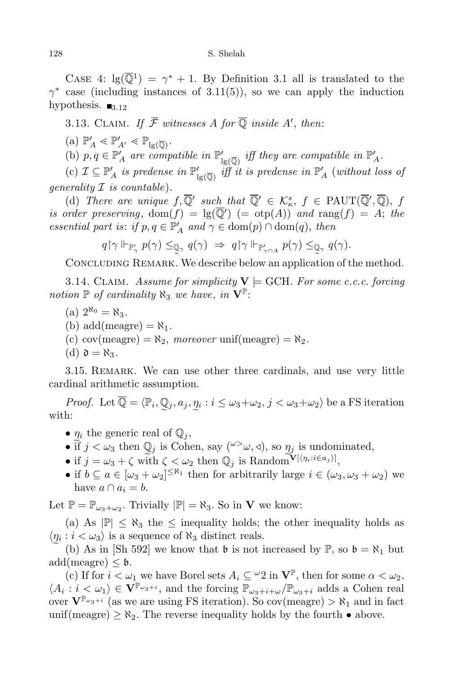CASE 4:  $\lg(\overline{\mathbb{Q}}^1) = \gamma^* + 1$ . By Definition 3.1 all is translated to the  $\gamma^*$  case (including instances of 3.11(5)), so we can apply the induction hypothesis.  $\blacksquare$ <sub>3.12</sub>

3.13. CLAIM. If  $\mathcal F$  witnesses A for Q inside A', then:

 $(a)$   $\mathbb{P}'_A \leq \mathbb{P}'_{A'} \leq \mathbb{P}_{\lg(\overline{\mathbb{Q}})}.$ 

(b)  $p, q \in \mathbb{P}'_A$  are compatible in  $\mathbb{P}'_{\text{lg}(\overline{\mathbb{Q}})}$  iff they are compatible in  $\mathbb{P}'_A$ .

 $\mathbb{P}_A^{\prime}$  (c)  $\mathcal{I} \subseteq \mathbb{P}_A^{\prime}$  *is* predense in  $\mathbb{P}'_{B(\overline{\mathbb{Q}})}$  *iff it is predense in*  $\mathbb{P}_A^{\prime}$  (*without loss of generality I is countable*)*.*

(d) *There* are *unique*  $f, \overline{Q}$  *such* that  $\overline{Q}$   $\in$   $K_{\kappa}^{s}$ ,  $f \in \text{PAUT}(\overline{Q}^{\prime}, \overline{Q})$ ,  $f$  $i$ *s order preserving*,  $dom(f) = lg(Q') (= otp(A))$  *and*  $rang(f) = A$ ; *the essential part is: if*  $p, q \in \mathbb{P}'_A$  *and*  $\gamma \in \text{dom}(p) \cap \text{dom}(q)$ , *then* 

$$
q\!\upharpoonright\!\gamma\Vdash_{\mathbb{P}_\gamma'}p(\gamma)\leq_{\mathbb{Q}_\gamma}q(\gamma)\;\Rightarrow\;q\!\upharpoonright\!\gamma\Vdash_{\mathbb{P}_{\gamma\cap A}'}p(\gamma)\leq_{\mathbb{Q}_\gamma}q(\gamma).
$$

CONCLUDING REMARK. We describe below an application of the method.

3.14. CLAIM. Assume for simplicity  $V \models$  GCH. For some c.c.c. forcing *notion*  $\mathbb{P}$  *of cardinality*  $\aleph_3$  *we have, in*  $\mathbf{V}^{\mathbb{P}}$ :

- $(a) 2^{\aleph_0} = \aleph_3.$
- (b) add(meagre) =  $\aleph_1$ .
- (c)  $cov(meagre) = \aleph_2$ , *moreover* unif(meagre) =  $\aleph_2$ .
- $(d)$   $\mathfrak{d} = \aleph_3$ .

3.15. Remark. We can use other three cardinals, and use very little cardinal arithmetic assumption.

*Proof.* Let  $\mathbb{Q} = \langle \mathbb{P}_i, \mathbb{Q}_j, a_j, \underline{\eta}_i : i \leq \omega_3 + \omega_2, j < \omega_3 + \omega_2 \rangle$  be a FS iteration with:

- $\eta_i$  the generic real of  $\mathbb{Q}_j$ ,
- if  $j < \omega_3$  then  $\mathbb{Q}_j$  is Cohen, say  $({}^{\omega}> \omega, \triangleleft)$ , so  $\eta_j$  is undominated,
- if  $j = \omega_3 + \zeta$  with  $\zeta \leq \omega_2$  then  $\mathbb{Q}_j$  is Random<sup>V[ $\langle \eta_i : i \in a_j \rangle$ ],</sup>
- if  $b \subseteq a \in [\omega_3 + \omega_2]^{\leq \aleph_1}$  then for arbitrarily large  $i \in (\omega_3, \omega_3 + \omega_2)$  we have  $a \cap a_i = b$ .

Let  $\mathbb{P} = \mathbb{P}_{\omega_3 + \omega_2}$ . Trivially  $|\mathbb{P}| = \aleph_3$ . So in **V** we know:

(a) As  $|\mathbb{P}| \leq \aleph_3$  the  $\leq$  inequality holds; the other inequality holds as  $\langle \eta_i : i < \omega_3 \rangle$  is a sequence of  $\aleph_3$  distinct reals.

e (b) As in [Sh 592] we know that  $\mathfrak b$  is not increased by  $\mathbb P$ , so  $\mathfrak b = \aleph_1$  but  $add(\text{measure}) \leq \mathfrak{b}.$ 

(c) If for  $i < \omega_1$  we have Borel sets  $A_i \subseteq {}^{\omega}2$  in  $\mathbf{V}^{\mathbb{P}}$ , then for some  $\alpha < \omega_2$ ,  $\langle A_i : i < \omega_1 \rangle \in V^{\mathbb{P}_{\omega_3+i}}$ , and the forcing  $\mathbb{P}_{\omega_3+i+\omega}/\mathbb{P}_{\omega_3+i}$  adds a Cohen real over  $V^{\mathbb{P}_{\omega_3+i}}$  (as we are using FS iteration). So cov(meagre)  $>\aleph_1$  and in fact unif(meagre)  $\geq \aleph_2$ . The reverse inequality holds by the fourth  $\bullet$  above.